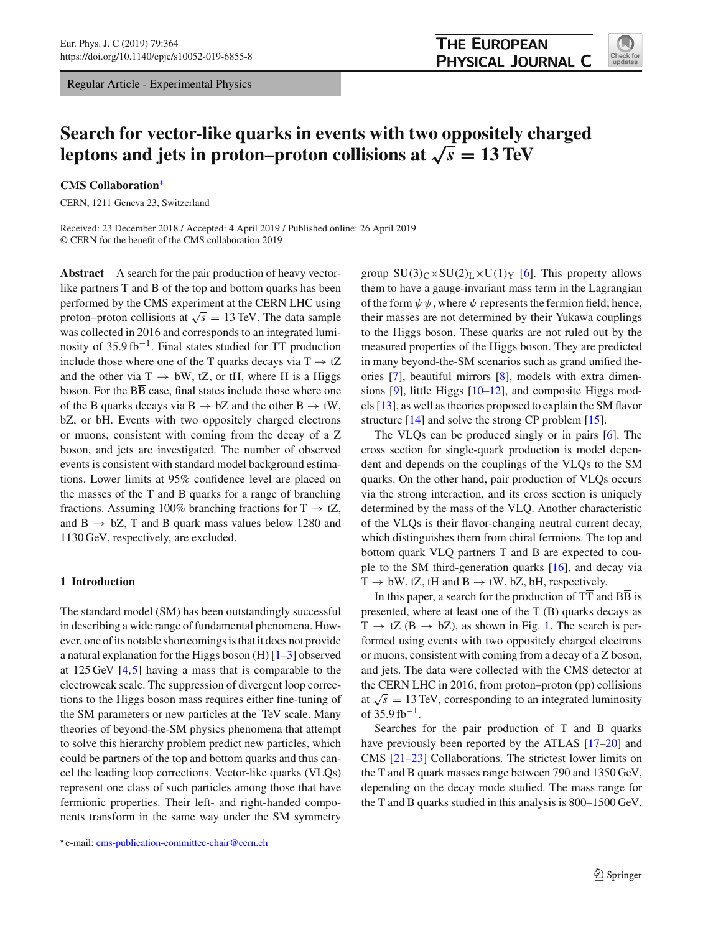Regular Article - Experimental Physics



# **Search for vector-like quarks in events with two oppositely charged leptons and jets in proton–proton collisions at**  $\sqrt{s} = 13$  **TeV**

**CMS Collaboration**[∗](#page-0-0)

CERN, 1211 Geneva 23, Switzerland

Received: 23 December 2018 / Accepted: 4 April 2019 / Published online: 26 April 2019 © CERN for the benefit of the CMS collaboration 2019

**Abstract** A search for the pair production of heavy vectorlike partners T and B of the top and bottom quarks has been performed by the CMS experiment at the CERN LHC using proton–proton collisions at  $\sqrt{s} = 13$  TeV. The data sample was collected in 2016 and corresponds to an integrated luminosity of 35.9 fb<sup>-1</sup>. Final states studied for  $T\overline{T}$  production include those where one of the T quarks decays via  $T \rightarrow tZ$ and the other via  $T \rightarrow bW$ , tZ, or tH, where H is a Higgs boson. For the  $\overline{BB}$  case, final states include those where one of the B quarks decays via B  $\rightarrow$  bZ and the other B  $\rightarrow$  tW, bZ, or bH. Events with two oppositely charged electrons or muons, consistent with coming from the decay of a Z boson, and jets are investigated. The number of observed events is consistent with standard model background estimations. Lower limits at 95% confidence level are placed on the masses of the T and B quarks for a range of branching fractions. Assuming 100% branching fractions for  $T \rightarrow tZ$ , and  $B \rightarrow bZ$ , T and B quark mass values below 1280 and 1130 GeV, respectively, are excluded.

#### **1 Introduction**

The standard model (SM) has been outstandingly successful in describing a wide range of fundamental phenomena. However, one of its notable shortcomings is that it does not provide a natural explanation for the Higgs boson  $(H)$   $[1-3]$  $[1-3]$  observed at 125 GeV [\[4,](#page-15-2)[5\]](#page-15-3) having a mass that is comparable to the electroweak scale. The suppression of divergent loop corrections to the Higgs boson mass requires either fine-tuning of the SM parameters or new particles at the TeV scale. Many theories of beyond-the-SM physics phenomena that attempt to solve this hierarchy problem predict new particles, which could be partners of the top and bottom quarks and thus cancel the leading loop corrections. Vector-like quarks (VLQs) represent one class of such particles among those that have fermionic properties. Their left- and right-handed components transform in the same way under the SM symmetry

group  $SU(3)_C \times SU(2)_L \times U(1)_Y$  [\[6\]](#page-15-4). This property allows them to have a gauge-invariant mass term in the Lagrangian of the form  $\psi \psi$ , where  $\psi$  represents the fermion field; hence, their masses are not determined by their Yukawa couplings to the Higgs boson. These quarks are not ruled out by the measured properties of the Higgs boson. They are predicted in many beyond-the-SM scenarios such as grand unified theories [\[7\]](#page-15-5), beautiful mirrors [\[8](#page-15-6)], models with extra dimensions [\[9](#page-15-7)], little Higgs [\[10](#page-15-8)[–12\]](#page-15-9), and composite Higgs models [\[13](#page-15-10)], as well as theories proposed to explain the SM flavor structure [\[14\]](#page-15-11) and solve the strong CP problem [\[15\]](#page-15-12).

The VLQs can be produced singly or in pairs [\[6](#page-15-4)]. The cross section for single-quark production is model dependent and depends on the couplings of the VLQs to the SM quarks. On the other hand, pair production of VLQs occurs via the strong interaction, and its cross section is uniquely determined by the mass of the VLQ. Another characteristic of the VLQs is their flavor-changing neutral current decay, which distinguishes them from chiral fermions. The top and bottom quark VLQ partners T and B are expected to couple to the SM third-generation quarks [\[16](#page-15-13)], and decay via  $T \rightarrow bW$ , tZ, tH and  $B \rightarrow tW$ , bZ, bH, respectively.

In this paper, a search for the production of  $T\overline{T}$  and  $B\overline{B}$  is presented, where at least one of the T (B) quarks decays as  $T \rightarrow tZ$  (B  $\rightarrow bZ$ ), as shown in Fig. [1.](#page-1-0) The search is performed using events with two oppositely charged electrons or muons, consistent with coming from a decay of a Z boson, and jets. The data were collected with the CMS detector at the CERN LHC in 2016, from proton–proton (pp) collisions at  $\sqrt{s}$  = 13 TeV, corresponding to an integrated luminosity of  $35.9$  fb<sup>-1</sup>.

Searches for the pair production of T and B quarks have previously been reported by the ATLAS [\[17](#page-15-14)[–20](#page-15-15)] and CMS [\[21](#page-15-16)[–23\]](#page-15-17) Collaborations. The strictest lower limits on the T and B quark masses range between 790 and 1350 GeV, depending on the decay mode studied. The mass range for the T and B quarks studied in this analysis is 800–1500 GeV.

<span id="page-0-0"></span><sup>-</sup> e-mail: <cms-publication-committee-chair@cern.ch>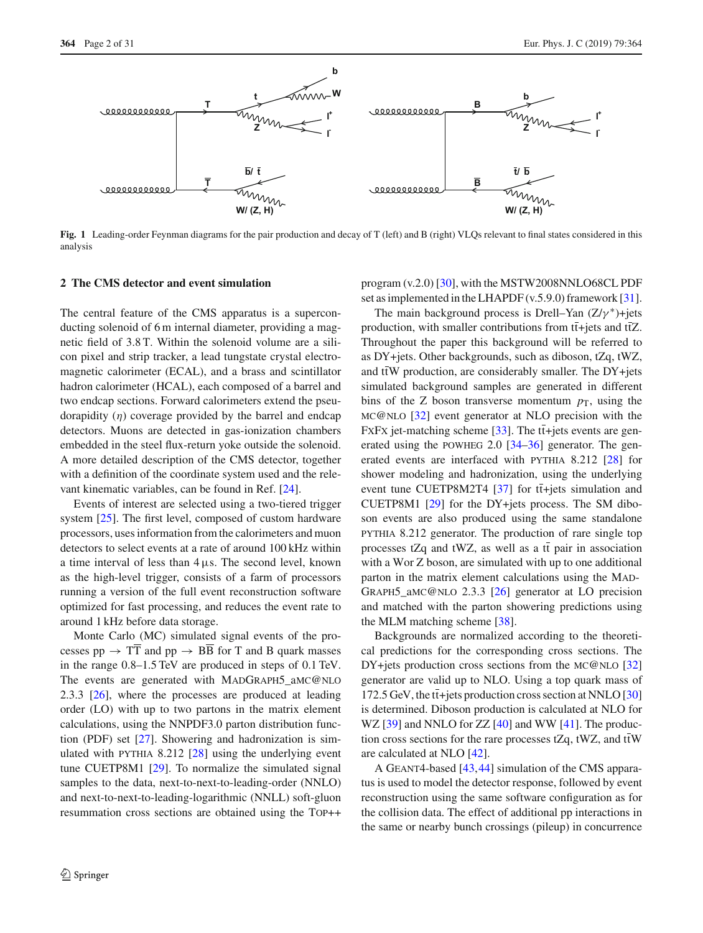

<span id="page-1-0"></span>**Fig. 1** Leading-order Feynman diagrams for the pair production and decay of T (left) and B (right) VLQs relevant to final states considered in this analysis

#### **2 The CMS detector and event simulation**

The central feature of the CMS apparatus is a superconducting solenoid of 6 m internal diameter, providing a magnetic field of 3.8 T. Within the solenoid volume are a silicon pixel and strip tracker, a lead tungstate crystal electromagnetic calorimeter (ECAL), and a brass and scintillator hadron calorimeter (HCAL), each composed of a barrel and two endcap sections. Forward calorimeters extend the pseudorapidity  $(\eta)$  coverage provided by the barrel and endcap detectors. Muons are detected in gas-ionization chambers embedded in the steel flux-return yoke outside the solenoid. A more detailed description of the CMS detector, together with a definition of the coordinate system used and the relevant kinematic variables, can be found in Ref. [\[24\]](#page-15-18).

Events of interest are selected using a two-tiered trigger system [\[25](#page-15-19)]. The first level, composed of custom hardware processors, uses information from the calorimeters and muon detectors to select events at a rate of around 100 kHz within a time interval of less than  $4 \mu s$ . The second level, known as the high-level trigger, consists of a farm of processors running a version of the full event reconstruction software optimized for fast processing, and reduces the event rate to around 1 kHz before data storage.

Monte Carlo (MC) simulated signal events of the processes pp  $\rightarrow$  TT and pp  $\rightarrow$  BB for T and B quark masses in the range 0.8–1.5 TeV are produced in steps of 0.1 TeV. The events are generated with MADGRAPH5\_aMC@NLO 2.3.3 [\[26](#page-16-0)], where the processes are produced at leading order (LO) with up to two partons in the matrix element calculations, using the NNPDF3.0 parton distribution function (PDF) set [\[27](#page-16-1)]. Showering and hadronization is simulated with PYTHIA 8.212  $[28]$  using the underlying event tune CUETP8M1 [\[29](#page-16-3)]. To normalize the simulated signal samples to the data, next-to-next-to-leading-order (NNLO) and next-to-next-to-leading-logarithmic (NNLL) soft-gluon resummation cross sections are obtained using the Top++

program (v.2.0) [\[30\]](#page-16-4), with the MSTW2008NNLO68CL PDF set as implemented in the LHAPDF (v.5.9.0) framework [\[31](#page-16-5)].

The main background process is Drell–Yan  $(Z/\gamma^*)$ +jets production, with smaller contributions from  $t\bar{t}$ +jets and  $t\bar{t}Z$ . Throughout the paper this background will be referred to as DY+jets. Other backgrounds, such as diboson, tZq, tWZ, and ttW production, are considerably smaller. The DY+jets simulated background samples are generated in different bins of the Z boson transverse momentum  $p<sub>T</sub>$ , using the mc@nlo [\[32](#page-16-6)] event generator at NLO precision with the FXFX jet-matching scheme  $[33]$ . The tt+jets events are generated using the powheg 2.0 [\[34](#page-16-8)[–36](#page-16-9)] generator. The gen-erated events are interfaced with PYTHIA 8.212 [\[28](#page-16-2)] for shower modeling and hadronization, using the underlying event tune CUETP8M2T4 [\[37](#page-16-10)] for  $t\bar{t}$ +jets simulation and CUETP8M1 [\[29\]](#page-16-3) for the DY+jets process. The SM diboson events are also produced using the same standalone pythia 8.212 generator. The production of rare single top processes tZq and tWZ, as well as a  $t\bar{t}$  pair in association with a Wor Z boson, are simulated with up to one additional parton in the matrix element calculations using the MAD-Graph5\_amc@nlo 2.3.3 [\[26](#page-16-0)] generator at LO precision and matched with the parton showering predictions using the MLM matching scheme [\[38](#page-16-11)].

Backgrounds are normalized according to the theoretical predictions for the corresponding cross sections. The DY+jets production cross sections from the MC@NLO  $[32]$ generator are valid up to NLO. Using a top quark mass of 172.5 GeV, the tt+jets production cross section at NNLO  $[30]$ is determined. Diboson production is calculated at NLO for  $WZ$  [\[39](#page-16-12)] and NNLO for ZZ [\[40\]](#page-16-13) and WW [\[41\]](#page-16-14). The production cross sections for the rare processes tZq, tWZ, and ttW are calculated at NLO [\[42\]](#page-16-15).

A GEANT4-based [\[43](#page-16-16),[44\]](#page-16-17) simulation of the CMS apparatus is used to model the detector response, followed by event reconstruction using the same software configuration as for the collision data. The effect of additional pp interactions in the same or nearby bunch crossings (pileup) in concurrence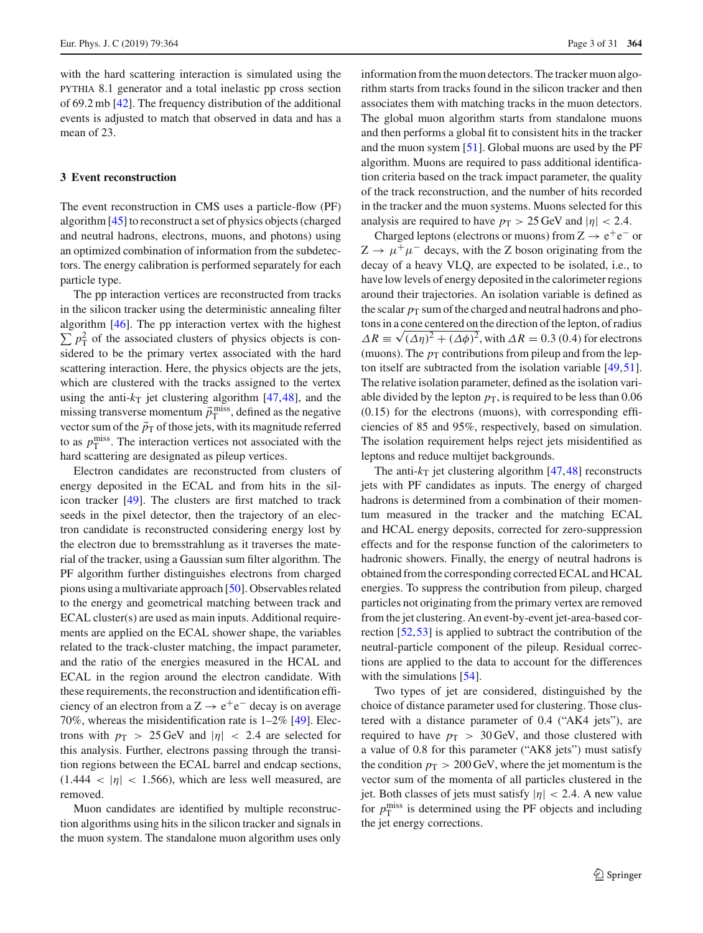with the hard scattering interaction is simulated using the pythia 8.1 generator and a total inelastic pp cross section of 69.2 mb [\[42\]](#page-16-15). The frequency distribution of the additional events is adjusted to match that observed in data and has a mean of 23.

#### <span id="page-2-0"></span>**3 Event reconstruction**

The event reconstruction in CMS uses a particle-flow (PF) algorithm [\[45\]](#page-16-18) to reconstruct a set of physics objects (charged and neutral hadrons, electrons, muons, and photons) using an optimized combination of information from the subdetectors. The energy calibration is performed separately for each particle type.

The pp interaction vertices are reconstructed from tracks in the silicon tracker using the deterministic annealing filter  $\sum p_{\rm T}^2$  of the associated clusters of physics objects is conalgorithm [\[46\]](#page-16-19). The pp interaction vertex with the highest sidered to be the primary vertex associated with the hard scattering interaction. Here, the physics objects are the jets, which are clustered with the tracks assigned to the vertex using the anti- $k_T$  jet clustering algorithm [\[47](#page-16-20)[,48](#page-16-21)], and the missing transverse momentum  $\vec{p}_{\rm T}^{\rm miss}$ , defined as the negative vector sum of the  $\vec{p}_T$  of those jets, with its magnitude referred to as  $p_T^{\text{miss}}$ . The interaction vertices not associated with the hard scattering are designated as pileup vertices.

Electron candidates are reconstructed from clusters of energy deposited in the ECAL and from hits in the silicon tracker [\[49\]](#page-16-22). The clusters are first matched to track seeds in the pixel detector, then the trajectory of an electron candidate is reconstructed considering energy lost by the electron due to bremsstrahlung as it traverses the material of the tracker, using a Gaussian sum filter algorithm. The PF algorithm further distinguishes electrons from charged pions using a multivariate approach [\[50](#page-16-23)]. Observables related to the energy and geometrical matching between track and ECAL cluster(s) are used as main inputs. Additional requirements are applied on the ECAL shower shape, the variables related to the track-cluster matching, the impact parameter, and the ratio of the energies measured in the HCAL and ECAL in the region around the electron candidate. With these requirements, the reconstruction and identification efficiency of an electron from a  $Z \rightarrow e^+e^-$  decay is on average 70%, whereas the misidentification rate is 1–2% [\[49\]](#page-16-22). Electrons with  $p_T > 25$  GeV and  $|\eta| < 2.4$  are selected for this analysis. Further, electrons passing through the transition regions between the ECAL barrel and endcap sections,  $(1.444 < |\eta| < 1.566)$ , which are less well measured, are removed.

Muon candidates are identified by multiple reconstruction algorithms using hits in the silicon tracker and signals in the muon system. The standalone muon algorithm uses only information from the muon detectors. The tracker muon algorithm starts from tracks found in the silicon tracker and then associates them with matching tracks in the muon detectors. The global muon algorithm starts from standalone muons and then performs a global fit to consistent hits in the tracker and the muon system [\[51](#page-16-24)]. Global muons are used by the PF algorithm. Muons are required to pass additional identification criteria based on the track impact parameter, the quality of the track reconstruction, and the number of hits recorded in the tracker and the muon systems. Muons selected for this analysis are required to have  $p_T > 25$  GeV and  $|\eta| < 2.4$ .

Charged leptons (electrons or muons) from  $Z \rightarrow e^+e^-$  or  $Z \rightarrow \mu^+ \mu^-$  decays, with the Z boson originating from the decay of a heavy VLQ, are expected to be isolated, i.e., to have low levels of energy deposited in the calorimeter regions around their trajectories. An isolation variable is defined as the scalar  $p_T$  sum of the charged and neutral hadrons and photons in a cone centered on the direction of the lepton, of radius  $\Delta R \equiv \sqrt{(\Delta \eta)^2 + (\Delta \phi)^2}$ , with  $\Delta R = 0.3$  (0.4) for electrons (muons). The  $p<sub>T</sub>$  contributions from pileup and from the lepton itself are subtracted from the isolation variable [\[49](#page-16-22)[,51](#page-16-24)]. The relative isolation parameter, defined as the isolation variable divided by the lepton  $p<sub>T</sub>$ , is required to be less than 0.06 (0.15) for the electrons (muons), with corresponding efficiencies of 85 and 95%, respectively, based on simulation. The isolation requirement helps reject jets misidentified as leptons and reduce multijet backgrounds.

The anti- $k<sub>T</sub>$  jet clustering algorithm [\[47,](#page-16-20)[48\]](#page-16-21) reconstructs jets with PF candidates as inputs. The energy of charged hadrons is determined from a combination of their momentum measured in the tracker and the matching ECAL and HCAL energy deposits, corrected for zero-suppression effects and for the response function of the calorimeters to hadronic showers. Finally, the energy of neutral hadrons is obtained from the corresponding corrected ECAL and HCAL energies. To suppress the contribution from pileup, charged particles not originating from the primary vertex are removed from the jet clustering. An event-by-event jet-area-based correction [\[52](#page-16-25)[,53](#page-16-26)] is applied to subtract the contribution of the neutral-particle component of the pileup. Residual corrections are applied to the data to account for the differences with the simulations [\[54\]](#page-16-27).

Two types of jet are considered, distinguished by the choice of distance parameter used for clustering. Those clustered with a distance parameter of 0.4 ("AK4 jets"), are required to have  $p_T > 30$  GeV, and those clustered with a value of 0.8 for this parameter ("AK8 jets") must satisfy the condition  $p_T > 200$  GeV, where the jet momentum is the vector sum of the momenta of all particles clustered in the jet. Both classes of jets must satisfy  $|\eta| < 2.4$ . A new value for  $p_T^{\text{miss}}$  is determined using the PF objects and including the jet energy corrections.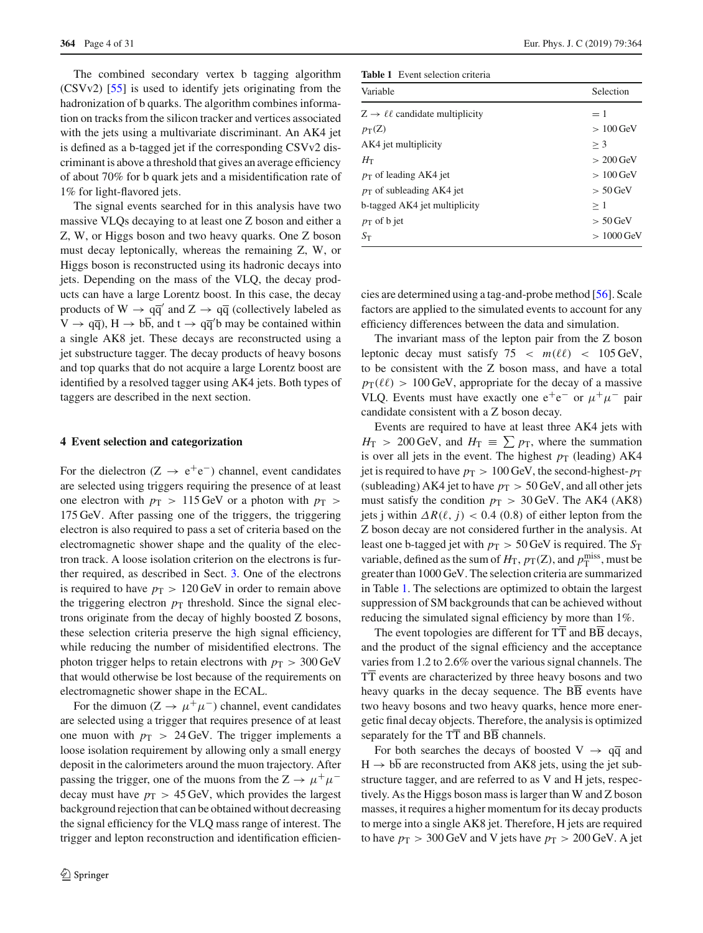The combined secondary vertex b tagging algorithm (CSVv2) [\[55\]](#page-16-28) is used to identify jets originating from the hadronization of b quarks. The algorithm combines information on tracks from the silicon tracker and vertices associated with the jets using a multivariate discriminant. An AK4 jet is defined as a b-tagged jet if the corresponding CSVv2 discriminant is above a threshold that gives an average efficiency of about 70% for b quark jets and a misidentification rate of 1% for light-flavored jets.

The signal events searched for in this analysis have two massive VLQs decaying to at least one Z boson and either a Z, W, or Higgs boson and two heavy quarks. One Z boson must decay leptonically, whereas the remaining Z, W, or Higgs boson is reconstructed using its hadronic decays into jets. Depending on the mass of the VLQ, the decay products can have a large Lorentz boost. In this case, the decay products of  $W \rightarrow q\overline{q}'$  and  $Z \rightarrow q\overline{q}$  (collectively labeled as  $V \rightarrow q\bar{q}$ ),  $H \rightarrow bb$ , and  $t \rightarrow q\bar{q}'b$  may be contained within a single AK8 jet. These decays are reconstructed using a jet substructure tagger. The decay products of heavy bosons and top quarks that do not acquire a large Lorentz boost are identified by a resolved tagger using AK4 jets. Both types of taggers are described in the next section.

#### **4 Event selection and categorization**

For the dielectron ( $Z \rightarrow e^+e^-$ ) channel, event candidates are selected using triggers requiring the presence of at least one electron with  $p_T > 115 \text{ GeV}$  or a photon with  $p_T > 115 \text{ GeV}$ 175 GeV. After passing one of the triggers, the triggering electron is also required to pass a set of criteria based on the electromagnetic shower shape and the quality of the electron track. A loose isolation criterion on the electrons is further required, as described in Sect. [3.](#page-2-0) One of the electrons is required to have  $p_T > 120 \,\text{GeV}$  in order to remain above the triggering electron  $p_T$  threshold. Since the signal electrons originate from the decay of highly boosted Z bosons, these selection criteria preserve the high signal efficiency, while reducing the number of misidentified electrons. The photon trigger helps to retain electrons with  $p_T > 300 \,\text{GeV}$ that would otherwise be lost because of the requirements on electromagnetic shower shape in the ECAL.

For the dimuon ( $Z \rightarrow \mu^+\mu^-$ ) channel, event candidates are selected using a trigger that requires presence of at least one muon with  $p_T > 24$  GeV. The trigger implements a loose isolation requirement by allowing only a small energy deposit in the calorimeters around the muon trajectory. After passing the trigger, one of the muons from the  $Z \rightarrow \mu^+ \mu^$ decay must have  $p_T > 45$  GeV, which provides the largest background rejection that can be obtained without decreasing the signal efficiency for the VLQ mass range of interest. The trigger and lepton reconstruction and identification efficien-

**Table 1** Event selection criteria

<span id="page-3-0"></span>

| Variable                                         | Selection   |
|--------------------------------------------------|-------------|
| $Z \rightarrow \ell \ell$ candidate multiplicity | $=1$        |
| $p_T(Z)$                                         | $>100$ GeV  |
| AK4 jet multiplicity                             | $>$ 3       |
| $H_{\rm T}$                                      | $>200$ GeV  |
| $p_T$ of leading AK4 jet                         | $>100$ GeV  |
| $p_T$ of subleading AK4 jet                      | $> 50$ GeV  |
| b-tagged AK4 jet multiplicity                    | >1          |
| $p_T$ of b jet                                   | $> 50$ GeV  |
| $S_{\rm T}$                                      | $>1000$ GeV |

cies are determined using a tag-and-probe method [\[56](#page-16-29)]. Scale factors are applied to the simulated events to account for any efficiency differences between the data and simulation.

The invariant mass of the lepton pair from the Z boson leptonic decay must satisfy  $75 < m(\ell\ell) < 105 \text{ GeV}$ , to be consistent with the Z boson mass, and have a total  $p_T(\ell) > 100 \,\text{GeV}$ , appropriate for the decay of a massive VLQ. Events must have exactly one  $e^+e^-$  or  $\mu^+\mu^-$  pair candidate consistent with a Z boson decay.

Events are required to have at least three AK4 jets with  $H_{\rm T}$  > 200 GeV, and  $H_{\rm T} \equiv \sum p_{\rm T}$ , where the summation is over all jets in the event. The highest  $p_T$  (leading) AK4 jet is required to have  $p_T > 100$  GeV, the second-highest- $p_T$ (subleading) AK4 jet to have  $p_T > 50$  GeV, and all other jets must satisfy the condition  $p_T > 30$  GeV. The AK4 (AK8) jets j within  $\Delta R(\ell, j) < 0.4$  (0.8) of either lepton from the Z boson decay are not considered further in the analysis. At least one b-tagged jet with  $p_T > 50$  GeV is required. The  $S_T$ variable, defined as the sum of  $H_T$ ,  $p_T(Z)$ , and  $p_T^{\text{miss}}$ , must be greater than 1000 GeV. The selection criteria are summarized in Table [1.](#page-3-0) The selections are optimized to obtain the largest suppression of SM backgrounds that can be achieved without reducing the simulated signal efficiency by more than 1%.

The event topologies are different for  $T\overline{T}$  and  $B\overline{B}$  decays, and the product of the signal efficiency and the acceptance varies from 1.2 to 2.6% over the various signal channels. The TT events are characterized by three heavy bosons and two heavy quarks in the decay sequence. The  $\overline{BB}$  events have two heavy bosons and two heavy quarks, hence more energetic final decay objects. Therefore, the analysis is optimized separately for the  $T\overline{T}$  and  $B\overline{B}$  channels.

For both searches the decays of boosted  $V \rightarrow q\overline{q}$  and  $H \rightarrow b\overline{b}$  are reconstructed from AK8 jets, using the jet substructure tagger, and are referred to as V and H jets, respectively. As the Higgs boson mass is larger than W and Z boson masses, it requires a higher momentum for its decay products to merge into a single AK8 jet. Therefore, H jets are required to have  $p_T > 300$  GeV and V jets have  $p_T > 200$  GeV. A jet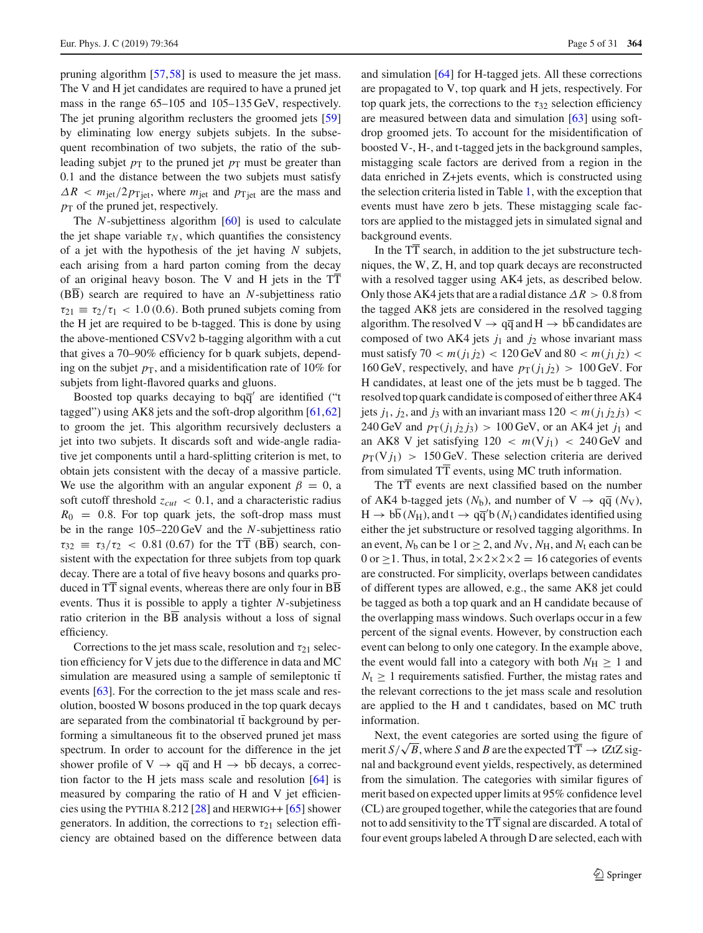pruning algorithm [\[57](#page-16-30),[58\]](#page-16-31) is used to measure the jet mass. The V and H jet candidates are required to have a pruned jet mass in the range 65–105 and 105–135 GeV, respectively. The jet pruning algorithm reclusters the groomed jets [\[59\]](#page-16-32) by eliminating low energy subjets subjets. In the subsequent recombination of two subjets, the ratio of the subleading subjet  $p<sub>T</sub>$  to the pruned jet  $p<sub>T</sub>$  must be greater than 0.1 and the distance between the two subjets must satisfy  $\Delta R$  <  $m_{jet}/2p_{Tiet}$ , where  $m_{jet}$  and  $p_{Tiet}$  are the mass and  $p_T$  of the pruned jet, respectively.

The *N*-subjettiness algorithm [\[60\]](#page-16-33) is used to calculate the jet shape variable  $\tau_N$ , which quantifies the consistency of a jet with the hypothesis of the jet having *N* subjets, each arising from a hard parton coming from the decay of an original heavy boson. The V and H jets in the  $T\overline{T}$ (BB) search are required to have an *N*-subjettiness ratio  $\tau_{21} \equiv \tau_2/\tau_1$  < 1.0 (0.6). Both pruned subjets coming from the H jet are required to be b-tagged. This is done by using the above-mentioned CSVv2 b-tagging algorithm with a cut that gives a 70–90% efficiency for b quark subjets, depending on the subjet  $p<sub>T</sub>$ , and a misidentification rate of 10% for subjets from light-flavored quarks and gluons.

Boosted top quarks decaying to  $bq\bar{q}'$  are identified ("t tagged") using AK8 jets and the soft-drop algorithm  $[61,62]$  $[61,62]$ to groom the jet. This algorithm recursively declusters a jet into two subjets. It discards soft and wide-angle radiative jet components until a hard-splitting criterion is met, to obtain jets consistent with the decay of a massive particle. We use the algorithm with an angular exponent  $\beta = 0$ , a soft cutoff threshold  $z_{cut}$  < 0.1, and a characteristic radius  $R_0 = 0.8$ . For top quark jets, the soft-drop mass must be in the range 105–220 GeV and the *N*-subjettiness ratio  $\tau_{32} \equiv \tau_3/\tau_2$  < 0.81 (0.67) for the TT (BB) search, consistent with the expectation for three subjets from top quark decay. There are a total of five heavy bosons and quarks produced in TT signal events, whereas there are only four in BB events. Thus it is possible to apply a tighter *N*-subjetiness ratio criterion in the  $\overline{BB}$  analysis without a loss of signal efficiency.

Corrections to the jet mass scale, resolution and  $\tau_{21}$  selection efficiency for V jets due to the difference in data and MC simulation are measured using a sample of semileptonic tt events [\[63\]](#page-17-0). For the correction to the jet mass scale and resolution, boosted W bosons produced in the top quark decays are separated from the combinatorial  $t\bar{t}$  background by performing a simultaneous fit to the observed pruned jet mass spectrum. In order to account for the difference in the jet shower profile of  $V \rightarrow q\overline{q}$  and  $H \rightarrow b\overline{b}$  decays, a correction factor to the H jets mass scale and resolution [\[64](#page-17-1)] is measured by comparing the ratio of H and V jet efficiencies using the PYTHIA 8.212  $[28]$  $[28]$  and HERWIG++  $[65]$  $[65]$  shower generators. In addition, the corrections to  $\tau_{21}$  selection efficiency are obtained based on the difference between data and simulation [\[64\]](#page-17-1) for H-tagged jets. All these corrections are propagated to V, top quark and H jets, respectively. For top quark jets, the corrections to the  $\tau_{32}$  selection efficiency are measured between data and simulation [\[63\]](#page-17-0) using softdrop groomed jets. To account for the misidentification of boosted V-, H-, and t-tagged jets in the background samples, mistagging scale factors are derived from a region in the data enriched in Z+jets events, which is constructed using the selection criteria listed in Table [1,](#page-3-0) with the exception that events must have zero b jets. These mistagging scale factors are applied to the mistagged jets in simulated signal and background events.

In the  $T\overline{T}$  search, in addition to the jet substructure techniques, the W, Z, H, and top quark decays are reconstructed with a resolved tagger using AK4 jets, as described below. Only those AK4 jets that are a radial distance  $\Delta R > 0.8$  from the tagged AK8 jets are considered in the resolved tagging algorithm. The resolved  $V \rightarrow q\overline{q}$  and  $H \rightarrow b\overline{b}$  candidates are composed of two AK4 jets  $j_1$  and  $j_2$  whose invariant mass must satisfy  $70 < m(j_1 j_2) < 120$  GeV and  $80 < m(j_1 j_2) <$ 160 GeV, respectively, and have  $p_T(j_1 j_2) > 100$  GeV. For H candidates, at least one of the jets must be b tagged. The resolved top quark candidate is composed of either three AK4 jets  $j_1$ ,  $j_2$ , and  $j_3$  with an invariant mass  $120 < m(j_1 j_2 j_3)$ 240 GeV and  $p_T(j_1 j_2 j_3) > 100$  GeV, or an AK4 jet  $j_1$  and an AK8 V jet satisfying  $120 < m(Vj_1) < 240$  GeV and  $p_T(V j_1) > 150 \text{ GeV}$ . These selection criteria are derived from simulated  $T\overline{T}$  events, using MC truth information.

The  $T\overline{T}$  events are next classified based on the number of AK4 b-tagged jets  $(N_b)$ , and number of  $V \rightarrow q\bar{q} (N_V)$ ,  $H \to bb(N_H)$ , and  $t \to q\overline{q}'b(N_t)$  candidates identified using either the jet substructure or resolved tagging algorithms. In an event,  $N_b$  can be 1 or  $\geq$  2, and  $N_V$ ,  $N_H$ , and  $N_t$  each can be 0 or  $\geq$  1. Thus, in total,  $2 \times 2 \times 2 \times 2 = 16$  categories of events are constructed. For simplicity, overlaps between candidates of different types are allowed, e.g., the same AK8 jet could be tagged as both a top quark and an H candidate because of the overlapping mass windows. Such overlaps occur in a few percent of the signal events. However, by construction each event can belong to only one category. In the example above, the event would fall into a category with both  $N_{\rm H} \geq 1$  and  $N_t \geq 1$  requirements satisfied. Further, the mistag rates and the relevant corrections to the jet mass scale and resolution are applied to the H and t candidates, based on MC truth information.

Next, the event categories are sorted using the figure of merit  $S/\sqrt{B}$ , where *S* and *B* are the expected TT  $\rightarrow$  tZtZ signal and background event yields, respectively, as determined from the simulation. The categories with similar figures of merit based on expected upper limits at 95% confidence level (CL) are grouped together, while the categories that are found not to add sensitivity to the TT signal are discarded. A total of four event groups labeled A through D are selected, each with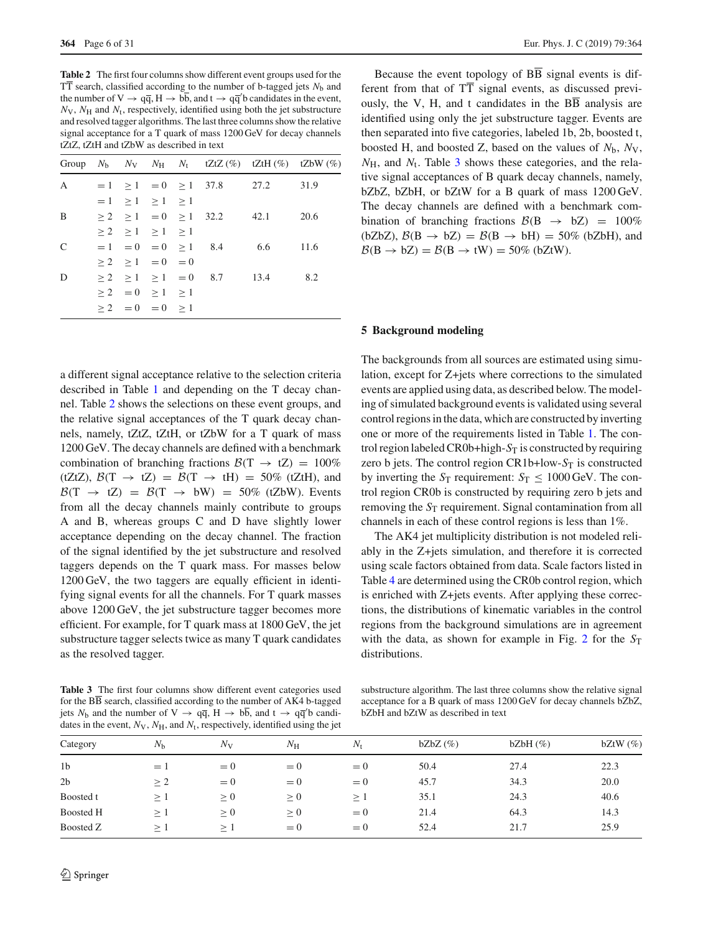<span id="page-5-0"></span>**Table 2** The first four columns show different event groups used for the  $T\overline{T}$  search, classified according to the number of b-tagged jets  $N<sub>b</sub>$  and the number of  $V \to q\overline{q}$ ,  $H \to bb$ , and  $t \to q\overline{q}'b$  candidates in the event, *N*V, *N*<sup>H</sup> and *N*t, respectively, identified using both the jet substructure and resolved tagger algorithms. The last three columns show the relative signal acceptance for a T quark of mass 1200 GeV for decay channels tZtZ, tZtH and tZbW as described in text

|              |                         |  |                                  | Group $N_b$ $N_V$ $N_H$ $N_t$ tZtZ $(\%)$ tZtH $(\%)$ tZbW $(\%)$ |      |
|--------------|-------------------------|--|----------------------------------|-------------------------------------------------------------------|------|
| $\mathbf{A}$ |                         |  | $= 1 \ge 1 = 0 \ge 1$ 37.8 27.2  |                                                                   | 31.9 |
|              | $= 1 > 1 > 1 > 1$       |  |                                  |                                                                   |      |
| B            |                         |  | $> 2 > 1 = 0 > 1$ 32.2           | 42.1                                                              | 20.6 |
|              | $> 2$ > 1 > 1 > 1       |  |                                  |                                                                   |      |
| C            |                         |  | $= 1 = 0 = 0 \ge 1$ 8.4          | 6.6                                                               | 11.6 |
|              | $> 2$ $> 1$ $= 0$ $= 0$ |  |                                  |                                                                   |      |
| D            |                         |  | $> 2$ $> 1$ $> 1$ $= 0$ 8.7 13.4 |                                                                   | 8.2  |
|              | $> 2 = 0 \ge 1 \ge 1$   |  |                                  |                                                                   |      |
|              | $> 2 = 0 = 0 > 1$       |  |                                  |                                                                   |      |

a different signal acceptance relative to the selection criteria described in Table [1](#page-3-0) and depending on the T decay channel. Table [2](#page-5-0) shows the selections on these event groups, and the relative signal acceptances of the T quark decay channels, namely, tZtZ, tZtH, or tZbW for a T quark of mass 1200 GeV. The decay channels are defined with a benchmark combination of branching fractions  $B(T \rightarrow tZ) = 100\%$  $(tZtZ), \mathcal{B}(T \rightarrow tZ) = \mathcal{B}(T \rightarrow tH) = 50\%$  (tZtH), and  $B(T \rightarrow tZ) = B(T \rightarrow bW) = 50\%$  (tZbW). Events from all the decay channels mainly contribute to groups A and B, whereas groups C and D have slightly lower acceptance depending on the decay channel. The fraction of the signal identified by the jet substructure and resolved taggers depends on the T quark mass. For masses below 1200 GeV, the two taggers are equally efficient in identifying signal events for all the channels. For T quark masses above 1200 GeV, the jet substructure tagger becomes more efficient. For example, for T quark mass at 1800 GeV, the jet substructure tagger selects twice as many T quark candidates as the resolved tagger.

<span id="page-5-1"></span>**Table 3** The first four columns show different event categories used for the BB search, classified according to the number of AK4 b-tagged jets  $N_b$  and the number of  $V \rightarrow q\overline{q}$ ,  $H \rightarrow bb$ , and  $t \rightarrow q\overline{q}'b$  candidates in the event,  $N_V$ ,  $N_H$ , and  $N_t$ , respectively, identified using the jet

Because the event topology of  $\overline{BB}$  signal events is different from that of  $T\overline{T}$  signal events, as discussed previously, the V, H, and t candidates in the  $\overline{BB}$  analysis are identified using only the jet substructure tagger. Events are then separated into five categories, labeled 1b, 2b, boosted t, boosted H, and boosted Z, based on the values of *N*b, *N*V,  $N_{\rm H}$ , and  $N_{\rm t}$ . Table [3](#page-5-1) shows these categories, and the relative signal acceptances of B quark decay channels, namely, bZbZ, bZbH, or bZtW for a B quark of mass 1200 GeV. The decay channels are defined with a benchmark combination of branching fractions  $\mathcal{B}(B \rightarrow bZ) = 100\%$  $(bZbZ)$ ,  $\mathcal{B}(B \rightarrow bZ) = \mathcal{B}(B \rightarrow bH) = 50\%$  (bZbH), and  $B(B \to bZ) = B(B \to tW) = 50\%$  (bZtW).

#### **5 Background modeling**

The backgrounds from all sources are estimated using simulation, except for Z+jets where corrections to the simulated events are applied using data, as described below. The modeling of simulated background events is validated using several control regions in the data, which are constructed by inverting one or more of the requirements listed in Table [1.](#page-3-0) The control region labeled CR0b+high-S<sub>T</sub> is constructed by requiring zero b jets. The control region CR1b+low-S<sub>T</sub> is constructed by inverting the  $S_T$  requirement:  $S_T \leq 1000$  GeV. The control region CR0b is constructed by requiring zero b jets and removing the  $S_T$  requirement. Signal contamination from all channels in each of these control regions is less than 1%.

The AK4 jet multiplicity distribution is not modeled reliably in the Z+jets simulation, and therefore it is corrected using scale factors obtained from data. Scale factors listed in Table [4](#page-6-0) are determined using the CR0b control region, which is enriched with Z+jets events. After applying these corrections, the distributions of kinematic variables in the control regions from the background simulations are in agreement with the data, as shown for example in Fig. [2](#page-6-1) for the  $S_T$ distributions.

substructure algorithm. The last three columns show the relative signal acceptance for a B quark of mass 1200 GeV for decay channels bZbZ, bZbH and bZtW as described in text

| $N_{\rm b}$ | Nv       | $N_{\rm H}$ | $N_{\rm t}$ | $bZbZ$ $(\%)$ | $bZbH$ (%) | $bZtW$ (%) |
|-------------|----------|-------------|-------------|---------------|------------|------------|
| $=1$        | $= 0$    | $= 0$       | $= 0$       | 50.4          | 27.4       | 22.3       |
| $\geq 2$    | $= 0$    | $= 0$       | $= 0$       | 45.7          | 34.3       | 20.0       |
| >1          | $\geq 0$ | $\geq 0$    | $\geq$ 1    | 35.1          | 24.3       | 40.6       |
| $\geq$ 1    | $\geq 0$ | $\geq 0$    | $= 0$       | 21.4          | 64.3       | 14.3       |
| $\geq$ 1    | >1       | $= 0$       | $= 0$       | 52.4          | 21.7       | 25.9       |
|             |          |             |             |               |            |            |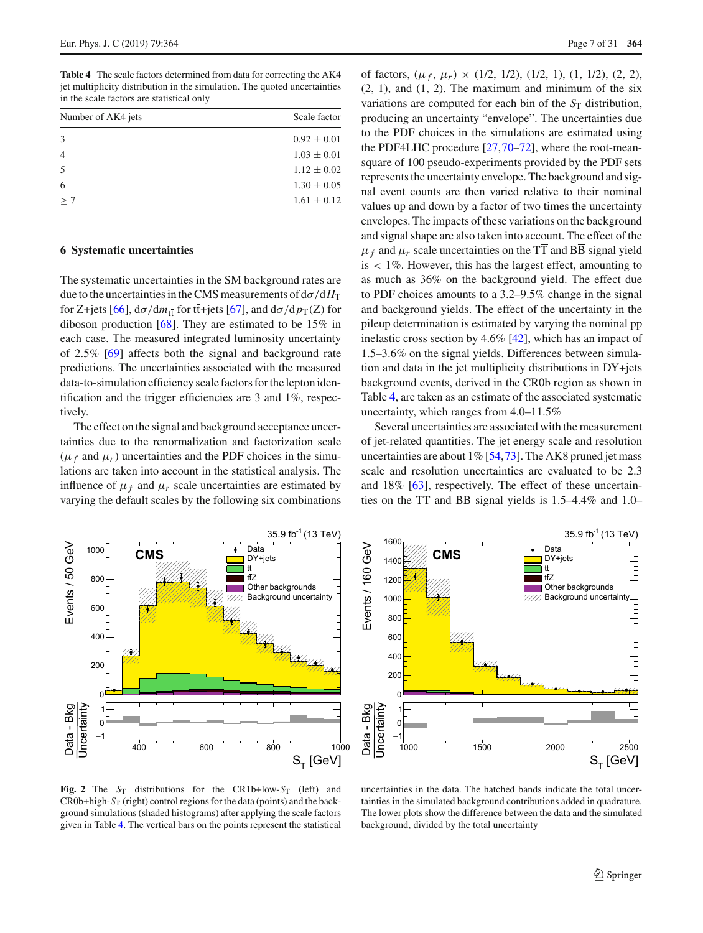<span id="page-6-0"></span>**Table 4** The scale factors determined from data for correcting the AK4 jet multiplicity distribution in the simulation. The quoted uncertainties in the scale factors are statistical only

| Number of AK4 jets | Scale factor    |
|--------------------|-----------------|
| 3                  | $0.92 \pm 0.01$ |
| $\overline{4}$     | $1.03 \pm 0.01$ |
| 5                  | $1.12 \pm 0.02$ |
| 6                  | $1.30 \pm 0.05$ |
| >7                 | $1.61 \pm 0.12$ |

#### **6 Systematic uncertainties**

The systematic uncertainties in the SM background rates are due to the uncertainties in the CMS measurements of  $d\sigma/dH_T$ for Z+jets [\[66\]](#page-17-3),  $d\sigma/dm_{\text{tr}}$  for tt+jets [\[67\]](#page-17-4), and  $d\sigma/dp_{\text{T}}(Z)$  for diboson production [\[68\]](#page-17-5). They are estimated to be 15% in each case. The measured integrated luminosity uncertainty of 2.5% [\[69](#page-17-6)] affects both the signal and background rate predictions. The uncertainties associated with the measured data-to-simulation efficiency scale factors for the lepton identification and the trigger efficiencies are 3 and 1%, respectively.

The effect on the signal and background acceptance uncertainties due to the renormalization and factorization scale  $(\mu_f$  and  $\mu_r)$  uncertainties and the PDF choices in the simulations are taken into account in the statistical analysis. The influence of  $\mu_f$  and  $\mu_r$  scale uncertainties are estimated by varying the default scales by the following six combinations of factors,  $(\mu_f, \mu_r) \times (1/2, 1/2), (1/2, 1), (1, 1/2), (2, 2),$  $(2, 1)$ , and  $(1, 2)$ . The maximum and minimum of the six variations are computed for each bin of the  $S_T$  distribution, producing an uncertainty "envelope". The uncertainties due to the PDF choices in the simulations are estimated using the PDF4LHC procedure [\[27](#page-16-1)[,70](#page-17-7)[–72](#page-17-8)], where the root-meansquare of 100 pseudo-experiments provided by the PDF sets represents the uncertainty envelope. The background and signal event counts are then varied relative to their nominal values up and down by a factor of two times the uncertainty envelopes. The impacts of these variations on the background and signal shape are also taken into account. The effect of the  $\mu_f$  and  $\mu_r$  scale uncertainties on the TT and BB signal yield  $is < 1\%$ . However, this has the largest effect, amounting to as much as 36% on the background yield. The effect due to PDF choices amounts to a 3.2–9.5% change in the signal and background yields. The effect of the uncertainty in the pileup determination is estimated by varying the nominal pp inelastic cross section by 4.6% [\[42](#page-16-15)], which has an impact of 1.5–3.6% on the signal yields. Differences between simulation and data in the jet multiplicity distributions in DY+jets background events, derived in the CR0b region as shown in Table [4,](#page-6-0) are taken as an estimate of the associated systematic uncertainty, which ranges from 4.0–11.5%

Several uncertainties are associated with the measurement of jet-related quantities. The jet energy scale and resolution uncertainties are about  $1\%$  [\[54,](#page-16-27)[73\]](#page-17-9). The AK8 pruned jet mass scale and resolution uncertainties are evaluated to be 2.3 and 18% [\[63\]](#page-17-0), respectively. The effect of these uncertainties on the TT and  $\overline{BB}$  signal yields is 1.5–4.4% and 1.0–





<span id="page-6-1"></span>**Fig. 2** The  $S_T$  distributions for the CR1b+low- $S_T$  (left) and CR0b+high-*S*<sup>T</sup> (right) control regions for the data (points) and the background simulations (shaded histograms) after applying the scale factors given in Table [4.](#page-6-0) The vertical bars on the points represent the statistical

uncertainties in the data. The hatched bands indicate the total uncertainties in the simulated background contributions added in quadrature. The lower plots show the difference between the data and the simulated background, divided by the total uncertainty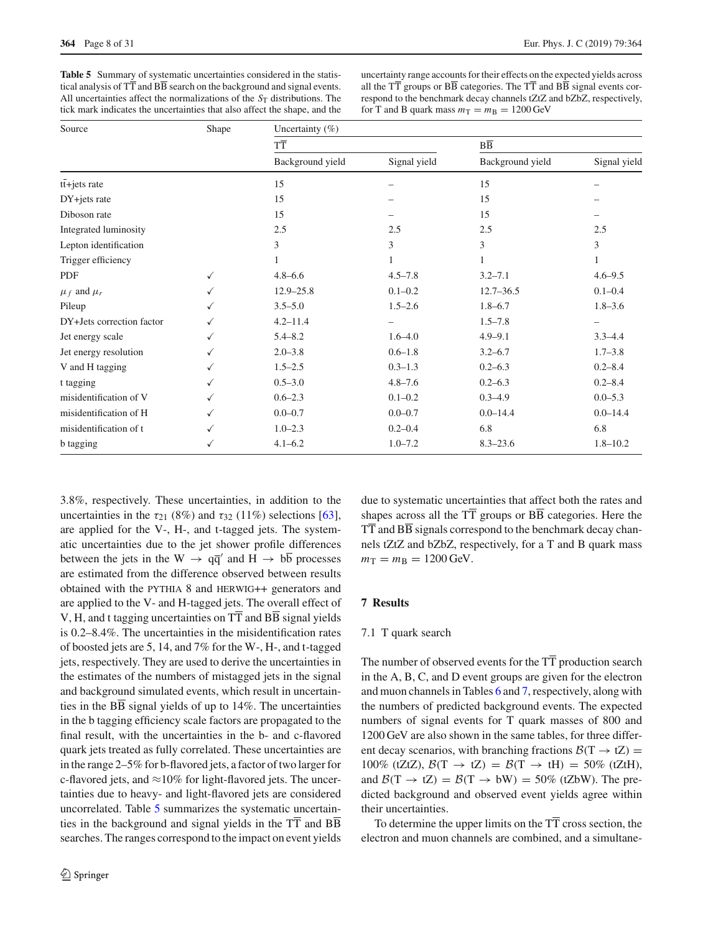<span id="page-7-0"></span>**Table 5** Summary of systematic uncertainties considered in the statistical analysis of  $T\overline{T}$  and  $B\overline{B}$  search on the background and signal events. All uncertainties affect the normalizations of the  $S_T$  distributions. The tick mark indicates the uncertainties that also affect the shape, and the uncertainty range accounts for their effects on the expected yields across all the  $T\overline{T}$  groups or  $B\overline{B}$  categories. The  $T\overline{T}$  and  $B\overline{B}$  signal events correspond to the benchmark decay channels tZtZ and bZbZ, respectively, for T and B quark mass  $m_T = m_B = 1200$  GeV

| Source                    | Shape        | Uncertainty $(\%)$ |              |                                   |              |  |  |
|---------------------------|--------------|--------------------|--------------|-----------------------------------|--------------|--|--|
|                           |              | $T\overline{T}$    |              | $\mathrm{B}\overline{\mathrm{B}}$ |              |  |  |
|                           |              | Background yield   | Signal yield | Background yield                  | Signal yield |  |  |
| $t\bar{t}$ +jets rate     |              | 15                 |              | 15                                |              |  |  |
| $DY+jets$ rate            |              | 15                 |              | 15                                |              |  |  |
| Diboson rate              |              | 15                 |              | 15                                |              |  |  |
| Integrated luminosity     |              | 2.5                | 2.5          | 2.5                               | 2.5          |  |  |
| Lepton identification     |              | 3                  | 3            | 3                                 | 3            |  |  |
| Trigger efficiency        |              | 1                  | 1            | $\mathbf{1}$                      | 1            |  |  |
| PDF                       | ✓            | $4.8 - 6.6$        | $4.5 - 7.8$  | $3.2 - 7.1$                       | $4.6 - 9.5$  |  |  |
| $\mu_f$ and $\mu_r$       |              | $12.9 - 25.8$      | $0.1 - 0.2$  | $12.7 - 36.5$                     | $0.1 - 0.4$  |  |  |
| Pileup                    |              | $3.5 - 5.0$        | $1.5 - 2.6$  | $1.8 - 6.7$                       | $1.8 - 3.6$  |  |  |
| DY+Jets correction factor |              | $4.2 - 11.4$       |              | $1.5 - 7.8$                       |              |  |  |
| Jet energy scale          |              | $5.4 - 8.2$        | $1.6 - 4.0$  | $4.9 - 9.1$                       | $3.3 - 4.4$  |  |  |
| Jet energy resolution     |              | $2.0 - 3.8$        | $0.6 - 1.8$  | $3.2 - 6.7$                       | $1.7 - 3.8$  |  |  |
| V and H tagging           |              | $1.5 - 2.5$        | $0.3 - 1.3$  | $0.2 - 6.3$                       | $0.2 - 8.4$  |  |  |
| t tagging                 |              | $0.5 - 3.0$        | $4.8 - 7.6$  | $0.2 - 6.3$                       | $0.2 - 8.4$  |  |  |
| misidentification of V    | $\checkmark$ | $0.6 - 2.3$        | $0.1 - 0.2$  | $0.3 - 4.9$                       | $0.0 - 5.3$  |  |  |
| misidentification of H    |              | $0.0 - 0.7$        | $0.0 - 0.7$  | $0.0 - 14.4$                      | $0.0 - 14.4$ |  |  |
| misidentification of t    |              | $1.0 - 2.3$        | $0.2 - 0.4$  | 6.8                               | 6.8          |  |  |
| b tagging                 |              | $4.1 - 6.2$        | $1.0 - 7.2$  | $8.3 - 23.6$                      | $1.8 - 10.2$ |  |  |

3.8%, respectively. These uncertainties, in addition to the uncertainties in the  $\tau_{21}$  (8%) and  $\tau_{32}$  (11%) selections [\[63](#page-17-0)], are applied for the V-, H-, and t-tagged jets. The systematic uncertainties due to the jet shower profile differences between the jets in the W  $\rightarrow$  q $\overline{q}'$  and H  $\rightarrow$  bb processes are estimated from the difference observed between results obtained with the PYTHIA 8 and HERWIG++ generators and are applied to the V- and H-tagged jets. The overall effect of V, H, and t tagging uncertainties on  $T\overline{T}$  and  $B\overline{B}$  signal yields is 0.2–8.4%. The uncertainties in the misidentification rates of boosted jets are 5, 14, and 7% for the W-, H-, and t-tagged jets, respectively. They are used to derive the uncertainties in the estimates of the numbers of mistagged jets in the signal and background simulated events, which result in uncertainties in the BB signal yields of up to 14%. The uncertainties in the b tagging efficiency scale factors are propagated to the final result, with the uncertainties in the b- and c-flavored quark jets treated as fully correlated. These uncertainties are in the range 2–5% for b-flavored jets, a factor of two larger for c-flavored jets, and  $\approx$ 10% for light-flavored jets. The uncertainties due to heavy- and light-flavored jets are considered uncorrelated. Table [5](#page-7-0) summarizes the systematic uncertainties in the background and signal yields in the  $T\overline{T}$  and  $B\overline{B}$ searches. The ranges correspond to the impact on event yields due to systematic uncertainties that affect both the rates and shapes across all the  $T\overline{T}$  groups or  $B\overline{B}$  categories. Here the  $T\overline{T}$  and  $B\overline{B}$  signals correspond to the benchmark decay channels tZtZ and bZbZ, respectively, for a T and B quark mass  $m_T = m_B = 1200 \text{ GeV}.$ 

#### **7 Results**

#### 7.1 T quark search

The number of observed events for the  $T\overline{T}$  production search in the A, B, C, and D event groups are given for the electron and muon channels in Tables [6](#page-8-0) and [7,](#page-8-1) respectively, along with the numbers of predicted background events. The expected numbers of signal events for T quark masses of 800 and 1200 GeV are also shown in the same tables, for three different decay scenarios, with branching fractions  $B(T \rightarrow tZ)$  = 100% (tZtZ),  $\mathcal{B}(T \to tZ) = \mathcal{B}(T \to tH) = 50\%$  (tZtH), and  $\mathcal{B}(T \to tZ) = \mathcal{B}(T \to bW) = 50\%$  (tZbW). The predicted background and observed event yields agree within their uncertainties.

To determine the upper limits on the  $T\overline{T}$  cross section, the electron and muon channels are combined, and a simultane-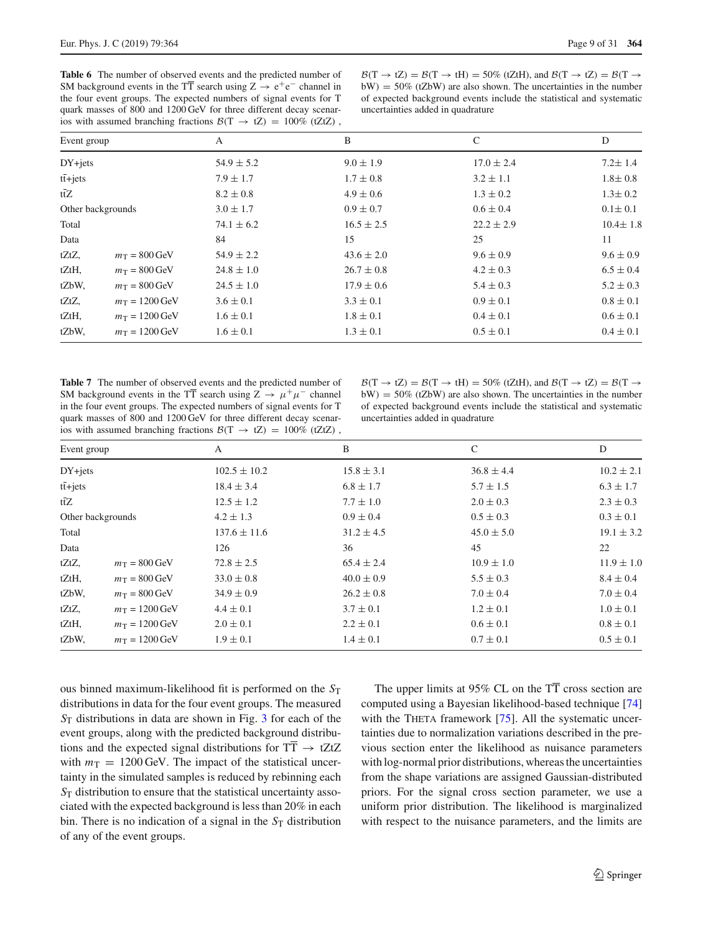<span id="page-8-0"></span>**Table 6** The number of observed events and the predicted number of SM background events in the TT search using  $Z \rightarrow e^+e^-$  channel in the four event groups. The expected numbers of signal events for T quark masses of 800 and 1200 GeV for three different decay scenarios with assumed branching fractions  $B(T \rightarrow tZ) = 100\%$  (tZtZ),

 $B(T \rightarrow tZ) = B(T \rightarrow tH) = 50\%$  (tZtH), and  $B(T \rightarrow tZ) = B(T \rightarrow tZ)$  $bW = 50\%$  (tZbW) are also shown. The uncertainties in the number of expected background events include the statistical and systematic uncertainties added in quadrature

| Event group       |                                 | A              | B              | C              | D              |
|-------------------|---------------------------------|----------------|----------------|----------------|----------------|
| $DY+jets$         |                                 | $54.9 \pm 5.2$ | $9.0 \pm 1.9$  | $17.0 \pm 2.4$ | $7.2 \pm 1.4$  |
| $t\bar{t}$ +jets  |                                 | $7.9 \pm 1.7$  | $1.7 \pm 0.8$  | $3.2 \pm 1.1$  | $1.8 \pm 0.8$  |
| $t\bar{t}Z$       |                                 | $8.2 \pm 0.8$  | $4.9 \pm 0.6$  | $1.3 \pm 0.2$  | $1.3 \pm 0.2$  |
| Other backgrounds |                                 | $3.0 \pm 1.7$  | $0.9 \pm 0.7$  | $0.6 \pm 0.4$  | $0.1 \pm 0.1$  |
| Total             |                                 | $74.1 \pm 6.2$ | $16.5 \pm 2.5$ | $22.2 \pm 2.9$ | $10.4 \pm 1.8$ |
| Data              |                                 | 84             | 15             | 25             | 11             |
| tZtZ              | $m_T = 800 \,\text{GeV}$        | $54.9 \pm 2.2$ | $43.6 \pm 2.0$ | $9.6 \pm 0.9$  | $9.6 \pm 0.9$  |
| tZtH,             | $m_T = 800 \,\text{GeV}$        | $24.8 \pm 1.0$ | $26.7 \pm 0.8$ | $4.2 \pm 0.3$  | $6.5 \pm 0.4$  |
| tZbW,             | $m_T = 800 \,\text{GeV}$        | $24.5 \pm 1.0$ | $17.9 \pm 0.6$ | $5.4 \pm 0.3$  | $5.2 \pm 0.3$  |
| $tZtZ$ ,          | $m_T = 1200 \,\text{GeV}$       | $3.6 \pm 0.1$  | $3.3 \pm 0.1$  | $0.9 \pm 0.1$  | $0.8 \pm 0.1$  |
| tZtH,             | $m_T = 1200 \,\text{GeV}$       | $1.6 \pm 0.1$  | $1.8 \pm 0.1$  | $0.4 \pm 0.1$  | $0.6 \pm 0.1$  |
| tZbW,             | $m_{\rm T} = 1200 \,\text{GeV}$ | $1.6 \pm 0.1$  | $1.3 \pm 0.1$  | $0.5 \pm 0.1$  | $0.4 \pm 0.1$  |

<span id="page-8-1"></span>**Table 7** The number of observed events and the predicted number of SM background events in the TT search using  $Z \rightarrow \mu^+\mu^-$  channel in the four event groups. The expected numbers of signal events for T quark masses of 800 and 1200 GeV for three different decay scenarios with assumed branching fractions  $\mathcal{B}(T \to tZ) = 100\%$  (tZtZ),  $B(T \rightarrow tZ) = B(T \rightarrow tH) = 50\%$  (tZtH), and  $B(T \rightarrow tZ) = B(T \rightarrow tZ)$  $bW = 50\%$  (tZbW) are also shown. The uncertainties in the number of expected background events include the statistical and systematic uncertainties added in quadrature

| Event group      |                           | А                | B              | C              | D              |
|------------------|---------------------------|------------------|----------------|----------------|----------------|
| $DY+jets$        |                           | $102.5 \pm 10.2$ | $15.8 \pm 3.1$ | $36.8 \pm 4.4$ | $10.2 \pm 2.1$ |
| $t\bar{t}$ +jets |                           | $18.4 \pm 3.4$   | $6.8 \pm 1.7$  | $5.7 \pm 1.5$  | $6.3 \pm 1.7$  |
| ttZ              |                           | $12.5 \pm 1.2$   | $7.7 \pm 1.0$  | $2.0 \pm 0.3$  | $2.3 \pm 0.3$  |
|                  | Other backgrounds         | $4.2 \pm 1.3$    | $0.9 \pm 0.4$  | $0.5 \pm 0.3$  | $0.3 \pm 0.1$  |
| Total            |                           | $137.6 \pm 11.6$ | $31.2 \pm 4.5$ | $45.0 \pm 5.0$ | $19.1 \pm 3.2$ |
| Data             |                           | 126              | 36             | 45             | 22             |
| tZtZ             | $m_T = 800 \,\text{GeV}$  | $72.8 \pm 2.5$   | $65.4 \pm 2.4$ | $10.9 \pm 1.0$ | $11.9 \pm 1.0$ |
| tZtH,            | $m_T = 800 \,\text{GeV}$  | $33.0 \pm 0.8$   | $40.0 \pm 0.9$ | $5.5 \pm 0.3$  | $8.4 \pm 0.4$  |
| tZbW,            | $m_T = 800 \,\text{GeV}$  | $34.9 \pm 0.9$   | $26.2 \pm 0.8$ | $7.0 \pm 0.4$  | $7.0 \pm 0.4$  |
| tZtZ,            | $m_T = 1200 \,\text{GeV}$ | $4.4 \pm 0.1$    | $3.7 \pm 0.1$  | $1.2 \pm 0.1$  | $1.0 \pm 0.1$  |
| tZtH,            | $m_T = 1200 \,\text{GeV}$ | $2.0 \pm 0.1$    | $2.2 \pm 0.1$  | $0.6 \pm 0.1$  | $0.8 \pm 0.1$  |
| tZbW,            | $m_T = 1200 \,\text{GeV}$ | $1.9 \pm 0.1$    | $1.4 \pm 0.1$  | $0.7 \pm 0.1$  | $0.5 \pm 0.1$  |

ous binned maximum-likelihood fit is performed on the  $S_T$ distributions in data for the four event groups. The measured *S*<sup>T</sup> distributions in data are shown in Fig. [3](#page-9-0) for each of the event groups, along with the predicted background distributions and the expected signal distributions for  $T\bar{T} \rightarrow tZtZ$ with  $m<sub>T</sub> = 1200 \text{ GeV}$ . The impact of the statistical uncertainty in the simulated samples is reduced by rebinning each *S*<sup>T</sup> distribution to ensure that the statistical uncertainty associated with the expected background is less than 20% in each bin. There is no indication of a signal in the  $S_T$  distribution of any of the event groups.

The upper limits at 95% CL on the  $T\overline{T}$  cross section are computed using a Bayesian likelihood-based technique [\[74\]](#page-17-10) with the THETA framework [\[75](#page-17-11)]. All the systematic uncertainties due to normalization variations described in the previous section enter the likelihood as nuisance parameters with log-normal prior distributions, whereas the uncertainties from the shape variations are assigned Gaussian-distributed priors. For the signal cross section parameter, we use a uniform prior distribution. The likelihood is marginalized with respect to the nuisance parameters, and the limits are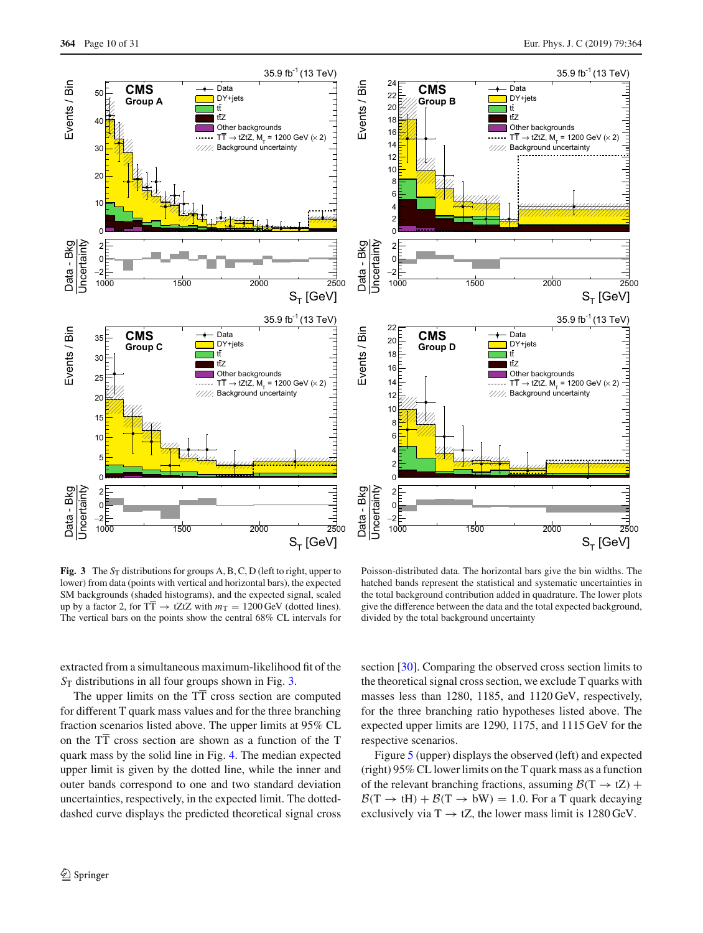

<span id="page-9-0"></span>Fig. 3 The  $S_T$  distributions for groups A, B, C, D (left to right, upper to lower) from data (points with vertical and horizontal bars), the expected SM backgrounds (shaded histograms), and the expected signal, scaled up by a factor 2, for  $T\overline{T} \rightarrow tZtZ$  with  $m_T = 1200 \text{ GeV}$  (dotted lines). The vertical bars on the points show the central 68% CL intervals for

Poisson-distributed data. The horizontal bars give the bin widths. The hatched bands represent the statistical and systematic uncertainties in the total background contribution added in quadrature. The lower plots give the difference between the data and the total expected background, divided by the total background uncertainty

extracted from a simultaneous maximum-likelihood fit of the *S*<sup>T</sup> distributions in all four groups shown in Fig. [3.](#page-9-0)

The upper limits on the  $T\overline{T}$  cross section are computed for different T quark mass values and for the three branching fraction scenarios listed above. The upper limits at 95% CL on the  $T\overline{T}$  cross section are shown as a function of the  $T$ quark mass by the solid line in Fig. [4.](#page-10-0) The median expected upper limit is given by the dotted line, while the inner and outer bands correspond to one and two standard deviation uncertainties, respectively, in the expected limit. The dotteddashed curve displays the predicted theoretical signal cross section [\[30](#page-16-4)]. Comparing the observed cross section limits to the theoretical signal cross section, we exclude T quarks with masses less than 1280, 1185, and 1120 GeV, respectively, for the three branching ratio hypotheses listed above. The expected upper limits are 1290, 1175, and 1115 GeV for the respective scenarios.

Figure [5](#page-11-0) (upper) displays the observed (left) and expected (right) 95% CL lower limits on the T quark mass as a function of the relevant branching fractions, assuming  $B(T \rightarrow tZ)$  +  $B(T \rightarrow tH) + B(T \rightarrow bW) = 1.0$ . For a T quark decaying exclusively via T  $\rightarrow$  tZ, the lower mass limit is 1280 GeV.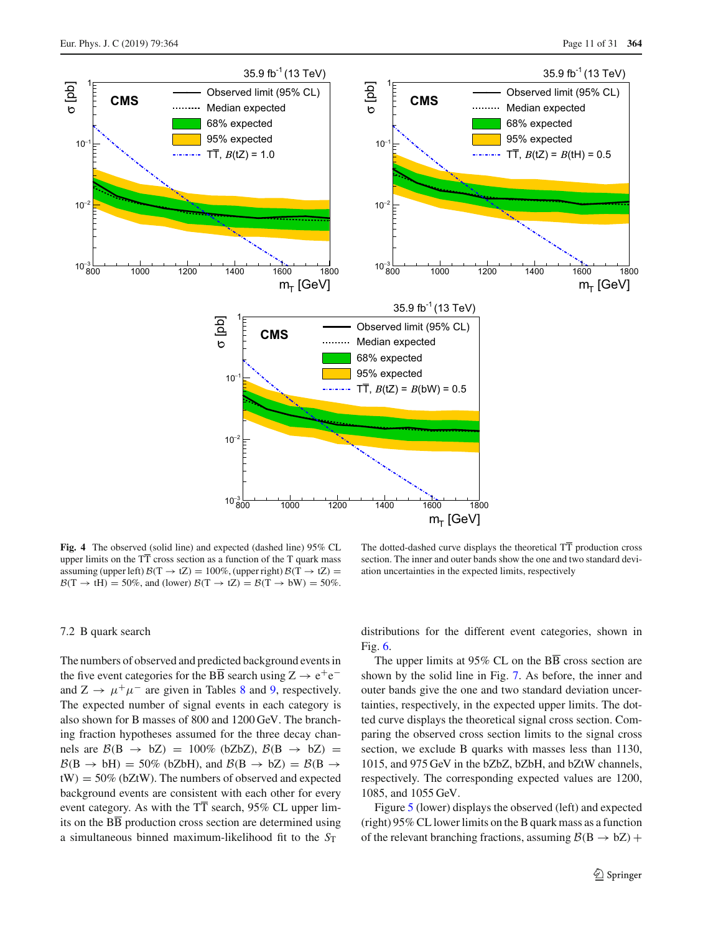

<span id="page-10-0"></span>**Fig. 4** The observed (solid line) and expected (dashed line) 95% CL upper limits on the  $T\overline{T}$  cross section as a function of the  $T$  quark mass assuming (upper left)  $B(T \rightarrow tZ) = 100\%$ , (upper right)  $B(T \rightarrow tZ) =$  $B(T \rightarrow tH) = 50\%$ , and (lower)  $B(T \rightarrow tZ) = B(T \rightarrow bW) = 50\%$ .

The dotted-dashed curve displays the theoretical  $T\overline{T}$  production cross section. The inner and outer bands show the one and two standard deviation uncertainties in the expected limits, respectively

#### 7.2 B quark search

The numbers of observed and predicted background events in the five event categories for the BB search using  $Z \rightarrow e^+e^$ and  $Z \rightarrow \mu^+\mu^-$  are given in Tables [8](#page-12-0) and [9,](#page-12-1) respectively. The expected number of signal events in each category is also shown for B masses of 800 and 1200 GeV. The branching fraction hypotheses assumed for the three decay channels are  $\mathcal{B}(B \rightarrow bZ) = 100\%$  (bZbZ),  $\mathcal{B}(B \rightarrow bZ) =$  $B(B \rightarrow bH) = 50\%$  (bZbH), and  $B(B \rightarrow bZ) = B(B \rightarrow bZ)$  $tW$ ) = 50% (bZtW). The numbers of observed and expected background events are consistent with each other for every event category. As with the  $T\overline{T}$  search, 95% CL upper limits on the  $\overline{BB}$  production cross section are determined using a simultaneous binned maximum-likelihood fit to the S<sub>T</sub>

distributions for the different event categories, shown in Fig. [6.](#page-13-0)

The upper limits at  $95\%$  CL on the BB cross section are shown by the solid line in Fig. [7.](#page-14-0) As before, the inner and outer bands give the one and two standard deviation uncertainties, respectively, in the expected upper limits. The dotted curve displays the theoretical signal cross section. Comparing the observed cross section limits to the signal cross section, we exclude B quarks with masses less than 1130, 1015, and 975 GeV in the bZbZ, bZbH, and bZtW channels, respectively. The corresponding expected values are 1200, 1085, and 1055 GeV.

Figure [5](#page-11-0) (lower) displays the observed (left) and expected (right) 95% CL lower limits on the B quark mass as a function of the relevant branching fractions, assuming  $B(B \to bZ)$  +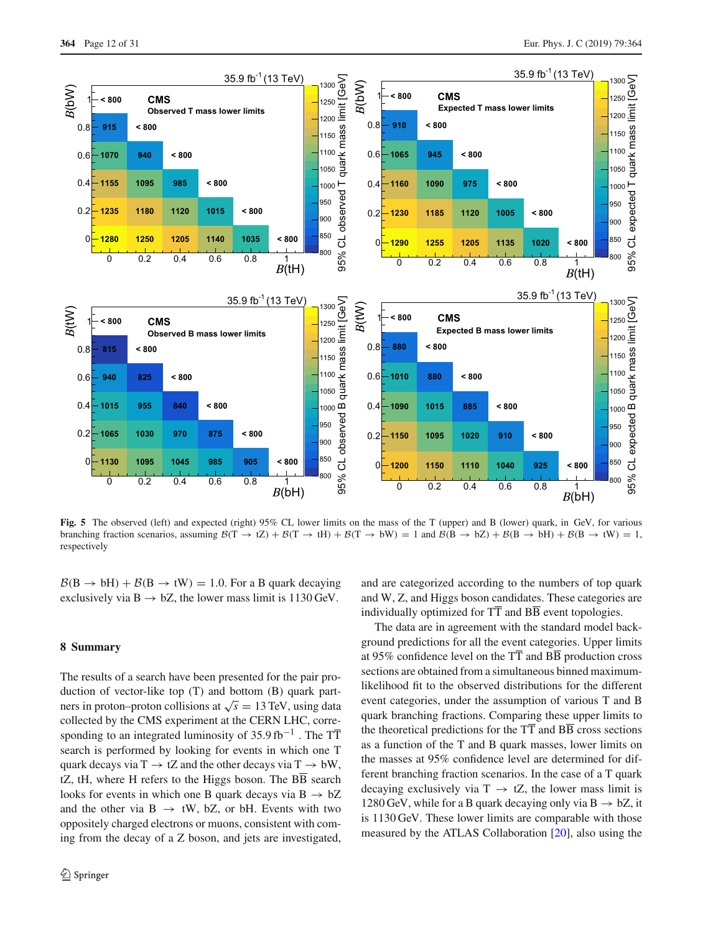

<span id="page-11-0"></span>**Fig. 5** The observed (left) and expected (right) 95% CL lower limits on the mass of the T (upper) and B (lower) quark, in GeV, for various branching fraction scenarios, assuming  $B(T \to tZ) + B(T \to tH) + B(T \to bW) = 1$  and  $B(B \to bZ) + B(B \to bH) + B(B \to tW) = 1$ , respectively

 $B(B \to bH) + B(B \to tW) = 1.0$ . For a B quark decaying exclusively via  $B \rightarrow bZ$ , the lower mass limit is 1130 GeV.

#### **8 Summary**

The results of a search have been presented for the pair production of vector-like top (T) and bottom (B) quark partners in proton–proton collisions at  $\sqrt{s} = 13$  TeV, using data collected by the CMS experiment at the CERN LHC, corresponding to an integrated luminosity of 35.9 fb<sup>-1</sup>. The T $\overline{T}$ search is performed by looking for events in which one T quark decays via  $T \rightarrow tZ$  and the other decays via  $T \rightarrow bW$ , tZ, tH, where H refers to the Higgs boson. The  $\overline{BB}$  search looks for events in which one B quark decays via  $B \rightarrow bZ$ and the other via B  $\rightarrow$  tW, bZ, or bH. Events with two oppositely charged electrons or muons, consistent with coming from the decay of a Z boson, and jets are investigated,

and are categorized according to the numbers of top quark and W, Z, and Higgs boson candidates. These categories are individually optimized for  $T\overline{T}$  and  $B\overline{B}$  event topologies.

The data are in agreement with the standard model background predictions for all the event categories. Upper limits at 95% confidence level on the  $T\overline{T}$  and  $B\overline{B}$  production cross sections are obtained from a simultaneous binned maximumlikelihood fit to the observed distributions for the different event categories, under the assumption of various T and B quark branching fractions. Comparing these upper limits to the theoretical predictions for the  $T\overline{T}$  and  $B\overline{B}$  cross sections as a function of the T and B quark masses, lower limits on the masses at 95% confidence level are determined for different branching fraction scenarios. In the case of a T quark decaying exclusively via  $T \rightarrow tZ$ , the lower mass limit is 1280 GeV, while for a B quark decaying only via  $B \rightarrow bZ$ , it is 1130 GeV. These lower limits are comparable with those measured by the ATLAS Collaboration [\[20\]](#page-15-15), also using the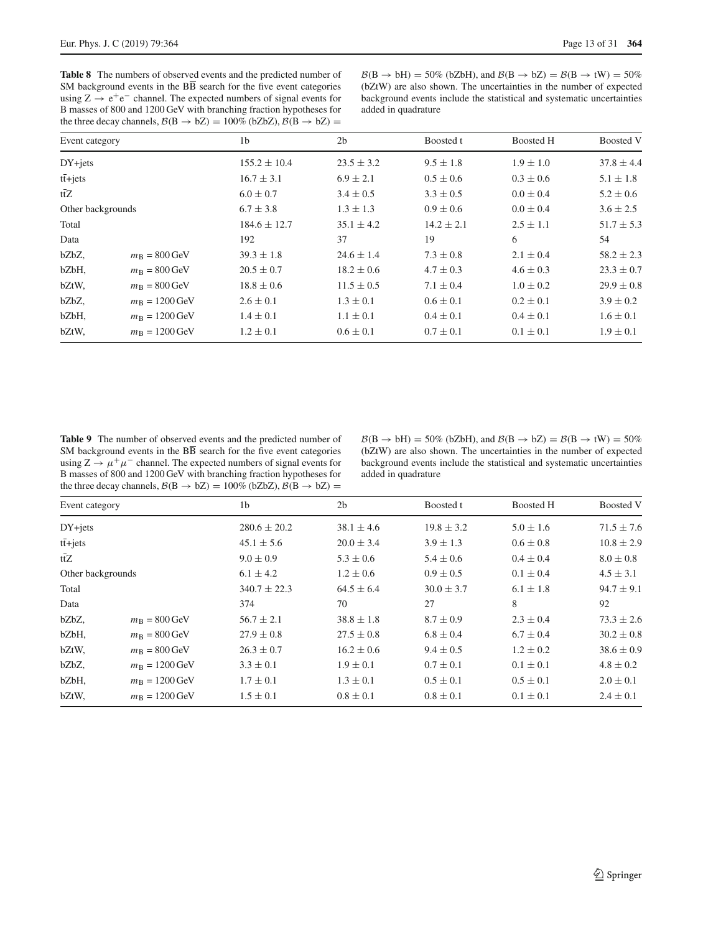<span id="page-12-0"></span>**Table 8** The numbers of observed events and the predicted number of SM background events in the  $\overline{BB}$  search for the five event categories using  $Z \rightarrow e^+e^-$  channel. The expected numbers of signal events for B masses of 800 and 1200 GeV with branching fraction hypotheses for the three decay channels,  $B(B \to bZ) = 100\%$  (bZbZ),  $B(B \to bZ) =$   $B(B \to bH) = 50\%$  (bZbH), and  $B(B \to bZ) = B(B \to tW) = 50\%$ (bZtW) are also shown. The uncertainties in the number of expected background events include the statistical and systematic uncertainties added in quadrature

| Event category    |                                 | 1 <sub>b</sub>   | 2 <sub>b</sub> | Boosted t      | Boosted H     | <b>Boosted V</b> |
|-------------------|---------------------------------|------------------|----------------|----------------|---------------|------------------|
| $DY+jets$         |                                 | $155.2 \pm 10.4$ | $23.5 \pm 3.2$ | $9.5 \pm 1.8$  | $1.9 \pm 1.0$ | $37.8 \pm 4.4$   |
| $t\bar{t}$ +jets  |                                 | $16.7 \pm 3.1$   | $6.9 \pm 2.1$  | $0.5 \pm 0.6$  | $0.3 \pm 0.6$ | $5.1 \pm 1.8$    |
| $t\bar{t}Z$       |                                 | $6.0 \pm 0.7$    | $3.4 \pm 0.5$  | $3.3 \pm 0.5$  | $0.0 \pm 0.4$ | $5.2 \pm 0.6$    |
| Other backgrounds |                                 | $6.7 \pm 3.8$    | $1.3 \pm 1.3$  | $0.9 \pm 0.6$  | $0.0 \pm 0.4$ | $3.6 \pm 2.5$    |
| Total             |                                 | $184.6 \pm 12.7$ | $35.1 \pm 4.2$ | $14.2 \pm 2.1$ | $2.5 \pm 1.1$ | $51.7 \pm 5.3$   |
| Data              |                                 | 192              | 37             | 19             | 6             | 54               |
| bZbZ,             | $m_B = 800 \,\text{GeV}$        | $39.3 \pm 1.8$   | $24.6 \pm 1.4$ | $7.3 \pm 0.8$  | $2.1 \pm 0.4$ | $58.2 \pm 2.3$   |
| bZbH,             | $m_B = 800 \,\text{GeV}$        | $20.5 \pm 0.7$   | $18.2 \pm 0.6$ | $4.7 \pm 0.3$  | $4.6 \pm 0.3$ | $23.3 \pm 0.7$   |
| bZtW,             | $m_B = 800 \,\text{GeV}$        | $18.8 \pm 0.6$   | $11.5 \pm 0.5$ | $7.1 \pm 0.4$  | $1.0 \pm 0.2$ | $29.9 \pm 0.8$   |
| bZbZ,             | $m_B = 1200 \,\text{GeV}$       | $2.6 \pm 0.1$    | $1.3 \pm 0.1$  | $0.6 \pm 0.1$  | $0.2 \pm 0.1$ | $3.9 \pm 0.2$    |
| bZbH,             | $m_{\rm B} = 1200 \,\text{GeV}$ | $1.4 \pm 0.1$    | $1.1 \pm 0.1$  | $0.4 \pm 0.1$  | $0.4 \pm 0.1$ | $1.6 \pm 0.1$    |
| bZtW,             | $m_B = 1200 \,\text{GeV}$       | $1.2 \pm 0.1$    | $0.6 \pm 0.1$  | $0.7 \pm 0.1$  | $0.1 \pm 0.1$ | $1.9 \pm 0.1$    |

<span id="page-12-1"></span>**Table 9** The number of observed events and the predicted number of SM background events in the  $\overline{BB}$  search for the five event categories using  $Z \rightarrow \mu^+\mu^-$  channel. The expected numbers of signal events for B masses of 800 and 1200 GeV with branching fraction hypotheses for the three decay channels,  $B(B \to bZ) = 100\%$  (bZbZ),  $B(B \to bZ) =$ 

 $B(B \to bH) = 50\%$  (bZbH), and  $B(B \to bZ) = B(B \to tW) = 50\%$ (bZtW) are also shown. The uncertainties in the number of expected background events include the statistical and systematic uncertainties added in quadrature

| Event category    |                                 | 1 <sub>b</sub>   | 2 <sub>b</sub> | Boosted t      | Boosted H     | <b>Boosted V</b> |
|-------------------|---------------------------------|------------------|----------------|----------------|---------------|------------------|
| $DY+jets$         |                                 | $280.6 \pm 20.2$ | $38.1 \pm 4.6$ | $19.8 \pm 3.2$ | $5.0 \pm 1.6$ | $71.5 \pm 7.6$   |
| $t\bar{t}$ +jets  |                                 | $45.1 \pm 5.6$   | $20.0 \pm 3.4$ | $3.9 \pm 1.3$  | $0.6 \pm 0.8$ | $10.8 \pm 2.9$   |
| $t\bar{t}Z$       |                                 | $9.0 \pm 0.9$    | $5.3 \pm 0.6$  | $5.4 \pm 0.6$  | $0.4 \pm 0.4$ | $8.0 \pm 0.8$    |
| Other backgrounds |                                 | $6.1 \pm 4.2$    | $1.2 \pm 0.6$  | $0.9 \pm 0.5$  | $0.1 \pm 0.4$ | $4.5 \pm 3.1$    |
| Total             |                                 | $340.7 \pm 22.3$ | $64.5 \pm 6.4$ | $30.0 \pm 3.7$ | $6.1 \pm 1.8$ | $94.7 \pm 9.1$   |
| Data              |                                 | 374              | 70             | 27             | 8             | 92               |
| bZbZ,             | $m_B = 800 \,\text{GeV}$        | $56.7 \pm 2.1$   | $38.8 \pm 1.8$ | $8.7 \pm 0.9$  | $2.3 \pm 0.4$ | $73.3 \pm 2.6$   |
| bZbH,             | $m_{\rm B} = 800$ GeV           | $27.9 \pm 0.8$   | $27.5 \pm 0.8$ | $6.8 \pm 0.4$  | $6.7 \pm 0.4$ | $30.2 \pm 0.8$   |
| bZtW,             | $m_B = 800 \,\text{GeV}$        | $26.3 \pm 0.7$   | $16.2 \pm 0.6$ | $9.4 \pm 0.5$  | $1.2 \pm 0.2$ | $38.6 \pm 0.9$   |
| bZbZ,             | $m_B = 1200 \,\text{GeV}$       | $3.3 \pm 0.1$    | $1.9 \pm 0.1$  | $0.7 \pm 0.1$  | $0.1 \pm 0.1$ | $4.8 \pm 0.2$    |
| bZbH,             | $m_B = 1200 \,\text{GeV}$       | $1.7 \pm 0.1$    | $1.3 \pm 0.1$  | $0.5 \pm 0.1$  | $0.5 \pm 0.1$ | $2.0 \pm 0.1$    |
| bZtW,             | $m_{\rm B} = 1200 \,\text{GeV}$ | $1.5 \pm 0.1$    | $0.8 \pm 0.1$  | $0.8 \pm 0.1$  | $0.1 \pm 0.1$ | $2.4 \pm 0.1$    |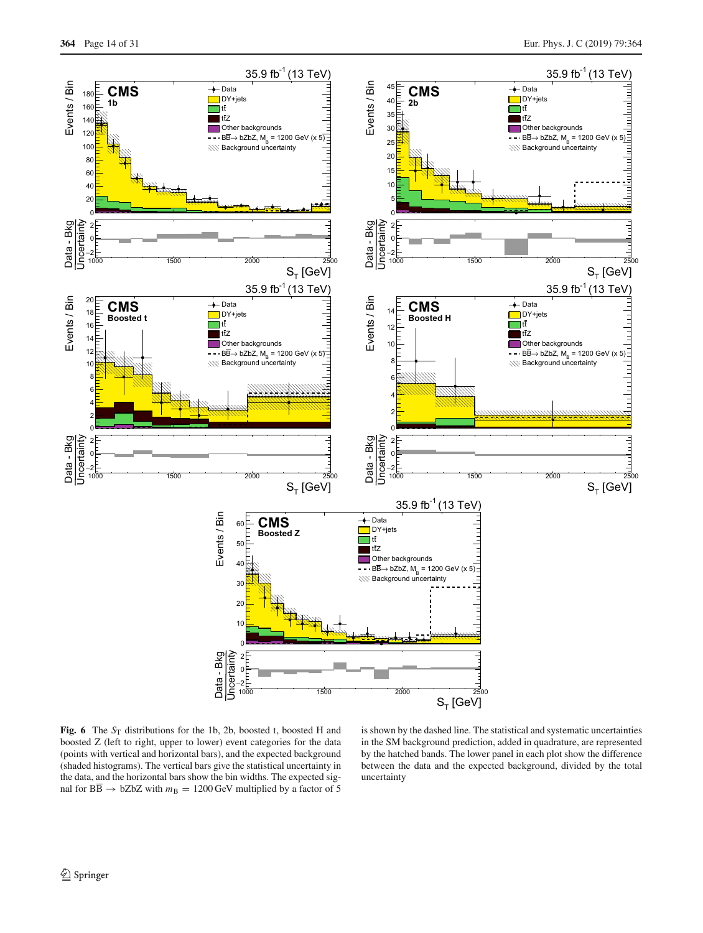

<span id="page-13-0"></span>**Fig. 6** The  $S_T$  distributions for the 1b, 2b, boosted t, boosted H and boosted Z (left to right, upper to lower) event categories for the data (points with vertical and horizontal bars), and the expected background (shaded histograms). The vertical bars give the statistical uncertainty in the data, and the horizontal bars show the bin widths. The expected signal for  $\overline{BB} \rightarrow bZbZ$  with  $m_B = 1200$  GeV multiplied by a factor of 5

is shown by the dashed line. The statistical and systematic uncertainties in the SM background prediction, added in quadrature, are represented by the hatched bands. The lower panel in each plot show the difference between the data and the expected background, divided by the total uncertainty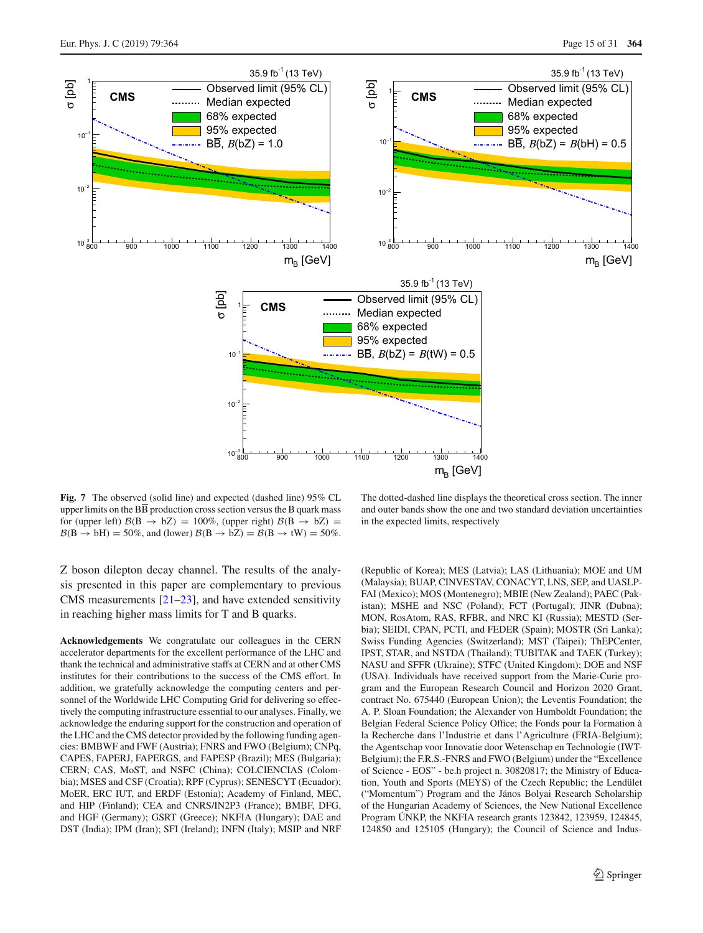

<span id="page-14-0"></span>**Fig. 7** The observed (solid line) and expected (dashed line) 95% CL upper limits on the  $\overline{BB}$  production cross section versus the B quark mass for (upper left)  $B(B \to bZ) = 100\%$ , (upper right)  $B(B \to bZ) =$  $B(B \to bH) = 50\%$ , and (lower)  $B(B \to bZ) = B(B \to tW) = 50\%$ .

Z boson dilepton decay channel. The results of the analysis presented in this paper are complementary to previous CMS measurements [\[21](#page-15-16)[–23\]](#page-15-17), and have extended sensitivity in reaching higher mass limits for T and B quarks.

**Acknowledgements** We congratulate our colleagues in the CERN accelerator departments for the excellent performance of the LHC and thank the technical and administrative staffs at CERN and at other CMS institutes for their contributions to the success of the CMS effort. In addition, we gratefully acknowledge the computing centers and personnel of the Worldwide LHC Computing Grid for delivering so effectively the computing infrastructure essential to our analyses. Finally, we acknowledge the enduring support for the construction and operation of the LHC and the CMS detector provided by the following funding agencies: BMBWF and FWF (Austria); FNRS and FWO (Belgium); CNPq, CAPES, FAPERJ, FAPERGS, and FAPESP (Brazil); MES (Bulgaria); CERN; CAS, MoST, and NSFC (China); COLCIENCIAS (Colombia); MSES and CSF (Croatia); RPF (Cyprus); SENESCYT (Ecuador); MoER, ERC IUT, and ERDF (Estonia); Academy of Finland, MEC, and HIP (Finland); CEA and CNRS/IN2P3 (France); BMBF, DFG, and HGF (Germany); GSRT (Greece); NKFIA (Hungary); DAE and DST (India); IPM (Iran); SFI (Ireland); INFN (Italy); MSIP and NRF

The dotted-dashed line displays the theoretical cross section. The inner and outer bands show the one and two standard deviation uncertainties in the expected limits, respectively

(Republic of Korea); MES (Latvia); LAS (Lithuania); MOE and UM (Malaysia); BUAP, CINVESTAV, CONACYT, LNS, SEP, and UASLP-FAI (Mexico); MOS (Montenegro); MBIE (New Zealand); PAEC (Pakistan); MSHE and NSC (Poland); FCT (Portugal); JINR (Dubna); MON, RosAtom, RAS, RFBR, and NRC KI (Russia); MESTD (Serbia); SEIDI, CPAN, PCTI, and FEDER (Spain); MOSTR (Sri Lanka); Swiss Funding Agencies (Switzerland); MST (Taipei); ThEPCenter, IPST, STAR, and NSTDA (Thailand); TUBITAK and TAEK (Turkey); NASU and SFFR (Ukraine); STFC (United Kingdom); DOE and NSF (USA). Individuals have received support from the Marie-Curie program and the European Research Council and Horizon 2020 Grant, contract No. 675440 (European Union); the Leventis Foundation; the A. P. Sloan Foundation; the Alexander von Humboldt Foundation; the Belgian Federal Science Policy Office; the Fonds pour la Formation à la Recherche dans l'Industrie et dans l'Agriculture (FRIA-Belgium); the Agentschap voor Innovatie door Wetenschap en Technologie (IWT-Belgium); the F.R.S.-FNRS and FWO (Belgium) under the "Excellence of Science - EOS" - be.h project n. 30820817; the Ministry of Education, Youth and Sports (MEYS) of the Czech Republic; the Lendület ("Momentum") Program and the János Bolyai Research Scholarship of the Hungarian Academy of Sciences, the New National Excellence Program ÚNKP, the NKFIA research grants 123842, 123959, 124845, 124850 and 125105 (Hungary); the Council of Science and Indus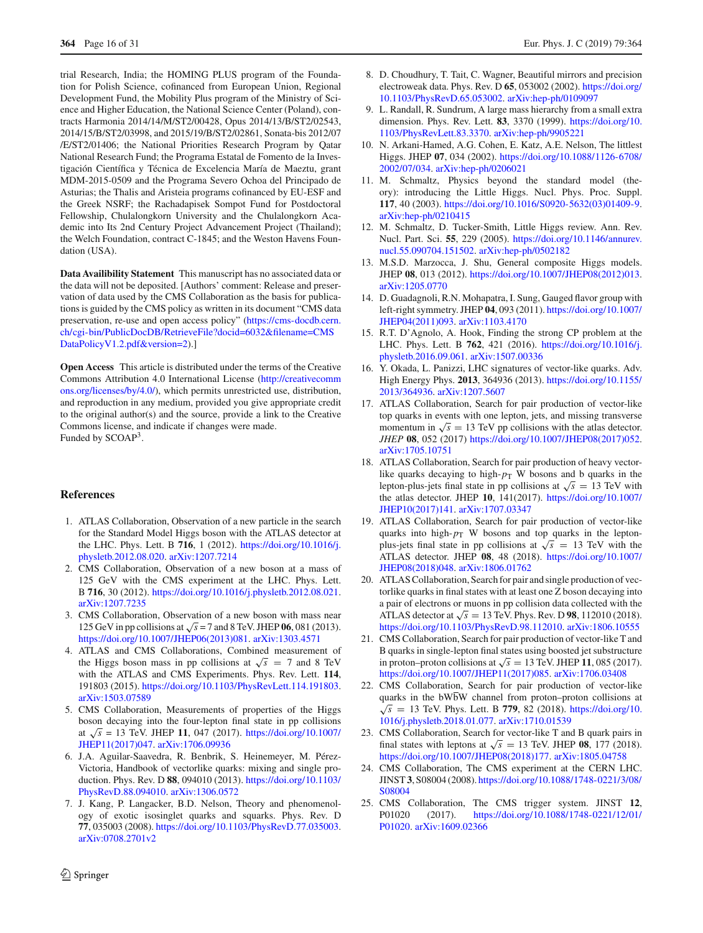trial Research, India; the HOMING PLUS program of the Foundation for Polish Science, cofinanced from European Union, Regional Development Fund, the Mobility Plus program of the Ministry of Science and Higher Education, the National Science Center (Poland), contracts Harmonia 2014/14/M/ST2/00428, Opus 2014/13/B/ST2/02543, 2014/15/B/ST2/03998, and 2015/19/B/ST2/02861, Sonata-bis 2012/07 /E/ST2/01406; the National Priorities Research Program by Qatar National Research Fund; the Programa Estatal de Fomento de la Investigación Científica y Técnica de Excelencia María de Maeztu, grant MDM-2015-0509 and the Programa Severo Ochoa del Principado de Asturias; the Thalis and Aristeia programs cofinanced by EU-ESF and the Greek NSRF; the Rachadapisek Sompot Fund for Postdoctoral Fellowship, Chulalongkorn University and the Chulalongkorn Academic into Its 2nd Century Project Advancement Project (Thailand); the Welch Foundation, contract C-1845; and the Weston Havens Foundation (USA).

**Data Availibility Statement** This manuscript has no associated data or the data will not be deposited. [Authors' comment: Release and preservation of data used by the CMS Collaboration as the basis for publications is guided by the CMS policy as written in its document "CMS data preservation, re-use and open access policy" [\(https://cms-docdb.cern.](https://cms-docdb.cern.ch/cgi-bin/PublicDocDB/RetrieveFile?docid=6032&filename=CMSDataPolicyV1.2.pdf&version=2) [ch/cgi-bin/PublicDocDB/RetrieveFile?docid=6032&filename=CMS](https://cms-docdb.cern.ch/cgi-bin/PublicDocDB/RetrieveFile?docid=6032&filename=CMSDataPolicyV1.2.pdf&version=2) [DataPolicyV1.2.pdf&version=2\)](https://cms-docdb.cern.ch/cgi-bin/PublicDocDB/RetrieveFile?docid=6032&filename=CMSDataPolicyV1.2.pdf&version=2).]

**Open Access** This article is distributed under the terms of the Creative Commons Attribution 4.0 International License [\(http://creativecomm](http://creativecommons.org/licenses/by/4.0/) [ons.org/licenses/by/4.0/\)](http://creativecommons.org/licenses/by/4.0/), which permits unrestricted use, distribution, and reproduction in any medium, provided you give appropriate credit to the original author(s) and the source, provide a link to the Creative Commons license, and indicate if changes were made. Funded by SCOAP3.

#### **References**

- <span id="page-15-0"></span>1. ATLAS Collaboration, Observation of a new particle in the search for the Standard Model Higgs boson with the ATLAS detector at the LHC. Phys. Lett. B **716**, 1 (2012). [https://doi.org/10.1016/j.](https://doi.org/10.1016/j.physletb.2012.08.020) [physletb.2012.08.020.](https://doi.org/10.1016/j.physletb.2012.08.020) [arXiv:1207.7214](http://arxiv.org/abs/1207.7214)
- 2. CMS Collaboration, Observation of a new boson at a mass of 125 GeV with the CMS experiment at the LHC. Phys. Lett. B **716**, 30 (2012). [https://doi.org/10.1016/j.physletb.2012.08.021.](https://doi.org/10.1016/j.physletb.2012.08.021) [arXiv:1207.7235](http://arxiv.org/abs/1207.7235)
- <span id="page-15-1"></span>3. CMS Collaboration, Observation of a new boson with mass near 125 GeV in pp collisions at  $\sqrt{s}$  = 7 and 8 TeV. JHEP 06, 081 (2013). [https://doi.org/10.1007/JHEP06\(2013\)081.](https://doi.org/10.1007/JHEP06(2013)081) [arXiv:1303.4571](http://arxiv.org/abs/1303.4571)
- <span id="page-15-2"></span>4. ATLAS and CMS Collaborations, Combined measurement of the Higgs boson mass in pp collisions at  $\sqrt{s}$  = 7 and 8 TeV with the ATLAS and CMS Experiments. Phys. Rev. Lett. **114**, 191803 (2015). [https://doi.org/10.1103/PhysRevLett.114.191803.](https://doi.org/10.1103/PhysRevLett.114.191803) [arXiv:1503.07589](http://arxiv.org/abs/1503.07589)
- <span id="page-15-3"></span>5. CMS Collaboration, Measurements of properties of the Higgs boson decaying into the four-lepton final state in pp collisions at  $\sqrt{s}$  = 13 TeV. JHEP 11, 047 (2017). [https://doi.org/10.1007/](https://doi.org/10.1007/JHEP11(2017)047) [JHEP11\(2017\)047.](https://doi.org/10.1007/JHEP11(2017)047) [arXiv:1706.09936](http://arxiv.org/abs/1706.09936)
- <span id="page-15-4"></span>6. J.A. Aguilar-Saavedra, R. Benbrik, S. Heinemeyer, M. Pérez-Victoria, Handbook of vectorlike quarks: mixing and single production. Phys. Rev. D **88**, 094010 (2013). [https://doi.org/10.1103/](https://doi.org/10.1103/PhysRevD.88.094010) [PhysRevD.88.094010.](https://doi.org/10.1103/PhysRevD.88.094010) [arXiv:1306.0572](http://arxiv.org/abs/1306.0572)
- <span id="page-15-5"></span>7. J. Kang, P. Langacker, B.D. Nelson, Theory and phenomenology of exotic isosinglet quarks and squarks. Phys. Rev. D **77**, 035003 (2008). [https://doi.org/10.1103/PhysRevD.77.035003.](https://doi.org/10.1103/PhysRevD.77.035003) [arXiv:0708.2701v2](http://arxiv.org/abs/0708.2701v2)
- <span id="page-15-6"></span>8. D. Choudhury, T. Tait, C. Wagner, Beautiful mirrors and precision electroweak data. Phys. Rev. D **65**, 053002 (2002). [https://doi.org/](https://doi.org/10.1103/PhysRevD.65.053002) [10.1103/PhysRevD.65.053002.](https://doi.org/10.1103/PhysRevD.65.053002) [arXiv:hep-ph/0109097](http://arxiv.org/abs/hep-ph/0109097)
- <span id="page-15-7"></span>9. L. Randall, R. Sundrum, A large mass hierarchy from a small extra dimension. Phys. Rev. Lett. **83**, 3370 (1999). [https://doi.org/10.](https://doi.org/10.1103/PhysRevLett.83.3370) [1103/PhysRevLett.83.3370.](https://doi.org/10.1103/PhysRevLett.83.3370) [arXiv:hep-ph/9905221](http://arxiv.org/abs/hep-ph/9905221)
- <span id="page-15-8"></span>10. N. Arkani-Hamed, A.G. Cohen, E. Katz, A.E. Nelson, The littlest Higgs. JHEP **07**, 034 (2002). [https://doi.org/10.1088/1126-6708/](https://doi.org/10.1088/1126-6708/2002/07/034) [2002/07/034.](https://doi.org/10.1088/1126-6708/2002/07/034) [arXiv:hep-ph/0206021](http://arxiv.org/abs/hep-ph/0206021)
- 11. M. Schmaltz, Physics beyond the standard model (theory): introducing the Little Higgs. Nucl. Phys. Proc. Suppl. **117**, 40 (2003). [https://doi.org/10.1016/S0920-5632\(03\)01409-9.](https://doi.org/10.1016/S0920-5632(03)01409-9) [arXiv:hep-ph/0210415](http://arxiv.org/abs/hep-ph/0210415)
- <span id="page-15-9"></span>12. M. Schmaltz, D. Tucker-Smith, Little Higgs review. Ann. Rev. Nucl. Part. Sci. **55**, 229 (2005). [https://doi.org/10.1146/annurev.](https://doi.org/10.1146/annurev.nucl.55.090704.151502) [nucl.55.090704.151502.](https://doi.org/10.1146/annurev.nucl.55.090704.151502) [arXiv:hep-ph/0502182](http://arxiv.org/abs/hep-ph/0502182)
- <span id="page-15-10"></span>13. M.S.D. Marzocca, J. Shu, General composite Higgs models. JHEP **08**, 013 (2012). [https://doi.org/10.1007/JHEP08\(2012\)013.](https://doi.org/10.1007/JHEP08(2012)013) [arXiv:1205.0770](http://arxiv.org/abs/1205.0770)
- <span id="page-15-11"></span>14. D. Guadagnoli, R.N. Mohapatra, I. Sung, Gauged flavor group with left-right symmetry. JHEP **04**, 093 (2011). [https://doi.org/10.1007/](https://doi.org/10.1007/JHEP04(2011)093) [JHEP04\(2011\)093.](https://doi.org/10.1007/JHEP04(2011)093) [arXiv:1103.4170](http://arxiv.org/abs/1103.4170)
- <span id="page-15-12"></span>15. R.T. D'Agnolo, A. Hook, Finding the strong CP problem at the LHC. Phys. Lett. B **762**, 421 (2016). [https://doi.org/10.1016/j.](https://doi.org/10.1016/j.physletb.2016.09.061) [physletb.2016.09.061.](https://doi.org/10.1016/j.physletb.2016.09.061) [arXiv:1507.00336](http://arxiv.org/abs/1507.00336)
- <span id="page-15-13"></span>16. Y. Okada, L. Panizzi, LHC signatures of vector-like quarks. Adv. High Energy Phys. **2013**, 364936 (2013). [https://doi.org/10.1155/](https://doi.org/10.1155/2013/364936) [2013/364936.](https://doi.org/10.1155/2013/364936) [arXiv:1207.5607](http://arxiv.org/abs/1207.5607)
- <span id="page-15-14"></span>17. ATLAS Collaboration, Search for pair production of vector-like top quarks in events with one lepton, jets, and missing transverse momentum in  $\sqrt{s} = 13$  TeV pp collisions with the atlas detector. *JHEP* **08**, 052 (2017) [https://doi.org/10.1007/JHEP08\(2017\)052.](https://doi.org/10.1007/JHEP08(2017)052) [arXiv:1705.10751](http://arxiv.org/abs/1705.10751)
- 18. ATLAS Collaboration, Search for pair production of heavy vectorlike quarks decaying to high- $p_T$  W bosons and b quarks in the lepton-plus-jets final state in pp collisions at  $\sqrt{s}$  = 13 TeV with the atlas detector. JHEP **10**, 141(2017). [https://doi.org/10.1007/](https://doi.org/10.1007/JHEP10(2017)141) [JHEP10\(2017\)141.](https://doi.org/10.1007/JHEP10(2017)141) [arXiv:1707.03347](http://arxiv.org/abs/1707.03347)
- 19. ATLAS Collaboration, Search for pair production of vector-like quarks into high- $p_T$  W bosons and top quarks in the leptonplus-jets final state in pp collisions at  $\sqrt{s}$  = 13 TeV with the ATLAS detector. JHEP **08**, 48 (2018). [https://doi.org/10.1007/](https://doi.org/10.1007/JHEP08(2018)048) [JHEP08\(2018\)048.](https://doi.org/10.1007/JHEP08(2018)048) [arXiv:1806.01762](http://arxiv.org/abs/1806.01762)
- <span id="page-15-15"></span>20. ATLAS Collaboration, Search for pair and single production of vectorlike quarks in final states with at least one Z boson decaying into a pair of electrons or muons in pp collision data collected with the ATLAS detector at  $\sqrt{s} = 13$  TeV. Phys. Rev. D 98, 112010 (2018). [https://doi.org/10.1103/PhysRevD.98.112010.](https://doi.org/10.1103/PhysRevD.98.112010) [arXiv:1806.10555](http://arxiv.org/abs/1806.10555)
- <span id="page-15-16"></span>21. CMS Collaboration, Search for pair production of vector-like T and B quarks in single-lepton final states using boosted jet substructure in proton–proton collisions at  $\sqrt{s}$  = 13 TeV. JHEP 11, 085 (2017). [https://doi.org/10.1007/JHEP11\(2017\)085.](https://doi.org/10.1007/JHEP11(2017)085) [arXiv:1706.03408](http://arxiv.org/abs/1706.03408)
- 22. CMS Collaboration, Search for pair production of vector-like quarks in the bWbW channel from proton–proton collisions at  $√s = 13$  TeV. Phys. Lett. B **779**, 82 (2018). [https://doi.org/10.](https://doi.org/10.1016/j.physletb.2018.01.077) [1016/j.physletb.2018.01.077.](https://doi.org/10.1016/j.physletb.2018.01.077) [arXiv:1710.01539](http://arxiv.org/abs/1710.01539)
- <span id="page-15-17"></span>23. CMS Collaboration, Search for vector-like T and B quark pairs in final states with leptons at  $\sqrt{s}$  = 13 TeV. JHEP 08, 177 (2018). [https://doi.org/10.1007/JHEP08\(2018\)177.](https://doi.org/10.1007/JHEP08(2018)177) [arXiv:1805.04758](http://arxiv.org/abs/1805.04758)
- <span id="page-15-18"></span>24. CMS Collaboration, The CMS experiment at the CERN LHC. JINST**3**, S08004 (2008). [https://doi.org/10.1088/1748-0221/3/08/](https://doi.org/10.1088/1748-0221/3/08/S08004) [S08004](https://doi.org/10.1088/1748-0221/3/08/S08004)
- <span id="page-15-19"></span>25. CMS Collaboration, The CMS trigger system. JINST **12**, P01020 (2017). [https://doi.org/10.1088/1748-0221/12/01/](https://doi.org/10.1088/1748-0221/12/01/P01020) [P01020.](https://doi.org/10.1088/1748-0221/12/01/P01020) [arXiv:1609.02366](http://arxiv.org/abs/1609.02366)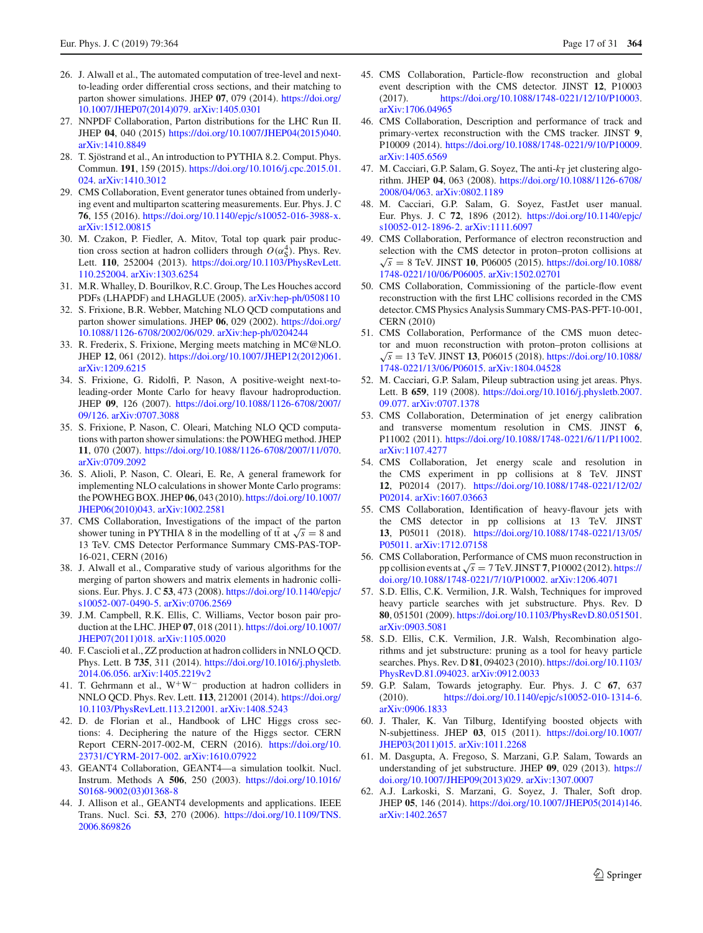- <span id="page-16-0"></span>26. J. Alwall et al., The automated computation of tree-level and nextto-leading order differential cross sections, and their matching to parton shower simulations. JHEP **07**, 079 (2014). [https://doi.org/](https://doi.org/10.1007/JHEP07(2014)079) [10.1007/JHEP07\(2014\)079.](https://doi.org/10.1007/JHEP07(2014)079) [arXiv:1405.0301](http://arxiv.org/abs/1405.0301)
- <span id="page-16-1"></span>27. NNPDF Collaboration, Parton distributions for the LHC Run II. JHEP **04**, 040 (2015) [https://doi.org/10.1007/JHEP04\(2015\)040.](https://doi.org/10.1007/JHEP04(2015)040) [arXiv:1410.8849](http://arxiv.org/abs/1410.8849)
- <span id="page-16-2"></span>28. T. Sjöstrand et al., An introduction to PYTHIA 8.2. Comput. Phys. Commun. **191**, 159 (2015). [https://doi.org/10.1016/j.cpc.2015.01.](https://doi.org/10.1016/j.cpc.2015.01.024) [024.](https://doi.org/10.1016/j.cpc.2015.01.024) [arXiv:1410.3012](http://arxiv.org/abs/1410.3012)
- <span id="page-16-3"></span>29. CMS Collaboration, Event generator tunes obtained from underlying event and multiparton scattering measurements. Eur. Phys. J. C **76**, 155 (2016). [https://doi.org/10.1140/epjc/s10052-016-3988-x.](https://doi.org/10.1140/epjc/s10052-016-3988-x) [arXiv:1512.00815](http://arxiv.org/abs/1512.00815)
- <span id="page-16-4"></span>30. M. Czakon, P. Fiedler, A. Mitov, Total top quark pair production cross section at hadron colliders through  $O(\alpha_S^4)$ . Phys. Rev. Lett. **110**, 252004 (2013). [https://doi.org/10.1103/PhysRevLett.](https://doi.org/10.1103/PhysRevLett.110.252004) [110.252004.](https://doi.org/10.1103/PhysRevLett.110.252004) [arXiv:1303.6254](http://arxiv.org/abs/1303.6254)
- <span id="page-16-5"></span>31. M.R. Whalley, D. Bourilkov, R.C. Group, The Les Houches accord PDFs (LHAPDF) and LHAGLUE (2005). [arXiv:hep-ph/0508110](http://arxiv.org/abs/hep-ph/0508110)
- <span id="page-16-6"></span>32. S. Frixione, B.R. Webber, Matching NLO QCD computations and parton shower simulations. JHEP **06**, 029 (2002). [https://doi.org/](https://doi.org/10.1088/1126-6708/2002/06/029) [10.1088/1126-6708/2002/06/029.](https://doi.org/10.1088/1126-6708/2002/06/029) [arXiv:hep-ph/0204244](http://arxiv.org/abs/hep-ph/0204244)
- <span id="page-16-7"></span>33. R. Frederix, S. Frixione, Merging meets matching in MC@NLO. JHEP **12**, 061 (2012). [https://doi.org/10.1007/JHEP12\(2012\)061.](https://doi.org/10.1007/JHEP12(2012)061) [arXiv:1209.6215](http://arxiv.org/abs/1209.6215)
- <span id="page-16-8"></span>34. S. Frixione, G. Ridolfi, P. Nason, A positive-weight next-toleading-order Monte Carlo for heavy flavour hadroproduction. JHEP **09**, 126 (2007). [https://doi.org/10.1088/1126-6708/2007/](https://doi.org/10.1088/1126-6708/2007/09/126) [09/126.](https://doi.org/10.1088/1126-6708/2007/09/126) [arXiv:0707.3088](http://arxiv.org/abs/0707.3088)
- 35. S. Frixione, P. Nason, C. Oleari, Matching NLO QCD computations with parton shower simulations: the POWHEG method. JHEP **11**, 070 (2007). [https://doi.org/10.1088/1126-6708/2007/11/070.](https://doi.org/10.1088/1126-6708/2007/11/070) [arXiv:0709.2092](http://arxiv.org/abs/0709.2092)
- <span id="page-16-9"></span>36. S. Alioli, P. Nason, C. Oleari, E. Re, A general framework for implementing NLO calculations in shower Monte Carlo programs: the POWHEG BOX. JHEP **06**, 043 (2010). [https://doi.org/10.1007/](https://doi.org/10.1007/JHEP06(2010)043) [JHEP06\(2010\)043.](https://doi.org/10.1007/JHEP06(2010)043) [arXiv:1002.2581](http://arxiv.org/abs/1002.2581)
- <span id="page-16-10"></span>37. CMS Collaboration, Investigations of the impact of the parton shower tuning in PYTHIA 8 in the modelling of  $t\bar{t}$  at  $\sqrt{s} = 8$  and 13 TeV. CMS Detector Performance Summary CMS-PAS-TOP-16-021, CERN (2016)
- <span id="page-16-11"></span>38. J. Alwall et al., Comparative study of various algorithms for the merging of parton showers and matrix elements in hadronic collisions. Eur. Phys. J. C **53**, 473 (2008). [https://doi.org/10.1140/epjc/](https://doi.org/10.1140/epjc/s10052-007-0490-5) [s10052-007-0490-5.](https://doi.org/10.1140/epjc/s10052-007-0490-5) [arXiv:0706.2569](http://arxiv.org/abs/0706.2569)
- <span id="page-16-12"></span>39. J.M. Campbell, R.K. Ellis, C. Williams, Vector boson pair production at the LHC. JHEP **07**, 018 (2011). [https://doi.org/10.1007/](https://doi.org/10.1007/JHEP07(2011)018) [JHEP07\(2011\)018.](https://doi.org/10.1007/JHEP07(2011)018) [arXiv:1105.0020](http://arxiv.org/abs/1105.0020)
- <span id="page-16-13"></span>40. F. Cascioli et al., ZZ production at hadron colliders in NNLO QCD. Phys. Lett. B **735**, 311 (2014). [https://doi.org/10.1016/j.physletb.](https://doi.org/10.1016/j.physletb.2014.06.056) [2014.06.056.](https://doi.org/10.1016/j.physletb.2014.06.056) [arXiv:1405.2219v2](http://arxiv.org/abs/1405.2219v2)
- <span id="page-16-14"></span>41. T. Gehrmann et al., W+W− production at hadron colliders in NNLO QCD. Phys. Rev. Lett. **113**, 212001 (2014). [https://doi.org/](https://doi.org/10.1103/PhysRevLett.113.212001) [10.1103/PhysRevLett.113.212001.](https://doi.org/10.1103/PhysRevLett.113.212001) [arXiv:1408.5243](http://arxiv.org/abs/1408.5243)
- <span id="page-16-15"></span>42. D. de Florian et al., Handbook of LHC Higgs cross sections: 4. Deciphering the nature of the Higgs sector. CERN Report CERN-2017-002-M, CERN (2016). [https://doi.org/10.](https://doi.org/10.23731/CYRM-2017-002) [23731/CYRM-2017-002.](https://doi.org/10.23731/CYRM-2017-002) [arXiv:1610.07922](http://arxiv.org/abs/1610.07922)
- <span id="page-16-16"></span>43. GEANT4 Collaboration, GEANT4—a simulation toolkit. Nucl. Instrum. Methods A **506**, 250 (2003). [https://doi.org/10.1016/](https://doi.org/10.1016/S0168-9002(03)01368-8) [S0168-9002\(03\)01368-8](https://doi.org/10.1016/S0168-9002(03)01368-8)
- <span id="page-16-17"></span>44. J. Allison et al., GEANT4 developments and applications. IEEE Trans. Nucl. Sci. **53**, 270 (2006). [https://doi.org/10.1109/TNS.](https://doi.org/10.1109/TNS.2006.869826) [2006.869826](https://doi.org/10.1109/TNS.2006.869826)
- <span id="page-16-18"></span>45. CMS Collaboration, Particle-flow reconstruction and global event description with the CMS detector. JINST **12**, P10003 (2017). [https://doi.org/10.1088/1748-0221/12/10/P10003.](https://doi.org/10.1088/1748-0221/12/10/P10003) [arXiv:1706.04965](http://arxiv.org/abs/1706.04965)
- <span id="page-16-19"></span>46. CMS Collaboration, Description and performance of track and primary-vertex reconstruction with the CMS tracker. JINST **9**, P10009 (2014). [https://doi.org/10.1088/1748-0221/9/10/P10009.](https://doi.org/10.1088/1748-0221/9/10/P10009) [arXiv:1405.6569](http://arxiv.org/abs/1405.6569)
- <span id="page-16-20"></span>47. M. Cacciari, G.P. Salam, G. Soyez, The anti- $k_T$  jet clustering algorithm. JHEP **04**, 063 (2008). [https://doi.org/10.1088/1126-6708/](https://doi.org/10.1088/1126-6708/2008/04/063) [2008/04/063.](https://doi.org/10.1088/1126-6708/2008/04/063) [arXiv:0802.1189](http://arxiv.org/abs/0802.1189)
- <span id="page-16-21"></span>48. M. Cacciari, G.P. Salam, G. Soyez, FastJet user manual. Eur. Phys. J. C **72**, 1896 (2012). [https://doi.org/10.1140/epjc/](https://doi.org/10.1140/epjc/s10052-012-1896-2) [s10052-012-1896-2.](https://doi.org/10.1140/epjc/s10052-012-1896-2) [arXiv:1111.6097](http://arxiv.org/abs/1111.6097)
- <span id="page-16-22"></span>49. CMS Collaboration, Performance of electron reconstruction and selection with the CMS detector in proton–proton collisions at <sup>√</sup>*<sup>s</sup>* <sup>=</sup> 8 TeV. JINST **<sup>10</sup>**, P06005 (2015). [https://doi.org/10.1088/](https://doi.org/10.1088/1748-0221/10/06/P06005) [1748-0221/10/06/P06005.](https://doi.org/10.1088/1748-0221/10/06/P06005) [arXiv:1502.02701](http://arxiv.org/abs/1502.02701)
- <span id="page-16-23"></span>50. CMS Collaboration, Commissioning of the particle-flow event reconstruction with the first LHC collisions recorded in the CMS detector. CMS Physics Analysis Summary CMS-PAS-PFT-10-001, CERN (2010)
- <span id="page-16-24"></span>51. CMS Collaboration, Performance of the CMS muon detector and muon reconstruction with proton–proton collisions at  $√s = 13$  TeV. JINST 13, P06015 (2018). [https://doi.org/10.1088/](https://doi.org/10.1088/1748-0221/13/06/P06015) [1748-0221/13/06/P06015.](https://doi.org/10.1088/1748-0221/13/06/P06015) [arXiv:1804.04528](http://arxiv.org/abs/1804.04528)
- <span id="page-16-25"></span>52. M. Cacciari, G.P. Salam, Pileup subtraction using jet areas. Phys. Lett. B **659**, 119 (2008). [https://doi.org/10.1016/j.physletb.2007.](https://doi.org/10.1016/j.physletb.2007.09.077) [09.077.](https://doi.org/10.1016/j.physletb.2007.09.077) [arXiv:0707.1378](http://arxiv.org/abs/0707.1378)
- <span id="page-16-26"></span>53. CMS Collaboration, Determination of jet energy calibration and transverse momentum resolution in CMS. JINST **6**, P11002 (2011). [https://doi.org/10.1088/1748-0221/6/11/P11002.](https://doi.org/10.1088/1748-0221/6/11/P11002) [arXiv:1107.4277](http://arxiv.org/abs/1107.4277)
- <span id="page-16-27"></span>54. CMS Collaboration, Jet energy scale and resolution in the CMS experiment in pp collisions at 8 TeV. JINST **12**, P02014 (2017). [https://doi.org/10.1088/1748-0221/12/02/](https://doi.org/10.1088/1748-0221/12/02/P02014) [P02014.](https://doi.org/10.1088/1748-0221/12/02/P02014) [arXiv:1607.03663](http://arxiv.org/abs/1607.03663)
- <span id="page-16-28"></span>55. CMS Collaboration, Identification of heavy-flavour jets with the CMS detector in pp collisions at 13 TeV. JINST **13**, P05011 (2018). [https://doi.org/10.1088/1748-0221/13/05/](https://doi.org/10.1088/1748-0221/13/05/P05011) [P05011.](https://doi.org/10.1088/1748-0221/13/05/P05011) [arXiv:1712.07158](http://arxiv.org/abs/1712.07158)
- <span id="page-16-29"></span>56. CMS Collaboration, Performance of CMS muon reconstruction in pp collision events at  $\sqrt{s} = 7$  TeV. JINST 7, P10002 (2012). [https://](https://doi.org/10.1088/1748-0221/7/10/P10002) [doi.org/10.1088/1748-0221/7/10/P10002.](https://doi.org/10.1088/1748-0221/7/10/P10002) [arXiv:1206.4071](http://arxiv.org/abs/1206.4071)
- <span id="page-16-30"></span>57. S.D. Ellis, C.K. Vermilion, J.R. Walsh, Techniques for improved heavy particle searches with jet substructure. Phys. Rev. D **80**, 051501 (2009). [https://doi.org/10.1103/PhysRevD.80.051501.](https://doi.org/10.1103/PhysRevD.80.051501) [arXiv:0903.5081](http://arxiv.org/abs/0903.5081)
- <span id="page-16-31"></span>58. S.D. Ellis, C.K. Vermilion, J.R. Walsh, Recombination algorithms and jet substructure: pruning as a tool for heavy particle searches. Phys. Rev. D **81**, 094023 (2010). [https://doi.org/10.1103/](https://doi.org/10.1103/PhysRevD.81.094023) [PhysRevD.81.094023.](https://doi.org/10.1103/PhysRevD.81.094023) [arXiv:0912.0033](http://arxiv.org/abs/0912.0033)
- <span id="page-16-32"></span>59. G.P. Salam, Towards jetography. Eur. Phys. J. C **67**, 637 (2010). [https://doi.org/10.1140/epjc/s10052-010-1314-6.](https://doi.org/10.1140/epjc/s10052-010-1314-6) [arXiv:0906.1833](http://arxiv.org/abs/0906.1833)
- <span id="page-16-33"></span>60. J. Thaler, K. Van Tilburg, Identifying boosted objects with N-subjettiness. JHEP **03**, 015 (2011). [https://doi.org/10.1007/](https://doi.org/10.1007/JHEP03(2011)015) [JHEP03\(2011\)015.](https://doi.org/10.1007/JHEP03(2011)015) [arXiv:1011.2268](http://arxiv.org/abs/1011.2268)
- <span id="page-16-34"></span>61. M. Dasgupta, A. Fregoso, S. Marzani, G.P. Salam, Towards an understanding of jet substructure. JHEP **09**, 029 (2013). [https://](https://doi.org/10.1007/JHEP09(2013)029) [doi.org/10.1007/JHEP09\(2013\)029.](https://doi.org/10.1007/JHEP09(2013)029) [arXiv:1307.0007](http://arxiv.org/abs/1307.0007)
- <span id="page-16-35"></span>62. A.J. Larkoski, S. Marzani, G. Soyez, J. Thaler, Soft drop. JHEP **05**, 146 (2014). [https://doi.org/10.1007/JHEP05\(2014\)146.](https://doi.org/10.1007/JHEP05(2014)146) [arXiv:1402.2657](http://arxiv.org/abs/1402.2657)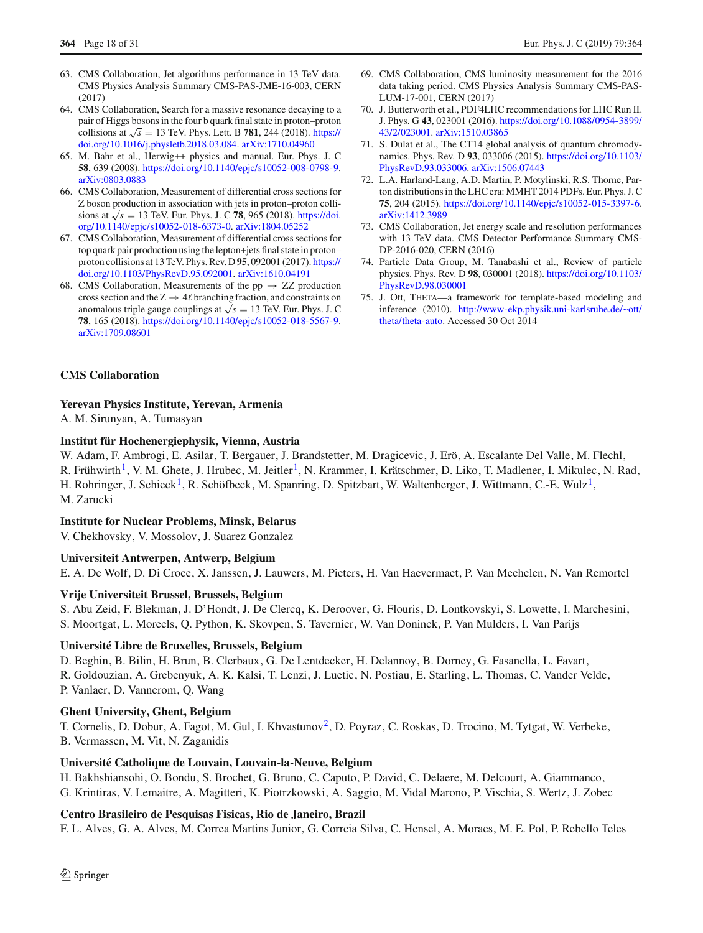- <span id="page-17-0"></span>63. CMS Collaboration, Jet algorithms performance in 13 TeV data. CMS Physics Analysis Summary CMS-PAS-JME-16-003, CERN (2017)
- <span id="page-17-1"></span>64. CMS Collaboration, Search for a massive resonance decaying to a pair of Higgs bosons in the four b quark final state in proton–proton collisions at  $\sqrt{s}$  = 13 TeV. Phys. Lett. B **781**, 244 (2018). [https://](https://doi.org/10.1016/j.physletb.2018.03.084) [doi.org/10.1016/j.physletb.2018.03.084.](https://doi.org/10.1016/j.physletb.2018.03.084) [arXiv:1710.04960](http://arxiv.org/abs/1710.04960)
- <span id="page-17-2"></span>65. M. Bahr et al., Herwig++ physics and manual. Eur. Phys. J. C **58**, 639 (2008). [https://doi.org/10.1140/epjc/s10052-008-0798-9.](https://doi.org/10.1140/epjc/s10052-008-0798-9) [arXiv:0803.0883](http://arxiv.org/abs/0803.0883)
- <span id="page-17-3"></span>66. CMS Collaboration, Measurement of differential cross sections for Z boson production in association with jets in proton–proton collisions at  $\sqrt{s}$  = 13 TeV. Eur. Phys. J. C 78, 965 (2018). [https://doi.](https://doi.org/10.1140/epjc/s10052-018-6373-0) [org/10.1140/epjc/s10052-018-6373-0.](https://doi.org/10.1140/epjc/s10052-018-6373-0) [arXiv:1804.05252](http://arxiv.org/abs/1804.05252)
- <span id="page-17-4"></span>67. CMS Collaboration, Measurement of differential cross sections for top quark pair production using the lepton+jets final state in proton– proton collisions at 13 TeV. Phys. Rev. D **95**, 092001 (2017). [https://](https://doi.org/10.1103/PhysRevD.95.092001) [doi.org/10.1103/PhysRevD.95.092001.](https://doi.org/10.1103/PhysRevD.95.092001) [arXiv:1610.04191](http://arxiv.org/abs/1610.04191)
- <span id="page-17-5"></span>68. CMS Collaboration, Measurements of the pp  $\rightarrow$  ZZ production cross section and the  $Z \rightarrow 4\ell$  branching fraction, and constraints on anomalous triple gauge couplings at  $\sqrt{s} = 13$  TeV. Eur. Phys. J. C **78**, 165 (2018). [https://doi.org/10.1140/epjc/s10052-018-5567-9.](https://doi.org/10.1140/epjc/s10052-018-5567-9) [arXiv:1709.08601](http://arxiv.org/abs/1709.08601)
- <span id="page-17-6"></span>69. CMS Collaboration, CMS luminosity measurement for the 2016 data taking period. CMS Physics Analysis Summary CMS-PAS-LUM-17-001, CERN (2017)
- <span id="page-17-7"></span>70. J. Butterworth et al., PDF4LHC recommendations for LHC Run II. J. Phys. G **43**, 023001 (2016). [https://doi.org/10.1088/0954-3899/](https://doi.org/10.1088/0954-3899/43/2/023001) [43/2/023001.](https://doi.org/10.1088/0954-3899/43/2/023001) [arXiv:1510.03865](http://arxiv.org/abs/1510.03865)
- 71. S. Dulat et al., The CT14 global analysis of quantum chromodynamics. Phys. Rev. D **93**, 033006 (2015). [https://doi.org/10.1103/](https://doi.org/10.1103/PhysRevD.93.033006) [PhysRevD.93.033006.](https://doi.org/10.1103/PhysRevD.93.033006) [arXiv:1506.07443](http://arxiv.org/abs/1506.07443)
- <span id="page-17-8"></span>72. L.A. Harland-Lang, A.D. Martin, P. Motylinski, R.S. Thorne, Parton distributions in the LHC era: MMHT 2014 PDFs. Eur. Phys. J. C **75**, 204 (2015). [https://doi.org/10.1140/epjc/s10052-015-3397-6.](https://doi.org/10.1140/epjc/s10052-015-3397-6) [arXiv:1412.3989](http://arxiv.org/abs/1412.3989)
- <span id="page-17-9"></span>73. CMS Collaboration, Jet energy scale and resolution performances with 13 TeV data. CMS Detector Performance Summary CMS-DP-2016-020, CERN (2016)
- <span id="page-17-10"></span>74. Particle Data Group, M. Tanabashi et al., Review of particle physics. Phys. Rev. D **98**, 030001 (2018). [https://doi.org/10.1103/](https://doi.org/10.1103/PhysRevD.98.030001) [PhysRevD.98.030001](https://doi.org/10.1103/PhysRevD.98.030001)
- <span id="page-17-11"></span>75. J. Ott, THETA-a framework for template-based modeling and inference (2010). [http://www-ekp.physik.uni-karlsruhe.de/~ott/](http://www-ekp.physik.uni-karlsruhe.de/~ott/theta/theta-auto) [theta/theta-auto.](http://www-ekp.physik.uni-karlsruhe.de/~ott/theta/theta-auto) Accessed 30 Oct 2014

#### **CMS Collaboration**

#### **Yerevan Physics Institute, Yerevan, Armenia**

A. M. Sirunyan, A. Tumasyan

#### **Institut für Hochenergiephysik, Vienna, Austria**

W. Adam, F. Ambrogi, E. Asilar, T. Bergauer, J. Brandstetter, M. Dragicevic, J. Erö, A. Escalante Del Valle, M. Flechl, R. Frühwirth<sup>1</sup>, V. M. Ghete, J. Hrubec, M. Jeitler<sup>1</sup>, N. Krammer, I. Krätschmer, D. Liko, T. Madlener, I. Mikulec, N. Rad, H. Rohringer, J. Schieck<sup>1</sup>, R. Schöfbeck, M. Spanring, D. Spitzbart, W. Waltenberger, J. Wittmann, C.-E. Wulz<sup>1</sup>, M. Zarucki

#### **Institute for Nuclear Problems, Minsk, Belarus**

V. Chekhovsky, V. Mossolov, J. Suarez Gonzalez

## **Universiteit Antwerpen, Antwerp, Belgium**

E. A. De Wolf, D. Di Croce, X. Janssen, J. Lauwers, M. Pieters, H. Van Haevermaet, P. Van Mechelen, N. Van Remortel

## **Vrije Universiteit Brussel, Brussels, Belgium**

S. Abu Zeid, F. Blekman, J. D'Hondt, J. De Clercq, K. Deroover, G. Flouris, D. Lontkovskyi, S. Lowette, I. Marchesini, S. Moortgat, L. Moreels, Q. Python, K. Skovpen, S. Tavernier, W. Van Doninck, P. Van Mulders, I. Van Parijs

## **Université Libre de Bruxelles, Brussels, Belgium**

D. Beghin, B. Bilin, H. Brun, B. Clerbaux, G. De Lentdecker, H. Delannoy, B. Dorney, G. Fasanella, L. Favart, R. Goldouzian, A. Grebenyuk, A. K. Kalsi, T. Lenzi, J. Luetic, N. Postiau, E. Starling, L. Thomas, C. Vander Velde, P. Vanlaer, D. Vannerom, Q. Wang

#### **Ghent University, Ghent, Belgium**

T. Cornelis, D. Dobur, A. Fagot, M. Gul, I. Khvastunov<sup>2</sup>, D. Poyraz, C. Roskas, D. Trocino, M. Tytgat, W. Verbeke, B. Vermassen, M. Vit, N. Zaganidis

## **Université Catholique de Louvain, Louvain-la-Neuve, Belgium**

H. Bakhshiansohi, O. Bondu, S. Brochet, G. Bruno, C. Caputo, P. David, C. Delaere, M. Delcourt, A. Giammanco, G. Krintiras, V. Lemaitre, A. Magitteri, K. Piotrzkowski, A. Saggio, M. Vidal Marono, P. Vischia, S. Wertz, J. Zobec

## **Centro Brasileiro de Pesquisas Fisicas, Rio de Janeiro, Brazil**

F. L. Alves, G. A. Alves, M. Correa Martins Junior, G. Correia Silva, C. Hensel, A. Moraes, M. E. Pol, P. Rebello Teles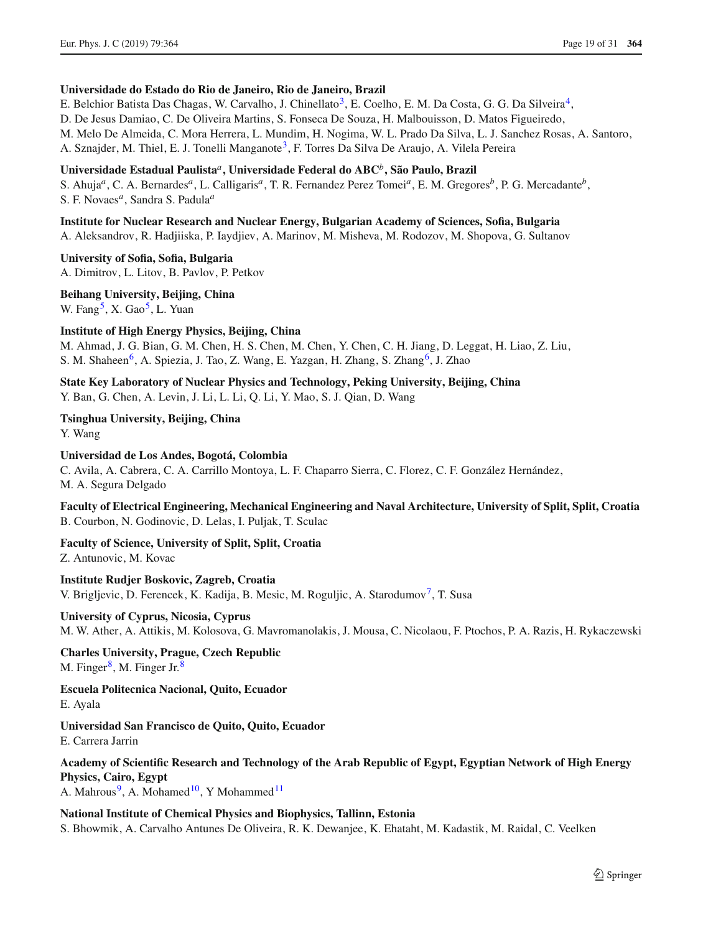#### **Universidade do Estado do Rio de Janeiro, Rio de Janeiro, Brazil**

E. Belchior Batista Das Chagas, W. Carvalho, J. Chinellato<sup>3</sup>, E. Coelho, E. M. Da Costa, G. G. Da Silveira<sup>4</sup>, D. De Jesus Damiao, C. De Oliveira Martins, S. Fonseca De Souza, H. Malbouisson, D. Matos Figueiredo, M. Melo De Almeida, C. Mora Herrera, L. Mundim, H. Nogima, W. L. Prado Da Silva, L. J. Sanchez Rosas, A. Santoro, A. Sznajder, M. Thiel, E. J. Tonelli Manganote<sup>3</sup>, F. Torres Da Silva De Araujo, A. Vilela Pereira

## **Universidade Estadual Paulista***a***, Universidade Federal do ABC***b***, São Paulo, Brazil**

S. Ahuja*a*, C. A. Bernardes*a*, L. Calligaris*a*, T. R. Fernandez Perez Tomei*a*, E. M. Gregores*b*, P. G. Mercadante*b*, S. F. Novaes*a*, Sandra S. Padula*<sup>a</sup>*

**Institute for Nuclear Research and Nuclear Energy, Bulgarian Academy of Sciences, Sofia, Bulgaria** A. Aleksandrov, R. Hadjiiska, P. Iaydjiev, A. Marinov, M. Misheva, M. Rodozov, M. Shopova, G. Sultanov

**University of Sofia, Sofia, Bulgaria** A. Dimitrov, L. Litov, B. Pavlov, P. Petkov

**Beihang University, Beijing, China** W. Fang<sup>5</sup>, X. Gao<sup>5</sup>, L. Yuan

**Institute of High Energy Physics, Beijing, China**

M. Ahmad, J. G. Bian, G. M. Chen, H. S. Chen, M. Chen, Y. Chen, C. H. Jiang, D. Leggat, H. Liao, Z. Liu, S. M. Shaheen<sup>6</sup>, A. Spiezia, J. Tao, Z. Wang, E. Yazgan, H. Zhang, S. Zhang<sup>6</sup>, J. Zhao

**State Key Laboratory of Nuclear Physics and Technology, Peking University, Beijing, China**

Y. Ban, G. Chen, A. Levin, J. Li, L. Li, Q. Li, Y. Mao, S. J. Qian, D. Wang

**Tsinghua University, Beijing, China** Y. Wang

**Universidad de Los Andes, Bogotá, Colombia** C. Avila, A. Cabrera, C. A. Carrillo Montoya, L. F. Chaparro Sierra, C. Florez, C. F. González Hernández, M. A. Segura Delgado

**Faculty of Electrical Engineering, Mechanical Engineering and Naval Architecture, University of Split, Split, Croatia** B. Courbon, N. Godinovic, D. Lelas, I. Puljak, T. Sculac

**Faculty of Science, University of Split, Split, Croatia** Z. Antunovic, M. Kovac

**Institute Rudjer Boskovic, Zagreb, Croatia** V. Brigljevic, D. Ferencek, K. Kadija, B. Mesic, M. Roguljic, A. Starodumov<sup>7</sup>, T. Susa

**University of Cyprus, Nicosia, Cyprus** M. W. Ather, A. Attikis, M. Kolosova, G. Mavromanolakis, J. Mousa, C. Nicolaou, F. Ptochos, P. A. Razis, H. Rykaczewski

**Charles University, Prague, Czech Republic** M. Finger<sup>8</sup>, M. Finger Jr. $8$ 

**Escuela Politecnica Nacional, Quito, Ecuador** E. Ayala

**Universidad San Francisco de Quito, Quito, Ecuador** E. Carrera Jarrin

## **Academy of Scientific Research and Technology of the Arab Republic of Egypt, Egyptian Network of High Energy Physics, Cairo, Egypt**

A. Mahrous<sup>9</sup>, A. Mohamed<sup>10</sup>, Y Mohammed<sup>11</sup>

**National Institute of Chemical Physics and Biophysics, Tallinn, Estonia** S. Bhowmik, A. Carvalho Antunes De Oliveira, R. K. Dewanjee, K. Ehataht, M. Kadastik, M. Raidal, C. Veelken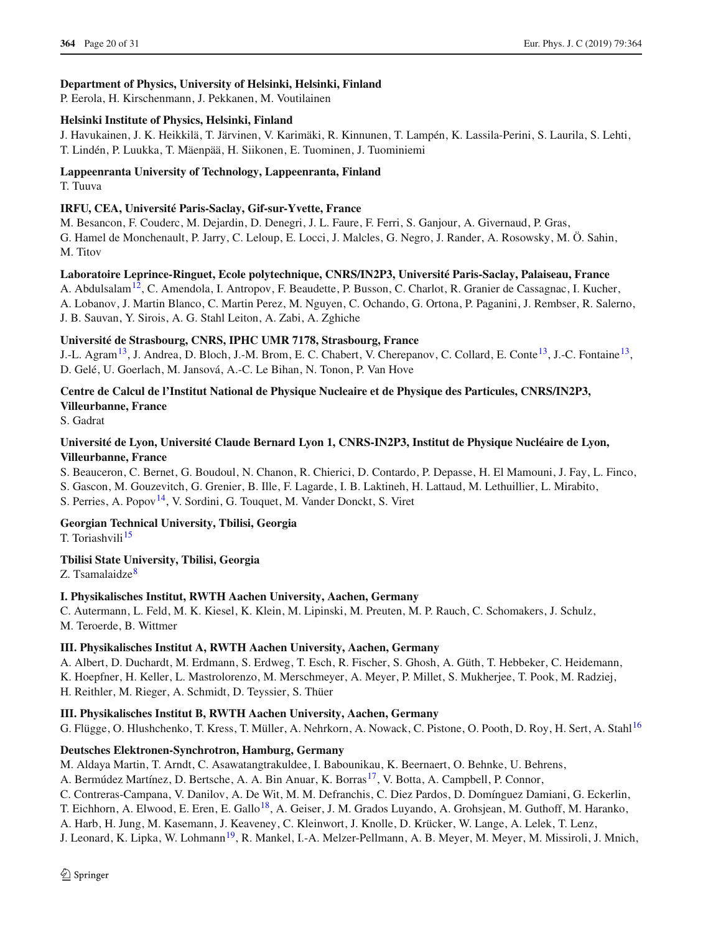## **Department of Physics, University of Helsinki, Helsinki, Finland**

P. Eerola, H. Kirschenmann, J. Pekkanen, M. Voutilainen

## **Helsinki Institute of Physics, Helsinki, Finland**

J. Havukainen, J. K. Heikkilä, T. Järvinen, V. Karimäki, R. Kinnunen, T. Lampén, K. Lassila-Perini, S. Laurila, S. Lehti, T. Lindén, P. Luukka, T. Mäenpää, H. Siikonen, E. Tuominen, J. Tuominiemi

## **Lappeenranta University of Technology, Lappeenranta, Finland**

T. Tuuva

## **IRFU, CEA, Université Paris-Saclay, Gif-sur-Yvette, France**

M. Besancon, F. Couderc, M. Dejardin, D. Denegri, J. L. Faure, F. Ferri, S. Ganjour, A. Givernaud, P. Gras, G. Hamel de Monchenault, P. Jarry, C. Leloup, E. Locci, J. Malcles, G. Negro, J. Rander, A. Rosowsky, M. Ö. Sahin, M. Titov

## **Laboratoire Leprince-Ringuet, Ecole polytechnique, CNRS/IN2P3, Université Paris-Saclay, Palaiseau, France**

A. Abdulsalam<sup>12</sup>, C. Amendola, I. Antropov, F. Beaudette, P. Busson, C. Charlot, R. Granier de Cassagnac, I. Kucher, A. Lobanov, J. Martin Blanco, C. Martin Perez, M. Nguyen, C. Ochando, G. Ortona, P. Paganini, J. Rembser, R. Salerno, J. B. Sauvan, Y. Sirois, A. G. Stahl Leiton, A. Zabi, A. Zghiche

## **Université de Strasbourg, CNRS, IPHC UMR 7178, Strasbourg, France**

J.-L. Agram<sup>13</sup>, J. Andrea, D. Bloch, J.-M. Brom, E. C. Chabert, V. Cherepanov, C. Collard, E. Conte<sup>13</sup>, J.-C. Fontaine<sup>13</sup>, D. Gelé, U. Goerlach, M. Jansová, A.-C. Le Bihan, N. Tonon, P. Van Hove

**Centre de Calcul de l'Institut National de Physique Nucleaire et de Physique des Particules, CNRS/IN2P3,**

**Villeurbanne, France**

S. Gadrat

## **Université de Lyon, Université Claude Bernard Lyon 1, CNRS-IN2P3, Institut de Physique Nucléaire de Lyon, Villeurbanne, France**

S. Beauceron, C. Bernet, G. Boudoul, N. Chanon, R. Chierici, D. Contardo, P. Depasse, H. El Mamouni, J. Fay, L. Finco,

S. Gascon, M. Gouzevitch, G. Grenier, B. Ille, F. Lagarde, I. B. Laktineh, H. Lattaud, M. Lethuillier, L. Mirabito,

S. Perries, A. Popov<sup>14</sup>, V. Sordini, G. Touquet, M. Vander Donckt, S. Viret

## **Georgian Technical University, Tbilisi, Georgia**

T. Toriashvili<sup>[15](#page-29-14)</sup>

## **Tbilisi State University, Tbilisi, Georgia**

Z. Tsamalaidze $8$ 

## **I. Physikalisches Institut, RWTH Aachen University, Aachen, Germany**

C. Autermann, L. Feld, M. K. Kiesel, K. Klein, M. Lipinski, M. Preuten, M. P. Rauch, C. Schomakers, J. Schulz, M. Teroerde, B. Wittmer

## **III. Physikalisches Institut A, RWTH Aachen University, Aachen, Germany**

A. Albert, D. Duchardt, M. Erdmann, S. Erdweg, T. Esch, R. Fischer, S. Ghosh, A. Güth, T. Hebbeker, C. Heidemann, K. Hoepfner, H. Keller, L. Mastrolorenzo, M. Merschmeyer, A. Meyer, P. Millet, S. Mukherjee, T. Pook, M. Radziej, H. Reithler, M. Rieger, A. Schmidt, D. Teyssier, S. Thüer

## **III. Physikalisches Institut B, RWTH Aachen University, Aachen, Germany**

G. Flügge, O. Hlushchenko, T. Kress, T. Müller, A. Nehrkorn, A. Nowack, C. Pistone, O. Pooth, D. Roy, H. Sert, A. Stahl[16](#page-29-15)

## **Deutsches Elektronen-Synchrotron, Hamburg, Germany**

M. Aldaya Martin, T. Arndt, C. Asawatangtrakuldee, I. Babounikau, K. Beernaert, O. Behnke, U. Behrens,

A. Bermúdez Martínez, D. Bertsche, A. A. Bin Anuar, K. Borras<sup>17</sup>, V. Botta, A. Campbell, P. Connor,

C. Contreras-Campana, V. Danilov, A. De Wit, M. M. Defranchis, C. Diez Pardos, D. Domínguez Damiani, G. Eckerlin,

- T. Eichhorn, A. Elwood, E. Eren, E. Gallo<sup>18</sup>, A. Geiser, J. M. Grados Luyando, A. Grohsjean, M. Guthoff, M. Haranko,
- A. Harb, H. Jung, M. Kasemann, J. Keaveney, C. Kleinwort, J. Knolle, D. Krücker, W. Lange, A. Lelek, T. Lenz,

J. Leonard, K. Lipka, W. Lohmann<sup>19</sup>, R. Mankel, I.-A. Melzer-Pellmann, A. B. Meyer, M. Meyer, M. Missiroli, J. Mnich,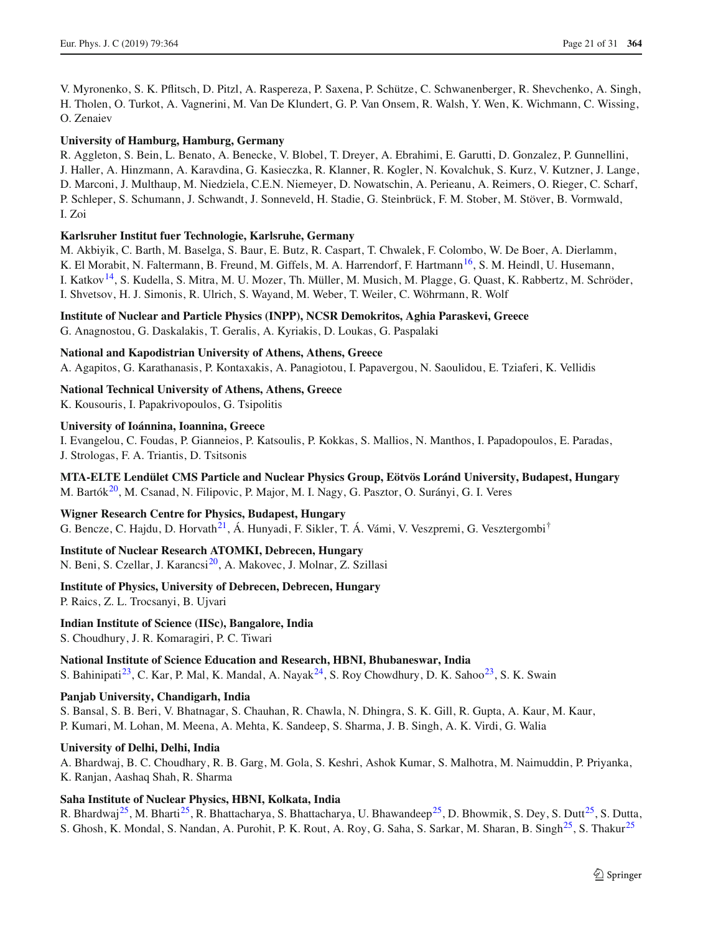V. Myronenko, S. K. Pflitsch, D. Pitzl, A. Raspereza, P. Saxena, P. Schütze, C. Schwanenberger, R. Shevchenko, A. Singh, H. Tholen, O. Turkot, A. Vagnerini, M. Van De Klundert, G. P. Van Onsem, R. Walsh, Y. Wen, K. Wichmann, C. Wissing, O. Zenaiev

#### **University of Hamburg, Hamburg, Germany**

R. Aggleton, S. Bein, L. Benato, A. Benecke, V. Blobel, T. Dreyer, A. Ebrahimi, E. Garutti, D. Gonzalez, P. Gunnellini, J. Haller, A. Hinzmann, A. Karavdina, G. Kasieczka, R. Klanner, R. Kogler, N. Kovalchuk, S. Kurz, V. Kutzner, J. Lange, D. Marconi, J. Multhaup, M. Niedziela, C.E.N. Niemeyer, D. Nowatschin, A. Perieanu, A. Reimers, O. Rieger, C. Scharf, P. Schleper, S. Schumann, J. Schwandt, J. Sonneveld, H. Stadie, G. Steinbrück, F. M. Stober, M. Stöver, B. Vormwald, I. Zoi

#### **Karlsruher Institut fuer Technologie, Karlsruhe, Germany**

M. Akbiyik, C. Barth, M. Baselga, S. Baur, E. Butz, R. Caspart, T. Chwalek, F. Colombo, W. De Boer, A. Dierlamm, K. El Morabit, N. Faltermann, B. Freund, M. Giffels, M. A. Harrendorf, F. Hartmann<sup>16</sup>, S. M. Heindl, U. Husemann, I. Katkov<sup>14</sup>, S. Kudella, S. Mitra, M. U. Mozer, Th. Müller, M. Musich, M. Plagge, G. Quast, K. Rabbertz, M. Schröder, I. Shvetsov, H. J. Simonis, R. Ulrich, S. Wayand, M. Weber, T. Weiler, C. Wöhrmann, R. Wolf

#### **Institute of Nuclear and Particle Physics (INPP), NCSR Demokritos, Aghia Paraskevi, Greece**

G. Anagnostou, G. Daskalakis, T. Geralis, A. Kyriakis, D. Loukas, G. Paspalaki

#### **National and Kapodistrian University of Athens, Athens, Greece**

A. Agapitos, G. Karathanasis, P. Kontaxakis, A. Panagiotou, I. Papavergou, N. Saoulidou, E. Tziaferi, K. Vellidis

#### **National Technical University of Athens, Athens, Greece**

K. Kousouris, I. Papakrivopoulos, G. Tsipolitis

#### **University of Ioánnina, Ioannina, Greece**

I. Evangelou, C. Foudas, P. Gianneios, P. Katsoulis, P. Kokkas, S. Mallios, N. Manthos, I. Papadopoulos, E. Paradas, J. Strologas, F. A. Triantis, D. Tsitsonis

#### **MTA-ELTE Lendület CMS Particle and Nuclear Physics Group, Eötvös Loránd University, Budapest, Hungary** M. Bartók<sup>20</sup>, M. Csanad, N. Filipovic, P. Major, M. I. Nagy, G. Pasztor, O. Surányi, G. I. Veres

## **Wigner Research Centre for Physics, Budapest, Hungary**

G. Bencze, C. Hajdu, D. Horvath<sup>21</sup>, Á. Hunyadi, F. Sikler, T. Á. Vámi, V. Veszpremi, G. Vesztergombi<sup>†</sup>

#### **Institute of Nuclear Research ATOMKI, Debrecen, Hungary**

N. Beni, S. Czellar, J. Karancsi<sup>20</sup>, A. Makovec, J. Molnar, Z. Szillasi

#### **Institute of Physics, University of Debrecen, Debrecen, Hungary**

P. Raics, Z. L. Trocsanyi, B. Ujvari

## **Indian Institute of Science (IISc), Bangalore, India**

S. Choudhury, J. R. Komaragiri, P. C. Tiwari

## **National Institute of Science Education and Research, HBNI, Bhubaneswar, India**

S. Bahinipati<sup>23</sup>, C. Kar, P. Mal, K. Mandal, A. Nayak<sup>24</sup>, S. Roy Chowdhury, D. K. Sahoo<sup>23</sup>, S. K. Swain

## **Panjab University, Chandigarh, India**

S. Bansal, S. B. Beri, V. Bhatnagar, S. Chauhan, R. Chawla, N. Dhingra, S. K. Gill, R. Gupta, A. Kaur, M. Kaur, P. Kumari, M. Lohan, M. Meena, A. Mehta, K. Sandeep, S. Sharma, J. B. Singh, A. K. Virdi, G. Walia

#### **University of Delhi, Delhi, India**

A. Bhardwaj, B. C. Choudhary, R. B. Garg, M. Gola, S. Keshri, Ashok Kumar, S. Malhotra, M. Naimuddin, P. Priyanka, K. Ranjan, Aashaq Shah, R. Sharma

## **Saha Institute of Nuclear Physics, HBNI, Kolkata, India**

R. Bhardwaj<sup>25</sup>, M. Bharti<sup>25</sup>, R. Bhattacharya, S. Bhattacharya, U. Bhawandeep<sup>25</sup>, D. Bhowmik, S. Dey, S. Dutt<sup>25</sup>, S. Dutta, S. Ghosh, K. Mondal, S. Nandan, A. Purohit, P. K. Rout, A. Roy, G. Saha, S. Sarkar, M. Sharan, B. Singh<sup>[25](#page-29-23)</sup>, S. Thakur<sup>25</sup>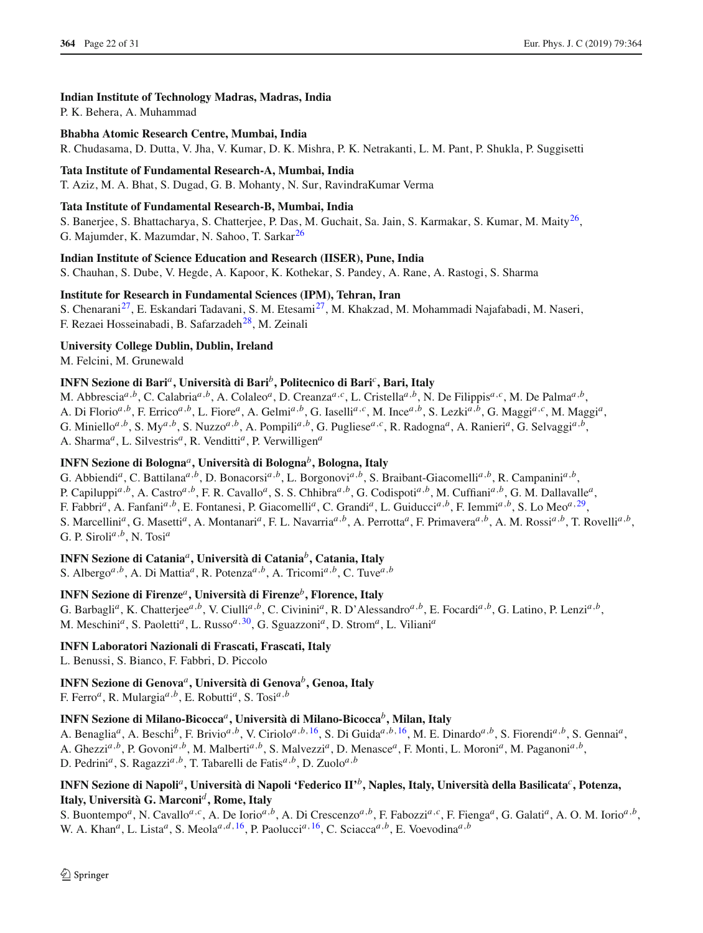## **Indian Institute of Technology Madras, Madras, India**

P. K. Behera, A. Muhammad

#### **Bhabha Atomic Research Centre, Mumbai, India**

R. Chudasama, D. Dutta, V. Jha, V. Kumar, D. K. Mishra, P. K. Netrakanti, L. M. Pant, P. Shukla, P. Suggisetti

#### **Tata Institute of Fundamental Research-A, Mumbai, India**

T. Aziz, M. A. Bhat, S. Dugad, G. B. Mohanty, N. Sur, RavindraKumar Verma

#### **Tata Institute of Fundamental Research-B, Mumbai, India**

S. Banerjee, S. Bhattacharya, S. Chatterjee, P. Das, M. Guchait, Sa. Jain, S. Karmakar, S. Kumar, M. Maity<sup>26</sup>, G. Majumder, K. Mazumdar, N. Sahoo, T. Sarkar[26](#page-29-24)

#### **Indian Institute of Science Education and Research (IISER), Pune, India**

S. Chauhan, S. Dube, V. Hegde, A. Kapoor, K. Kothekar, S. Pandey, A. Rane, A. Rastogi, S. Sharma

#### **Institute for Research in Fundamental Sciences (IPM), Tehran, Iran**

S. Chenarani<sup>27</sup>, E. Eskandari Tadavani, S. M. Etesami<sup>27</sup>, M. Khakzad, M. Mohammadi Najafabadi, M. Naseri, F. Rezaei Hosseinabadi, B. Safarzadeh<sup>28</sup>, M. Zeinali

#### **University College Dublin, Dublin, Ireland**

M. Felcini, M. Grunewald

#### **INFN Sezione di Bari***a***, Università di Bari***b***, Politecnico di Bari***c***, Bari, Italy**

M. Abbrescia*a*,*b*, C. Calabria*a*,*b*, A. Colaleo*a*, D. Creanza*a*,*c*, L. Cristella*a*,*b*, N. De Filippis*a*,*c*, M. De Palma*a*,*b*, A. Di Florio<sup>a,b</sup>, F. Errico<sup>a,b</sup>, L. Fiore<sup>a</sup>, A. Gelmi<sup>a,b</sup>, G. Iaselli<sup>a,c</sup>, M. Ince<sup>a,b</sup>, S. Lezki<sup>a,b</sup>, G. Maggi<sup>a,c</sup>, M. Maggi<sup>a</sup>, G. Miniello<sup>a,b</sup>, S. My<sup>a,b</sup>, S. Nuzzo<sup>a,b</sup>, A. Pompili<sup>a,b</sup>, G. Pugliese<sup>a,c</sup>, R. Radogna<sup>a</sup>, A. Ranieri<sup>a</sup>, G. Selvaggi<sup>a,b</sup>, A. Sharma*a*, L. Silvestris*a*, R. Venditti*a*, P. Verwilligen*<sup>a</sup>*

## **INFN Sezione di Bologna***a***, Università di Bologna***b***, Bologna, Italy**

G. Abbiendi*a*, C. Battilana*a*,*b*, D. Bonacorsi*a*,*b*, L. Borgonovi*a*,*b*, S. Braibant-Giacomelli*a*,*b*, R. Campanini*a*,*b*, P. Capiluppi*a*,*b*, A. Castro*a*,*b*, F. R. Cavallo*a*, S. S. Chhibra*a*,*b*, G. Codispoti*a*,*b*, M. Cuffiani*a*,*b*, G. M. Dallavalle*a*, F. Fabbri*a*, A. Fanfani*a*,*b*, E. Fontanesi, P. Giacomelli*a*, C. Grandi*a*, L. Guiducci*a*,*b*, F. Iemmi*a*,*b*, S. Lo Meo*a*,[29,](#page-29-27) S. Marcellini*a*, G. Masetti*a*, A. Montanari*a*, F. L. Navarria*a*,*b*, A. Perrotta*a*, F. Primavera*a*,*b*, A. M. Rossi*a*,*b*, T. Rovelli*a*,*b*, G. P. Siroli*a*,*b*, N. Tosi*<sup>a</sup>*

## **INFN Sezione di Catania***a***, Università di Catania***b***, Catania, Italy**

S. Albergo<sup>*a*,*b*</sup>, A. Di Mattia<sup>*a*</sup>, R. Potenza<sup>*a*,*b*</sup>, A. Tricomi<sup>*a*,*b*</sup>, C. Tuve<sup>*a*,*b*</sup>

## **INFN Sezione di Firenze***a***, Università di Firenze***b***, Florence, Italy**

G. Barbagli*a*, K. Chatterjee*a*,*b*, V. Ciulli*a*,*b*, C. Civinini*a*, R. D'Alessandro*a*,*b*, E. Focardi*a*,*b*, G. Latino, P. Lenzi*a*,*b*, M. Meschini*a*, S. Paoletti*a*, L. Russo*a*,[30,](#page-29-28) G. Sguazzoni*<sup>a</sup>*, D. Strom*a*, L. Viliani*<sup>a</sup>*

## **INFN Laboratori Nazionali di Frascati, Frascati, Italy**

L. Benussi, S. Bianco, F. Fabbri, D. Piccolo

## **INFN Sezione di Genova***a***, Università di Genova***b***, Genoa, Italy**

F. Ferro<sup>*a*</sup>, R. Mulargia<sup>*a*,*b*</sup>, E. Robutti<sup>*a*</sup>, S. Tosi<sup>*a*,*b*</sup>

## **INFN Sezione di Milano-Bicocca***a***, Università di Milano-Bicocca***b***, Milan, Italy**

A. Benaglia*a*, A. Beschi*b*, F. Brivio*a*,*b*, V. Ciriolo*a*,*b*,[16,](#page-29-15) S. Di Guida*<sup>a</sup>*,*b*,[16,](#page-29-15) M. E. Dinardo*<sup>a</sup>*,*b*, S. Fiorendi*a*,*b*, S. Gennai*a*, A. Ghezzi*a*,*b*, P. Govoni*a*,*b*, M. Malberti*a*,*b*, S. Malvezzi*a*, D. Menasce*a*, F. Monti, L. Moroni*a*, M. Paganoni*a*,*b*, D. Pedrini*a*, S. Ragazzi*a*,*b*, T. Tabarelli de Fatis*a*,*b*, D. Zuolo*a*,*<sup>b</sup>*

## **INFN Sezione di Napoli***a***, Università di Napoli 'Federico II'***b***, Naples, Italy, Università della Basilicata***c***, Potenza, Italy, Università G. Marconi***<sup>d</sup>* **, Rome, Italy**

S. Buontempo*a*, N. Cavallo*a*,*c*, A. De Iorio*a*,*b*, A. Di Crescenzo*a*,*b*, F. Fabozzi*a*,*c*, F. Fienga*a*, G. Galati*a*, A. O. M. Iorio*a*,*b*, W. A. Khan*a*, L. Lista*a*, S. Meola*a*,*<sup>d</sup>* ,[16,](#page-29-15) P. Paolucci*<sup>a</sup>*,[16,](#page-29-15) C. Sciacca*<sup>a</sup>*,*b*, E. Voevodina*a*,*<sup>b</sup>*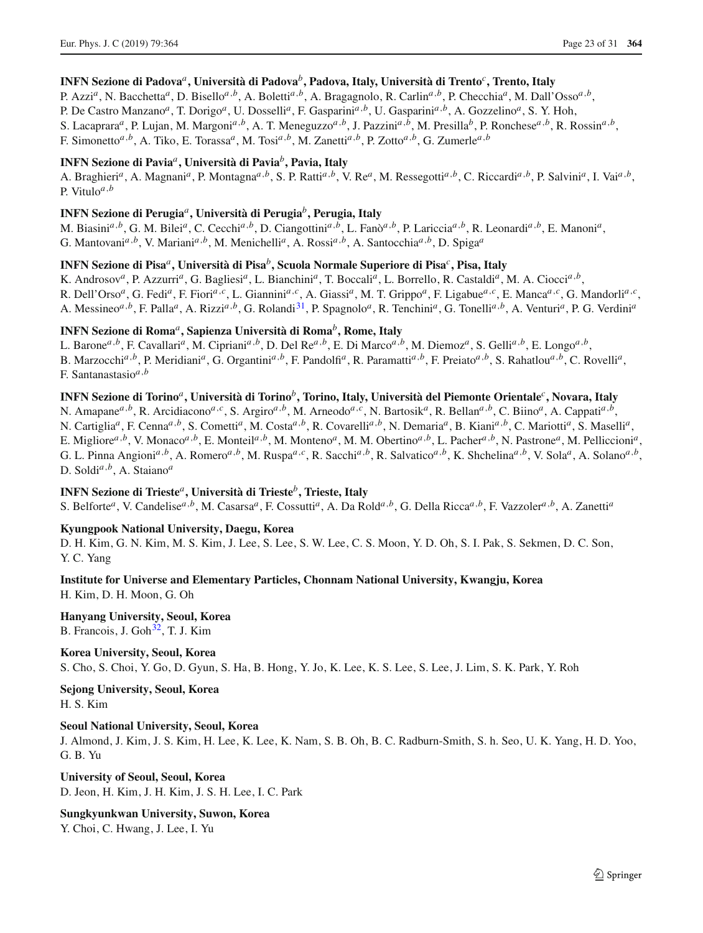## **INFN Sezione di Padova***a***, Università di Padova***b***, Padova, Italy, Università di Trento***c***, Trento, Italy**

P. Azzi*a*, N. Bacchetta*a*, D. Bisello*a*,*b*, A. Boletti*a*,*b*, A. Bragagnolo, R. Carlin*a*,*b*, P. Checchia*a*, M. Dall'Osso*a*,*b*, P. De Castro Manzano*a*, T. Dorigo*a*, U. Dosselli*a*, F. Gasparini*a*,*b*, U. Gasparini*a*,*b*, A. Gozzelino*a*, S. Y. Hoh, S. Lacaprara*a*, P. Lujan, M. Margoni*a*,*b*, A. T. Meneguzzo*a*,*b*, J. Pazzini*a*,*b*, M. Presilla*b*, P. Ronchese*a*,*b*, R. Rossin*a*,*b*, F. Simonetto*a*,*b*, A. Tiko, E. Torassa*a*, M. Tosi*a*,*b*, M. Zanetti*a*,*b*, P. Zotto*a*,*b*, G. Zumerle*a*,*<sup>b</sup>*

## **INFN Sezione di Pavia***a***, Università di Pavia***b***, Pavia, Italy**

A. Braghieri*a*, A. Magnani*a*, P. Montagna*a*,*b*, S. P. Ratti*a*,*b*, V. Re*a*, M. Ressegotti*a*,*b*, C. Riccardi*a*,*b*, P. Salvini*a*, I. Vai*a*,*b*, P. Vitulo*a*,*<sup>b</sup>*

## **INFN Sezione di Perugia***a***, Università di Perugia***b***, Perugia, Italy**

M. Biasini*a*,*b*, G. M. Bilei*a*, C. Cecchi*a*,*b*, D. Ciangottini*a*,*b*, L. Fanò*a*,*b*, P. Lariccia*a*,*b*, R. Leonardi*a*,*b*, E. Manoni*a*, G. Mantovani*a*,*b*, V. Mariani*a*,*b*, M. Menichelli*a*, A. Rossi*a*,*b*, A. Santocchia*a*,*b*, D. Spiga*<sup>a</sup>*

## **INFN Sezione di Pisa***a***, Università di Pisa***b***, Scuola Normale Superiore di Pisa***c***, Pisa, Italy**

K. Androsov*a*, P. Azzurri*a*, G. Bagliesi*a*, L. Bianchini*a*, T. Boccali*a*, L. Borrello, R. Castaldi*a*, M. A. Ciocci*a*,*b*, R. Dell'Orso*a*, G. Fedi*a*, F. Fiori*a*,*c*, L. Giannini*a*,*c*, A. Giassi*a*, M. T. Grippo*a*, F. Ligabue*a*,*c*, E. Manca*a*,*c*, G. Mandorli*a*,*c*, A. Messineo*a*,*b*, F. Palla*a*, A. Rizzi*a*,*b*, G. Rolandi[31,](#page-29-29) P. Spagnolo*<sup>a</sup>*, R. Tenchini*a*, G. Tonelli*a*,*b*, A. Venturi*a*, P. G. Verdini*<sup>a</sup>*

## **INFN Sezione di Roma***a***, Sapienza Università di Roma***b***, Rome, Italy**

L. Barone<sup>*a*,*b*</sup>, F. Cavallari<sup>*a*</sup>, M. Cipriani<sup>*a*,*b*</sup>, D. Del Re<sup>*a*,*b*</sup>, E. Di Marco<sup>*a*,*b*</sup>, M. Diemoz<sup>*a*</sup>, S. Gelli<sup>*a*,*b*</sup>, E. Longo<sup>*a*,*b*</sup>, B. Marzocchi*a*,*b*, P. Meridiani*a*, G. Organtini*a*,*b*, F. Pandolfi*a*, R. Paramatti*a*,*b*, F. Preiato*a*,*b*, S. Rahatlou*a*,*b*, C. Rovelli*a*, F. Santanastasio*a*,*<sup>b</sup>*

## **INFN Sezione di Torino***a***, Università di Torino***b***, Torino, Italy, Università del Piemonte Orientale***c***, Novara, Italy**

N. Amapane*a*,*b*, R. Arcidiacono*a*,*c*, S. Argiro*a*,*b*, M. Arneodo*a*,*c*, N. Bartosik*a*, R. Bellan*a*,*b*, C. Biino*a*, A. Cappati*a*,*b*, N. Cartiglia*a*, F. Cenna*a*,*b*, S. Cometti*a*, M. Costa*a*,*b*, R. Covarelli*a*,*b*, N. Demaria*a*, B. Kiani*a*,*b*, C. Mariotti*a*, S. Maselli*a*, E. Migliore*a*,*b*, V. Monaco*a*,*b*, E. Monteil*a*,*b*, M. Monteno*a*, M. M. Obertino*a*,*b*, L. Pacher*a*,*b*, N. Pastrone*a*, M. Pelliccioni*a*, G. L. Pinna Angioni<sup>a, b</sup>, A. Romero<sup>a, b</sup>, M. Ruspa<sup>a, c</sup>, R. Sacchi<sup>a, b</sup>, R. Salvatico<sup>a, b</sup>, K. Shchelina<sup>a, b</sup>, V. Sola<sup>a</sup>, A. Solano<sup>a, b</sup>, D. Soldi*a*,*b*, A. Staiano*<sup>a</sup>*

## **INFN Sezione di Trieste***a***, Università di Trieste***b***, Trieste, Italy**

S. Belforte*a*, V. Candelise*a*,*b*, M. Casarsa*a*, F. Cossutti*a*, A. Da Rold*a*,*b*, G. Della Ricca*a*,*b*, F. Vazzoler*a*,*b*, A. Zanetti*<sup>a</sup>*

## **Kyungpook National University, Daegu, Korea**

D. H. Kim, G. N. Kim, M. S. Kim, J. Lee, S. Lee, S. W. Lee, C. S. Moon, Y. D. Oh, S. I. Pak, S. Sekmen, D. C. Son, Y. C. Yang

## **Institute for Universe and Elementary Particles, Chonnam National University, Kwangju, Korea** H. Kim, D. H. Moon, G. Oh

**Hanyang University, Seoul, Korea** B. Francois, J. Goh<sup>32</sup>, T. J. Kim

**Korea University, Seoul, Korea** S. Cho, S. Choi, Y. Go, D. Gyun, S. Ha, B. Hong, Y. Jo, K. Lee, K. S. Lee, S. Lee, J. Lim, S. K. Park, Y. Roh

**Sejong University, Seoul, Korea** H. S. Kim

**Seoul National University, Seoul, Korea**

J. Almond, J. Kim, J. S. Kim, H. Lee, K. Lee, K. Nam, S. B. Oh, B. C. Radburn-Smith, S. h. Seo, U. K. Yang, H. D. Yoo, G. B. Yu

**University of Seoul, Seoul, Korea** D. Jeon, H. Kim, J. H. Kim, J. S. H. Lee, I. C. Park

**Sungkyunkwan University, Suwon, Korea** Y. Choi, C. Hwang, J. Lee, I. Yu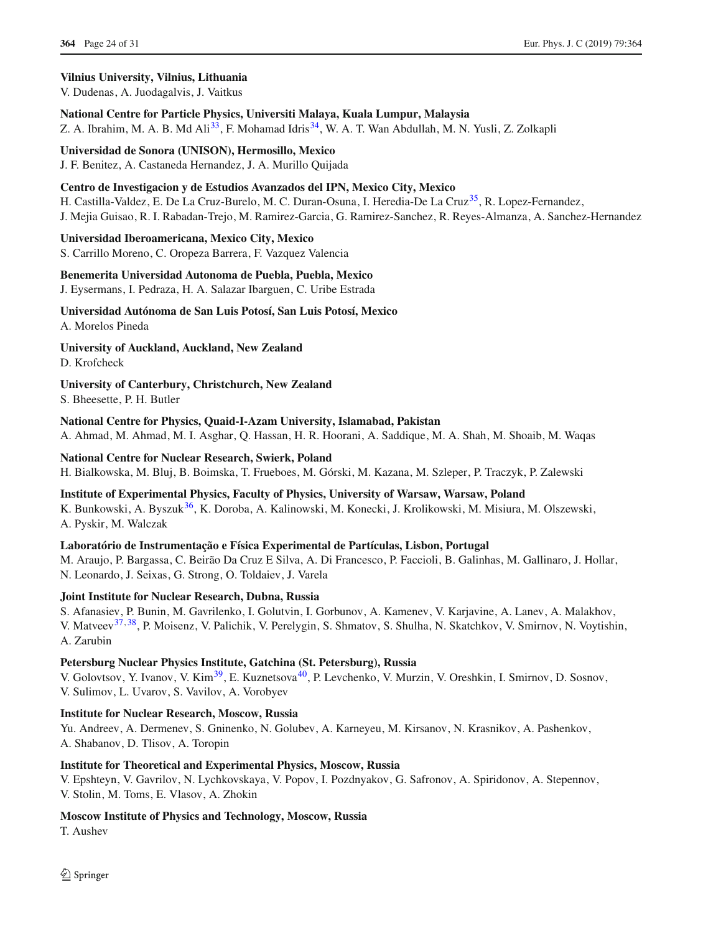## **Vilnius University, Vilnius, Lithuania**

V. Dudenas, A. Juodagalvis, J. Vaitkus

**National Centre for Particle Physics, Universiti Malaya, Kuala Lumpur, Malaysia**

Z. A. Ibrahim, M. A. B. Md Ali<sup>33</sup>, F. Mohamad Idris<sup>34</sup>, W. A. T. Wan Abdullah, M. N. Yusli, Z. Zolkapli

## **Universidad de Sonora (UNISON), Hermosillo, Mexico**

J. F. Benitez, A. Castaneda Hernandez, J. A. Murillo Quijada

#### **Centro de Investigacion y de Estudios Avanzados del IPN, Mexico City, Mexico**

H. Castilla-Valdez, E. De La Cruz-Burelo, M. C. Duran-Osuna, I. Heredia-De La Cruz<sup>35</sup>, R. Lopez-Fernandez, J. Mejia Guisao, R. I. Rabadan-Trejo, M. Ramirez-Garcia, G. Ramirez-Sanchez, R. Reyes-Almanza, A. Sanchez-Hernandez

## **Universidad Iberoamericana, Mexico City, Mexico**

S. Carrillo Moreno, C. Oropeza Barrera, F. Vazquez Valencia

## **Benemerita Universidad Autonoma de Puebla, Puebla, Mexico**

J. Eysermans, I. Pedraza, H. A. Salazar Ibarguen, C. Uribe Estrada

#### **Universidad Autónoma de San Luis Potosí, San Luis Potosí, Mexico** A. Morelos Pineda

**University of Auckland, Auckland, New Zealand**

D. Krofcheck

**University of Canterbury, Christchurch, New Zealand**

S. Bheesette, P. H. Butler

**National Centre for Physics, Quaid-I-Azam University, Islamabad, Pakistan** A. Ahmad, M. Ahmad, M. I. Asghar, Q. Hassan, H. R. Hoorani, A. Saddique, M. A. Shah, M. Shoaib, M. Waqas

## **National Centre for Nuclear Research, Swierk, Poland**

H. Bialkowska, M. Bluj, B. Boimska, T. Frueboes, M. Górski, M. Kazana, M. Szleper, P. Traczyk, P. Zalewski

## **Institute of Experimental Physics, Faculty of Physics, University of Warsaw, Warsaw, Poland**

K. Bunkowski, A. Byszuk<sup>36</sup>, K. Doroba, A. Kalinowski, M. Konecki, J. Krolikowski, M. Misiura, M. Olszewski, A. Pyskir, M. Walczak

## **Laboratório de Instrumentação e Física Experimental de Partículas, Lisbon, Portugal**

M. Araujo, P. Bargassa, C. Beirão Da Cruz E Silva, A. Di Francesco, P. Faccioli, B. Galinhas, M. Gallinaro, J. Hollar, N. Leonardo, J. Seixas, G. Strong, O. Toldaiev, J. Varela

## **Joint Institute for Nuclear Research, Dubna, Russia**

S. Afanasiev, P. Bunin, M. Gavrilenko, I. Golutvin, I. Gorbunov, A. Kamenev, V. Karjavine, A. Lanev, A. Malakhov, V. Matveev<sup>[37](#page-30-1),38</sup>, P. Moisenz, V. Palichik, V. Perelygin, S. Shmatov, S. Shulha, N. Skatchkov, V. Smirnov, N. Voytishin, A. Zarubin

## **Petersburg Nuclear Physics Institute, Gatchina (St. Petersburg), Russia**

V. Golovtsov, Y. Ivanov, V. Kim<sup>39</sup>, E. Kuznetsova<sup>40</sup>, P. Levchenko, V. Murzin, V. Oreshkin, I. Smirnov, D. Sosnov, V. Sulimov, L. Uvarov, S. Vavilov, A. Vorobyev

## **Institute for Nuclear Research, Moscow, Russia**

Yu. Andreev, A. Dermenev, S. Gninenko, N. Golubev, A. Karneyeu, M. Kirsanov, N. Krasnikov, A. Pashenkov, A. Shabanov, D. Tlisov, A. Toropin

## **Institute for Theoretical and Experimental Physics, Moscow, Russia**

V. Epshteyn, V. Gavrilov, N. Lychkovskaya, V. Popov, I. Pozdnyakov, G. Safronov, A. Spiridonov, A. Stepennov, V. Stolin, M. Toms, E. Vlasov, A. Zhokin

## **Moscow Institute of Physics and Technology, Moscow, Russia**

T. Aushev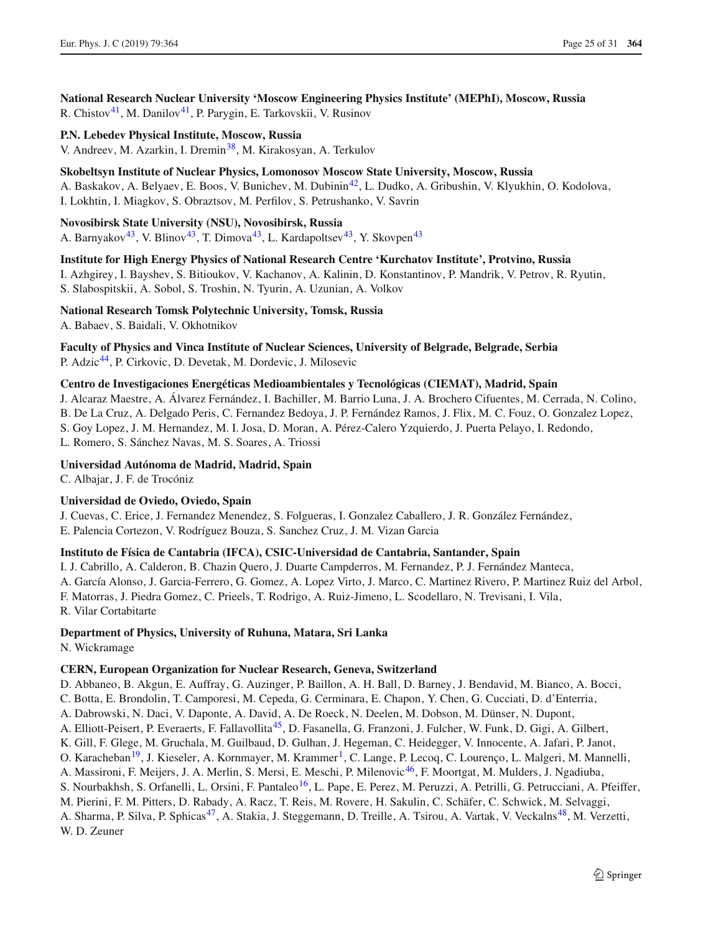**National Research Nuclear University 'Moscow Engineering Physics Institute' (MEPhI), Moscow, Russia** R. Chistov<sup>41</sup>, M. Danilov<sup>41</sup>, P. Parygin, E. Tarkovskii, V. Rusinov

## **P.N. Lebedev Physical Institute, Moscow, Russia**

V. Andreev, M. Azarkin, I. Dremin<sup>38</sup>, M. Kirakosyan, A. Terkulov

#### **Skobeltsyn Institute of Nuclear Physics, Lomonosov Moscow State University, Moscow, Russia**

A. Baskakov, A. Belyaev, E. Boos, V. Bunichev, M. Dubinin[42,](#page-30-6) L. Dudko, A. Gribushin, V. Klyukhin, O. Kodolova, I. Lokhtin, I. Miagkov, S. Obraztsov, M. Perfilov, S. Petrushanko, V. Savrin

**Novosibirsk State University (NSU), Novosibirsk, Russia** A. Barnyakov<sup>43</sup>, V. Blinov<sup>43</sup>, T. Dimova<sup>43</sup>, L. Kardapoltsev<sup>43</sup>, Y. Skovpen<sup>43</sup>

## **Institute for High Energy Physics of National Research Centre 'Kurchatov Institute', Protvino, Russia**

I. Azhgirey, I. Bayshev, S. Bitioukov, V. Kachanov, A. Kalinin, D. Konstantinov, P. Mandrik, V. Petrov, R. Ryutin, S. Slabospitskii, A. Sobol, S. Troshin, N. Tyurin, A. Uzunian, A. Volkov

**National Research Tomsk Polytechnic University, Tomsk, Russia**

A. Babaev, S. Baidali, V. Okhotnikov

**Faculty of Physics and Vinca Institute of Nuclear Sciences, University of Belgrade, Belgrade, Serbia** P. Adzic<sup>44</sup>, P. Cirkovic, D. Devetak, M. Dordevic, J. Milosevic

#### **Centro de Investigaciones Energéticas Medioambientales y Tecnológicas (CIEMAT), Madrid, Spain**

J. Alcaraz Maestre, A. Álvarez Fernández, I. Bachiller, M. Barrio Luna, J. A. Brochero Cifuentes, M. Cerrada, N. Colino, B. De La Cruz, A. Delgado Peris, C. Fernandez Bedoya, J. P. Fernández Ramos, J. Flix, M. C. Fouz, O. Gonzalez Lopez, S. Goy Lopez, J. M. Hernandez, M. I. Josa, D. Moran, A. Pérez-Calero Yzquierdo, J. Puerta Pelayo, I. Redondo, L. Romero, S. Sánchez Navas, M. S. Soares, A. Triossi

**Universidad Autónoma de Madrid, Madrid, Spain**

C. Albajar, J. F. de Trocóniz

## **Universidad de Oviedo, Oviedo, Spain**

J. Cuevas, C. Erice, J. Fernandez Menendez, S. Folgueras, I. Gonzalez Caballero, J. R. González Fernández, E. Palencia Cortezon, V. Rodríguez Bouza, S. Sanchez Cruz, J. M. Vizan Garcia

## **Instituto de Física de Cantabria (IFCA), CSIC-Universidad de Cantabria, Santander, Spain**

I. J. Cabrillo, A. Calderon, B. Chazin Quero, J. Duarte Campderros, M. Fernandez, P. J. Fernández Manteca, A. García Alonso, J. Garcia-Ferrero, G. Gomez, A. Lopez Virto, J. Marco, C. Martinez Rivero, P. Martinez Ruiz del Arbol, F. Matorras, J. Piedra Gomez, C. Prieels, T. Rodrigo, A. Ruiz-Jimeno, L. Scodellaro, N. Trevisani, I. Vila, R. Vilar Cortabitarte

#### **Department of Physics, University of Ruhuna, Matara, Sri Lanka**

N. Wickramage

## **CERN, European Organization for Nuclear Research, Geneva, Switzerland**

D. Abbaneo, B. Akgun, E. Auffray, G. Auzinger, P. Baillon, A. H. Ball, D. Barney, J. Bendavid, M. Bianco, A. Bocci, C. Botta, E. Brondolin, T. Camporesi, M. Cepeda, G. Cerminara, E. Chapon, Y. Chen, G. Cucciati, D. d'Enterria, A. Dabrowski, N. Daci, V. Daponte, A. David, A. De Roeck, N. Deelen, M. Dobson, M. Dünser, N. Dupont, A. Elliott-Peisert, P. Everaerts, F. Fallavollita<sup>45</sup>, D. Fasanella, G. Franzoni, J. Fulcher, W. Funk, D. Gigi, A. Gilbert,

K. Gill, F. Glege, M. Gruchala, M. Guilbaud, D. Gulhan, J. Hegeman, C. Heidegger, V. Innocente, A. Jafari, P. Janot,

O. Karacheban<sup>19</sup>, J. Kieseler, A. Kornmayer, M. Krammer<sup>1</sup>, C. Lange, P. Lecoq, C. Lourenço, L. Malgeri, M. Mannelli,

A. Massironi, F. Meijers, J. A. Merlin, S. Mersi, E. Meschi, P. Milenovic<sup>46</sup>, F. Moortgat, M. Mulders, J. Ngadiuba,

S. Nourbakhsh, S. Orfanelli, L. Orsini, F. Pantaleo<sup>16</sup>, L. Pape, E. Perez, M. Peruzzi, A. Petrilli, G. Petrucciani, A. Pfeiffer,

M. Pierini, F. M. Pitters, D. Rabady, A. Racz, T. Reis, M. Rovere, H. Sakulin, C. Schäfer, C. Schwick, M. Selvaggi,

A. Sharma, P. Silva, P. Sphicas<sup>47</sup>, A. Stakia, J. Steggemann, D. Treille, A. Tsirou, A. Vartak, V. Veckalns<sup>48</sup>, M. Verzetti, W. D. Zeuner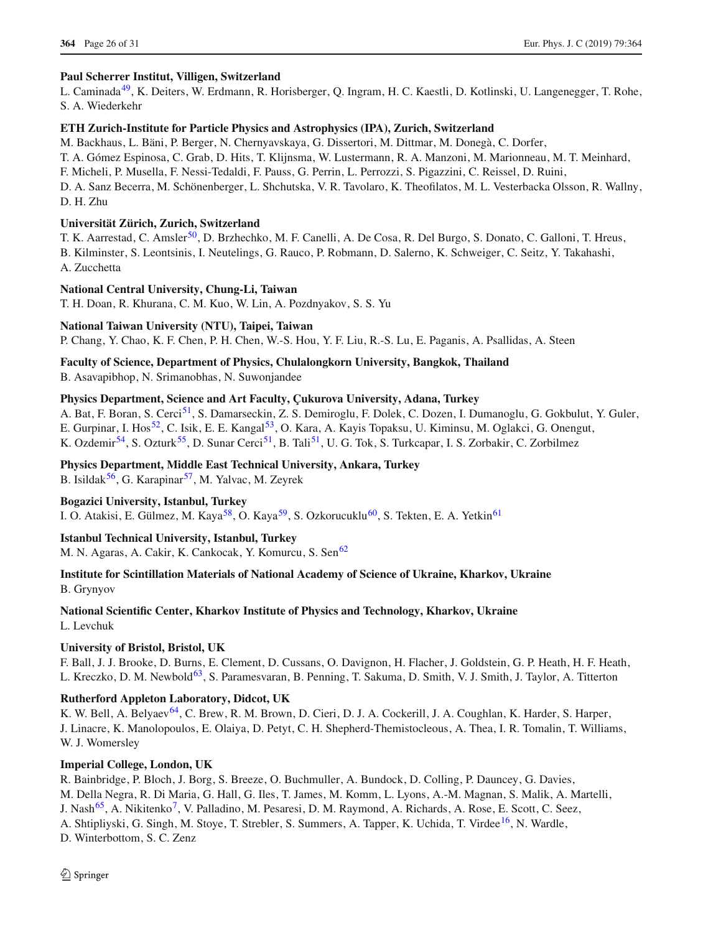## **Paul Scherrer Institut, Villigen, Switzerland**

L. Caminada<sup>49</sup>, K. Deiters, W. Erdmann, R. Horisberger, Q. Ingram, H. C. Kaestli, D. Kotlinski, U. Langenegger, T. Rohe, S. A. Wiederkehr

## **ETH Zurich-Institute for Particle Physics and Astrophysics (IPA), Zurich, Switzerland**

M. Backhaus, L. Bäni, P. Berger, N. Chernyavskaya, G. Dissertori, M. Dittmar, M. Donegà, C. Dorfer,

T. A. Gómez Espinosa, C. Grab, D. Hits, T. Klijnsma, W. Lustermann, R. A. Manzoni, M. Marionneau, M. T. Meinhard,

F. Micheli, P. Musella, F. Nessi-Tedaldi, F. Pauss, G. Perrin, L. Perrozzi, S. Pigazzini, C. Reissel, D. Ruini,

D. A. Sanz Becerra, M. Schönenberger, L. Shchutska, V. R. Tavolaro, K. Theofilatos, M. L. Vesterbacka Olsson, R. Wallny, D. H. Zhu

## **Universität Zürich, Zurich, Switzerland**

T. K. Aarrestad, C. Amsler<sup>50</sup>, D. Brzhechko, M. F. Canelli, A. De Cosa, R. Del Burgo, S. Donato, C. Galloni, T. Hreus, B. Kilminster, S. Leontsinis, I. Neutelings, G. Rauco, P. Robmann, D. Salerno, K. Schweiger, C. Seitz, Y. Takahashi, A. Zucchetta

## **National Central University, Chung-Li, Taiwan**

T. H. Doan, R. Khurana, C. M. Kuo, W. Lin, A. Pozdnyakov, S. S. Yu

## **National Taiwan University (NTU), Taipei, Taiwan**

P. Chang, Y. Chao, K. F. Chen, P. H. Chen, W.-S. Hou, Y. F. Liu, R.-S. Lu, E. Paganis, A. Psallidas, A. Steen

**Faculty of Science, Department of Physics, Chulalongkorn University, Bangkok, Thailand**

B. Asavapibhop, N. Srimanobhas, N. Suwonjandee

## **Physics Department, Science and Art Faculty, Çukurova University, Adana, Turkey**

A. Bat, F. Boran, S. Cerci<sup>51</sup>, S. Damarseckin, Z. S. Demiroglu, F. Dolek, C. Dozen, I. Dumanoglu, G. Gokbulut, Y. Guler, E. Gurpinar, I. Hos<sup>52</sup>, C. Isik, E. E. Kangal<sup>53</sup>, O. Kara, A. Kayis Topaksu, U. Kiminsu, M. Oglakci, G. Onengut, K. Ozdemir<sup>54</sup>, S. Ozturk<sup>55</sup>, D. Sunar Cerci<sup>51</sup>, B. Tali<sup>51</sup>, U. G. Tok, S. Turkcapar, I. S. Zorbakir, C. Zorbilmez

## **Physics Department, Middle East Technical University, Ankara, Turkey**

B. Isildak<sup>56</sup>, G. Karapinar<sup>57</sup>, M. Yalvac, M. Zeyrek

## **Bogazici University, Istanbul, Turkey**

I. O. Atakisi, E. Gülmez, M. Kaya<sup>58</sup>, O. Kaya<sup>59</sup>, S. Ozkorucuklu<sup>60</sup>, S. Tekten, E. A. Yetkin<sup>61</sup>

## **Istanbul Technical University, Istanbul, Turkey**

M. N. Agaras, A. Cakir, K. Cankocak, Y. Komurcu, S. Sen<sup>[62](#page-30-26)</sup>

## **Institute for Scintillation Materials of National Academy of Science of Ukraine, Kharkov, Ukraine** B. Grynyov

# **National Scientific Center, Kharkov Institute of Physics and Technology, Kharkov, Ukraine**

L. Levchuk

## **University of Bristol, Bristol, UK**

F. Ball, J. J. Brooke, D. Burns, E. Clement, D. Cussans, O. Davignon, H. Flacher, J. Goldstein, G. P. Heath, H. F. Heath, L. Kreczko, D. M. Newbold<sup>63</sup>, S. Paramesvaran, B. Penning, T. Sakuma, D. Smith, V. J. Smith, J. Taylor, A. Titterton

## **Rutherford Appleton Laboratory, Didcot, UK**

K. W. Bell, A. Belyaev<sup>64</sup>, C. Brew, R. M. Brown, D. Cieri, D. J. A. Cockerill, J. A. Coughlan, K. Harder, S. Harper, J. Linacre, K. Manolopoulos, E. Olaiya, D. Petyt, C. H. Shepherd-Themistocleous, A. Thea, I. R. Tomalin, T. Williams, W. J. Womersley

## **Imperial College, London, UK**

R. Bainbridge, P. Bloch, J. Borg, S. Breeze, O. Buchmuller, A. Bundock, D. Colling, P. Dauncey, G. Davies, M. Della Negra, R. Di Maria, G. Hall, G. Iles, T. James, M. Komm, L. Lyons, A.-M. Magnan, S. Malik, A. Martelli, J. Nash<sup>65</sup>, A. Nikitenko<sup>7</sup>, V. Palladino, M. Pesaresi, D. M. Raymond, A. Richards, A. Rose, E. Scott, C. Seez, A. Shtipliyski, G. Singh, M. Stoye, T. Strebler, S. Summers, A. Tapper, K. Uchida, T. Virdee<sup>16</sup>, N. Wardle, D. Winterbottom, S. C. Zenz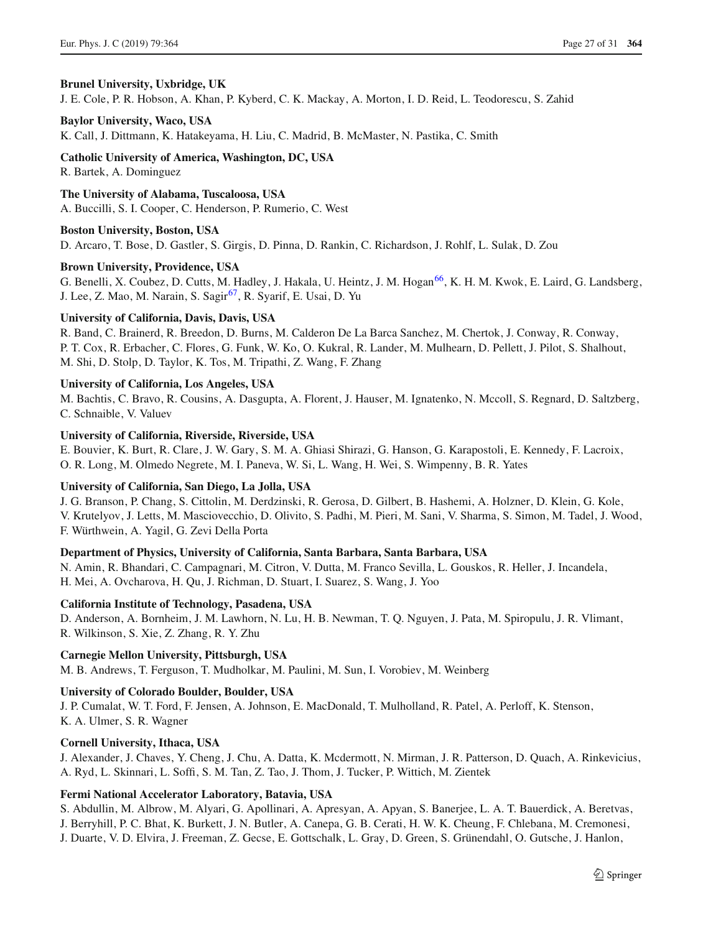#### **Brunel University, Uxbridge, UK**

J. E. Cole, P. R. Hobson, A. Khan, P. Kyberd, C. K. Mackay, A. Morton, I. D. Reid, L. Teodorescu, S. Zahid

#### **Baylor University, Waco, USA**

K. Call, J. Dittmann, K. Hatakeyama, H. Liu, C. Madrid, B. McMaster, N. Pastika, C. Smith

**Catholic University of America, Washington, DC, USA**

R. Bartek, A. Dominguez

#### **The University of Alabama, Tuscaloosa, USA**

A. Buccilli, S. I. Cooper, C. Henderson, P. Rumerio, C. West

#### **Boston University, Boston, USA**

D. Arcaro, T. Bose, D. Gastler, S. Girgis, D. Pinna, D. Rankin, C. Richardson, J. Rohlf, L. Sulak, D. Zou

#### **Brown University, Providence, USA**

G. Benelli, X. Coubez, D. Cutts, M. Hadley, J. Hakala, U. Heintz, J. M. Hogan<sup>66</sup>, K. H. M. Kwok, E. Laird, G. Landsberg, J. Lee, Z. Mao, M. Narain, S. Sagir<sup>67</sup>, R. Syarif, E. Usai, D. Yu

#### **University of California, Davis, Davis, USA**

R. Band, C. Brainerd, R. Breedon, D. Burns, M. Calderon De La Barca Sanchez, M. Chertok, J. Conway, R. Conway, P. T. Cox, R. Erbacher, C. Flores, G. Funk, W. Ko, O. Kukral, R. Lander, M. Mulhearn, D. Pellett, J. Pilot, S. Shalhout, M. Shi, D. Stolp, D. Taylor, K. Tos, M. Tripathi, Z. Wang, F. Zhang

#### **University of California, Los Angeles, USA**

M. Bachtis, C. Bravo, R. Cousins, A. Dasgupta, A. Florent, J. Hauser, M. Ignatenko, N. Mccoll, S. Regnard, D. Saltzberg, C. Schnaible, V. Valuev

#### **University of California, Riverside, Riverside, USA**

E. Bouvier, K. Burt, R. Clare, J. W. Gary, S. M. A. Ghiasi Shirazi, G. Hanson, G. Karapostoli, E. Kennedy, F. Lacroix, O. R. Long, M. Olmedo Negrete, M. I. Paneva, W. Si, L. Wang, H. Wei, S. Wimpenny, B. R. Yates

#### **University of California, San Diego, La Jolla, USA**

J. G. Branson, P. Chang, S. Cittolin, M. Derdzinski, R. Gerosa, D. Gilbert, B. Hashemi, A. Holzner, D. Klein, G. Kole, V. Krutelyov, J. Letts, M. Masciovecchio, D. Olivito, S. Padhi, M. Pieri, M. Sani, V. Sharma, S. Simon, M. Tadel, J. Wood, F. Würthwein, A. Yagil, G. Zevi Della Porta

#### **Department of Physics, University of California, Santa Barbara, Santa Barbara, USA**

N. Amin, R. Bhandari, C. Campagnari, M. Citron, V. Dutta, M. Franco Sevilla, L. Gouskos, R. Heller, J. Incandela, H. Mei, A. Ovcharova, H. Qu, J. Richman, D. Stuart, I. Suarez, S. Wang, J. Yoo

#### **California Institute of Technology, Pasadena, USA**

D. Anderson, A. Bornheim, J. M. Lawhorn, N. Lu, H. B. Newman, T. Q. Nguyen, J. Pata, M. Spiropulu, J. R. Vlimant, R. Wilkinson, S. Xie, Z. Zhang, R. Y. Zhu

#### **Carnegie Mellon University, Pittsburgh, USA**

M. B. Andrews, T. Ferguson, T. Mudholkar, M. Paulini, M. Sun, I. Vorobiev, M. Weinberg

#### **University of Colorado Boulder, Boulder, USA**

J. P. Cumalat, W. T. Ford, F. Jensen, A. Johnson, E. MacDonald, T. Mulholland, R. Patel, A. Perloff, K. Stenson, K. A. Ulmer, S. R. Wagner

#### **Cornell University, Ithaca, USA**

J. Alexander, J. Chaves, Y. Cheng, J. Chu, A. Datta, K. Mcdermott, N. Mirman, J. R. Patterson, D. Quach, A. Rinkevicius, A. Ryd, L. Skinnari, L. Soffi, S. M. Tan, Z. Tao, J. Thom, J. Tucker, P. Wittich, M. Zientek

#### **Fermi National Accelerator Laboratory, Batavia, USA**

S. Abdullin, M. Albrow, M. Alyari, G. Apollinari, A. Apresyan, A. Apyan, S. Banerjee, L. A. T. Bauerdick, A. Beretvas, J. Berryhill, P. C. Bhat, K. Burkett, J. N. Butler, A. Canepa, G. B. Cerati, H. W. K. Cheung, F. Chlebana, M. Cremonesi, J. Duarte, V. D. Elvira, J. Freeman, Z. Gecse, E. Gottschalk, L. Gray, D. Green, S. Grünendahl, O. Gutsche, J. Hanlon,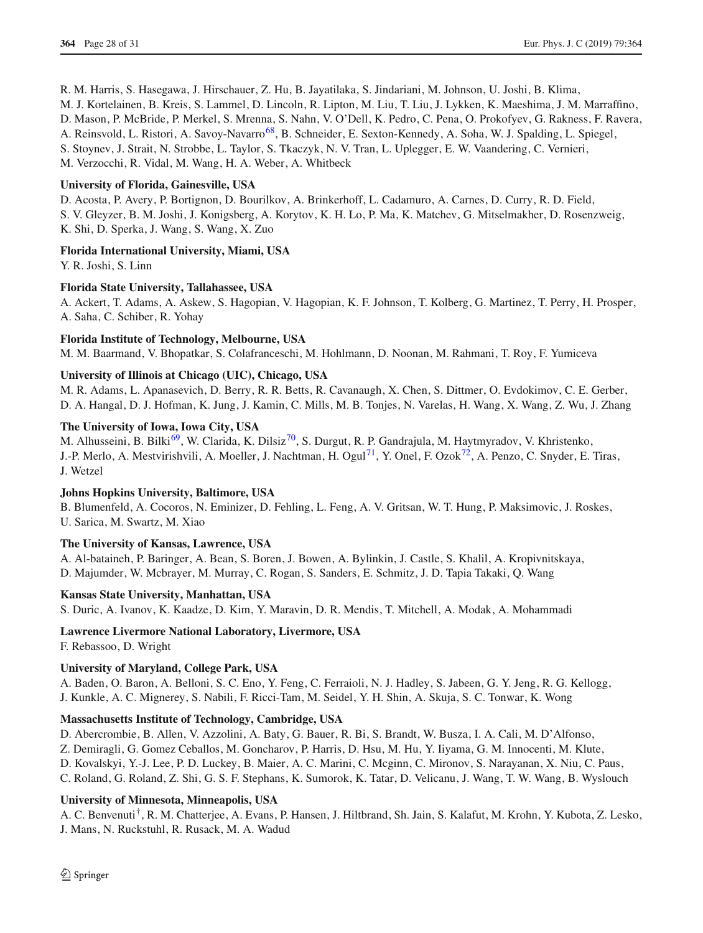R. M. Harris, S. Hasegawa, J. Hirschauer, Z. Hu, B. Jayatilaka, S. Jindariani, M. Johnson, U. Joshi, B. Klima, M. J. Kortelainen, B. Kreis, S. Lammel, D. Lincoln, R. Lipton, M. Liu, T. Liu, J. Lykken, K. Maeshima, J. M. Marraffino, D. Mason, P. McBride, P. Merkel, S. Mrenna, S. Nahn, V. O'Dell, K. Pedro, C. Pena, O. Prokofyev, G. Rakness, F. Ravera, A. Reinsvold, L. Ristori, A. Savoy-Navarro<sup>68</sup>, B. Schneider, E. Sexton-Kennedy, A. Soha, W. J. Spalding, L. Spiegel, S. Stoynev, J. Strait, N. Strobbe, L. Taylor, S. Tkaczyk, N. V. Tran, L. Uplegger, E. W. Vaandering, C. Vernieri, M. Verzocchi, R. Vidal, M. Wang, H. A. Weber, A. Whitbeck

## **University of Florida, Gainesville, USA**

D. Acosta, P. Avery, P. Bortignon, D. Bourilkov, A. Brinkerhoff, L. Cadamuro, A. Carnes, D. Curry, R. D. Field, S. V. Gleyzer, B. M. Joshi, J. Konigsberg, A. Korytov, K. H. Lo, P. Ma, K. Matchev, G. Mitselmakher, D. Rosenzweig, K. Shi, D. Sperka, J. Wang, S. Wang, X. Zuo

#### **Florida International University, Miami, USA**

Y. R. Joshi, S. Linn

#### **Florida State University, Tallahassee, USA**

A. Ackert, T. Adams, A. Askew, S. Hagopian, V. Hagopian, K. F. Johnson, T. Kolberg, G. Martinez, T. Perry, H. Prosper, A. Saha, C. Schiber, R. Yohay

#### **Florida Institute of Technology, Melbourne, USA**

M. M. Baarmand, V. Bhopatkar, S. Colafranceschi, M. Hohlmann, D. Noonan, M. Rahmani, T. Roy, F. Yumiceva

#### **University of Illinois at Chicago (UIC), Chicago, USA**

M. R. Adams, L. Apanasevich, D. Berry, R. R. Betts, R. Cavanaugh, X. Chen, S. Dittmer, O. Evdokimov, C. E. Gerber, D. A. Hangal, D. J. Hofman, K. Jung, J. Kamin, C. Mills, M. B. Tonjes, N. Varelas, H. Wang, X. Wang, Z. Wu, J. Zhang

#### **The University of Iowa, Iowa City, USA**

M. Alhusseini, B. Bilki<sup>69</sup>, W. Clarida, K. Dilsiz<sup>70</sup>, S. Durgut, R. P. Gandrajula, M. Haytmyradov, V. Khristenko, J.-P. Merlo, A. Mestvirishvili, A. Moeller, J. Nachtman, H. Ogul<sup>71</sup>, Y. Onel, F. Ozok<sup>72</sup>, A. Penzo, C. Snyder, E. Tiras, J. Wetzel

## **Johns Hopkins University, Baltimore, USA**

B. Blumenfeld, A. Cocoros, N. Eminizer, D. Fehling, L. Feng, A. V. Gritsan, W. T. Hung, P. Maksimovic, J. Roskes, U. Sarica, M. Swartz, M. Xiao

## **The University of Kansas, Lawrence, USA**

A. Al-bataineh, P. Baringer, A. Bean, S. Boren, J. Bowen, A. Bylinkin, J. Castle, S. Khalil, A. Kropivnitskaya, D. Majumder, W. Mcbrayer, M. Murray, C. Rogan, S. Sanders, E. Schmitz, J. D. Tapia Takaki, Q. Wang

#### **Kansas State University, Manhattan, USA**

S. Duric, A. Ivanov, K. Kaadze, D. Kim, Y. Maravin, D. R. Mendis, T. Mitchell, A. Modak, A. Mohammadi

# **Lawrence Livermore National Laboratory, Livermore, USA**

F. Rebassoo, D. Wright

#### **University of Maryland, College Park, USA**

A. Baden, O. Baron, A. Belloni, S. C. Eno, Y. Feng, C. Ferraioli, N. J. Hadley, S. Jabeen, G. Y. Jeng, R. G. Kellogg, J. Kunkle, A. C. Mignerey, S. Nabili, F. Ricci-Tam, M. Seidel, Y. H. Shin, A. Skuja, S. C. Tonwar, K. Wong

## **Massachusetts Institute of Technology, Cambridge, USA**

D. Abercrombie, B. Allen, V. Azzolini, A. Baty, G. Bauer, R. Bi, S. Brandt, W. Busza, I. A. Cali, M. D'Alfonso,

Z. Demiragli, G. Gomez Ceballos, M. Goncharov, P. Harris, D. Hsu, M. Hu, Y. Iiyama, G. M. Innocenti, M. Klute,

D. Kovalskyi, Y.-J. Lee, P. D. Luckey, B. Maier, A. C. Marini, C. Mcginn, C. Mironov, S. Narayanan, X. Niu, C. Paus,

C. Roland, G. Roland, Z. Shi, G. S. F. Stephans, K. Sumorok, K. Tatar, D. Velicanu, J. Wang, T. W. Wang, B. Wyslouch

## **University of Minnesota, Minneapolis, USA**

A. C. Benvenuti†, R. M. Chatterjee, A. Evans, P. Hansen, J. Hiltbrand, Sh. Jain, S. Kalafut, M. Krohn, Y. Kubota, Z. Lesko, J. Mans, N. Ruckstuhl, R. Rusack, M. A. Wadud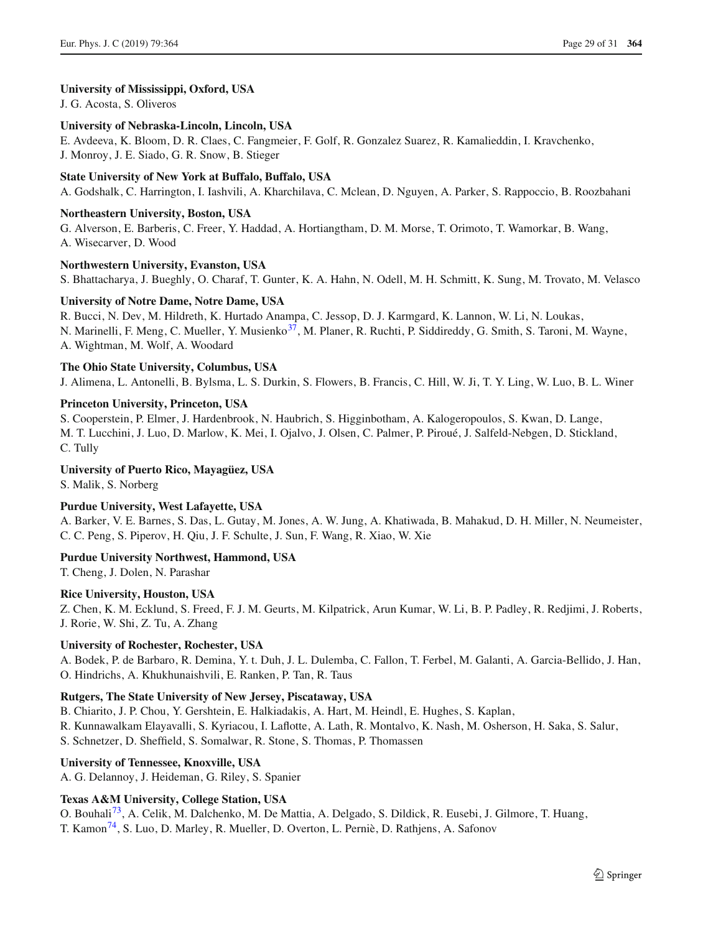#### **University of Mississippi, Oxford, USA**

J. G. Acosta, S. Oliveros

#### **University of Nebraska-Lincoln, Lincoln, USA**

E. Avdeeva, K. Bloom, D. R. Claes, C. Fangmeier, F. Golf, R. Gonzalez Suarez, R. Kamalieddin, I. Kravchenko, J. Monroy, J. E. Siado, G. R. Snow, B. Stieger

#### **State University of New York at Buffalo, Buffalo, USA**

A. Godshalk, C. Harrington, I. Iashvili, A. Kharchilava, C. Mclean, D. Nguyen, A. Parker, S. Rappoccio, B. Roozbahani

#### **Northeastern University, Boston, USA**

G. Alverson, E. Barberis, C. Freer, Y. Haddad, A. Hortiangtham, D. M. Morse, T. Orimoto, T. Wamorkar, B. Wang, A. Wisecarver, D. Wood

#### **Northwestern University, Evanston, USA**

S. Bhattacharya, J. Bueghly, O. Charaf, T. Gunter, K. A. Hahn, N. Odell, M. H. Schmitt, K. Sung, M. Trovato, M. Velasco

#### **University of Notre Dame, Notre Dame, USA**

R. Bucci, N. Dev, M. Hildreth, K. Hurtado Anampa, C. Jessop, D. J. Karmgard, K. Lannon, W. Li, N. Loukas, N. Marinelli, F. Meng, C. Mueller, Y. Musienko<sup>37</sup>, M. Planer, R. Ruchti, P. Siddireddy, G. Smith, S. Taroni, M. Wayne, A. Wightman, M. Wolf, A. Woodard

#### **The Ohio State University, Columbus, USA**

J. Alimena, L. Antonelli, B. Bylsma, L. S. Durkin, S. Flowers, B. Francis, C. Hill, W. Ji, T. Y. Ling, W. Luo, B. L. Winer

#### **Princeton University, Princeton, USA**

S. Cooperstein, P. Elmer, J. Hardenbrook, N. Haubrich, S. Higginbotham, A. Kalogeropoulos, S. Kwan, D. Lange, M. T. Lucchini, J. Luo, D. Marlow, K. Mei, I. Ojalvo, J. Olsen, C. Palmer, P. Piroué, J. Salfeld-Nebgen, D. Stickland, C. Tully

**University of Puerto Rico, Mayagüez, USA**

S. Malik, S. Norberg

#### **Purdue University, West Lafayette, USA**

A. Barker, V. E. Barnes, S. Das, L. Gutay, M. Jones, A. W. Jung, A. Khatiwada, B. Mahakud, D. H. Miller, N. Neumeister, C. C. Peng, S. Piperov, H. Qiu, J. F. Schulte, J. Sun, F. Wang, R. Xiao, W. Xie

#### **Purdue University Northwest, Hammond, USA**

T. Cheng, J. Dolen, N. Parashar

#### **Rice University, Houston, USA**

Z. Chen, K. M. Ecklund, S. Freed, F. J. M. Geurts, M. Kilpatrick, Arun Kumar, W. Li, B. P. Padley, R. Redjimi, J. Roberts, J. Rorie, W. Shi, Z. Tu, A. Zhang

#### **University of Rochester, Rochester, USA**

A. Bodek, P. de Barbaro, R. Demina, Y. t. Duh, J. L. Dulemba, C. Fallon, T. Ferbel, M. Galanti, A. Garcia-Bellido, J. Han, O. Hindrichs, A. Khukhunaishvili, E. Ranken, P. Tan, R. Taus

#### **Rutgers, The State University of New Jersey, Piscataway, USA**

B. Chiarito, J. P. Chou, Y. Gershtein, E. Halkiadakis, A. Hart, M. Heindl, E. Hughes, S. Kaplan,

R. Kunnawalkam Elayavalli, S. Kyriacou, I. Laflotte, A. Lath, R. Montalvo, K. Nash, M. Osherson, H. Saka, S. Salur,

S. Schnetzer, D. Sheffield, S. Somalwar, R. Stone, S. Thomas, P. Thomassen

#### **University of Tennessee, Knoxville, USA**

A. G. Delannoy, J. Heideman, G. Riley, S. Spanier

## **Texas A&M University, College Station, USA**

O. Bouhali[73,](#page-30-37) A. Celik, M. Dalchenko, M. De Mattia, A. Delgado, S. Dildick, R. Eusebi, J. Gilmore, T. Huang,

T. Kamon<sup>74</sup>, S. Luo, D. Marley, R. Mueller, D. Overton, L. Perniè, D. Rathjens, A. Safonov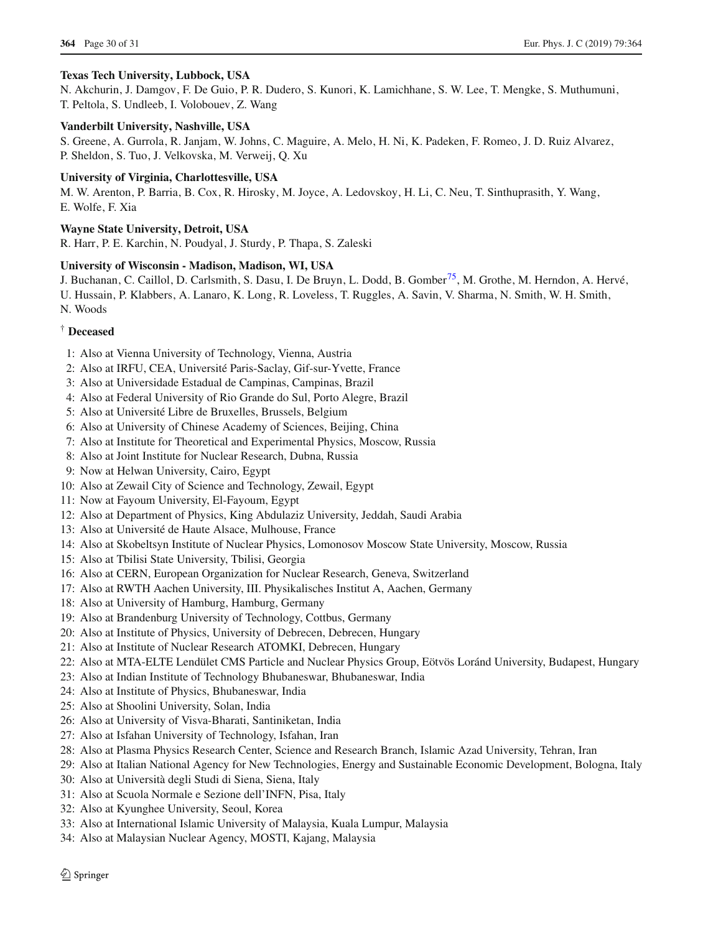## **Texas Tech University, Lubbock, USA**

N. Akchurin, J. Damgov, F. De Guio, P. R. Dudero, S. Kunori, K. Lamichhane, S. W. Lee, T. Mengke, S. Muthumuni, T. Peltola, S. Undleeb, I. Volobouev, Z. Wang

## **Vanderbilt University, Nashville, USA**

S. Greene, A. Gurrola, R. Janjam, W. Johns, C. Maguire, A. Melo, H. Ni, K. Padeken, F. Romeo, J. D. Ruiz Alvarez, P. Sheldon, S. Tuo, J. Velkovska, M. Verweij, Q. Xu

## **University of Virginia, Charlottesville, USA**

M. W. Arenton, P. Barria, B. Cox, R. Hirosky, M. Joyce, A. Ledovskoy, H. Li, C. Neu, T. Sinthuprasith, Y. Wang, E. Wolfe, F. Xia

## **Wayne State University, Detroit, USA**

R. Harr, P. E. Karchin, N. Poudyal, J. Sturdy, P. Thapa, S. Zaleski

## **University of Wisconsin - Madison, Madison, WI, USA**

J. Buchanan, C. Caillol, D. Carlsmith, S. Dasu, I. De Bruyn, L. Dodd, B. Gomber<sup>75</sup>, M. Grothe, M. Herndon, A. Hervé. U. Hussain, P. Klabbers, A. Lanaro, K. Long, R. Loveless, T. Ruggles, A. Savin, V. Sharma, N. Smith, W. H. Smith, N. Woods

## <span id="page-29-0"></span>† **Deceased**

- <span id="page-29-1"></span>1: Also at Vienna University of Technology, Vienna, Austria
- <span id="page-29-2"></span>2: Also at IRFU, CEA, Université Paris-Saclay, Gif-sur-Yvette, France
- 3: Also at Universidade Estadual de Campinas, Campinas, Brazil
- <span id="page-29-5"></span><span id="page-29-4"></span><span id="page-29-3"></span>4: Also at Federal University of Rio Grande do Sul, Porto Alegre, Brazil
- 5: Also at Université Libre de Bruxelles, Brussels, Belgium
- <span id="page-29-6"></span>6: Also at University of Chinese Academy of Sciences, Beijing, China
- <span id="page-29-8"></span><span id="page-29-7"></span>7: Also at Institute for Theoretical and Experimental Physics, Moscow, Russia
- <span id="page-29-9"></span>8: Also at Joint Institute for Nuclear Research, Dubna, Russia
- <span id="page-29-12"></span><span id="page-29-11"></span><span id="page-29-10"></span>9: Now at Helwan University, Cairo, Egypt
- 10: Also at Zewail City of Science and Technology, Zewail, Egypt
- 11: Now at Fayoum University, El-Fayoum, Egypt
- 12: Also at Department of Physics, King Abdulaziz University, Jeddah, Saudi Arabia
- <span id="page-29-13"></span>13: Also at Université de Haute Alsace, Mulhouse, France
- <span id="page-29-14"></span>14: Also at Skobeltsyn Institute of Nuclear Physics, Lomonosov Moscow State University, Moscow, Russia
- <span id="page-29-16"></span><span id="page-29-15"></span>15: Also at Tbilisi State University, Tbilisi, Georgia
- 16: Also at CERN, European Organization for Nuclear Research, Geneva, Switzerland
- <span id="page-29-17"></span>17: Also at RWTH Aachen University, III. Physikalisches Institut A, Aachen, Germany
- <span id="page-29-18"></span>18: Also at University of Hamburg, Hamburg, Germany
- <span id="page-29-21"></span><span id="page-29-20"></span><span id="page-29-19"></span>19: Also at Brandenburg University of Technology, Cottbus, Germany
- 20: Also at Institute of Physics, University of Debrecen, Debrecen, Hungary
- 21: Also at Institute of Nuclear Research ATOMKI, Debrecen, Hungary
- 22: Also at MTA-ELTE Lendület CMS Particle and Nuclear Physics Group, Eötvös Loránd University, Budapest, Hungary
- <span id="page-29-22"></span>23: Also at Indian Institute of Technology Bhubaneswar, Bhubaneswar, India
- <span id="page-29-23"></span>24: Also at Institute of Physics, Bhubaneswar, India
- <span id="page-29-24"></span>25: Also at Shoolini University, Solan, India
- <span id="page-29-25"></span>26: Also at University of Visva-Bharati, Santiniketan, India
- <span id="page-29-26"></span>27: Also at Isfahan University of Technology, Isfahan, Iran
- <span id="page-29-27"></span>28: Also at Plasma Physics Research Center, Science and Research Branch, Islamic Azad University, Tehran, Iran
- <span id="page-29-28"></span>29: Also at Italian National Agency for New Technologies, Energy and Sustainable Economic Development, Bologna, Italy
- <span id="page-29-29"></span>30: Also at Università degli Studi di Siena, Siena, Italy
- <span id="page-29-30"></span>31: Also at Scuola Normale e Sezione dell'INFN, Pisa, Italy
- 32: Also at Kyunghee University, Seoul, Korea
- <span id="page-29-33"></span><span id="page-29-32"></span><span id="page-29-31"></span>33: Also at International Islamic University of Malaysia, Kuala Lumpur, Malaysia
- 34: Also at Malaysian Nuclear Agency, MOSTI, Kajang, Malaysia